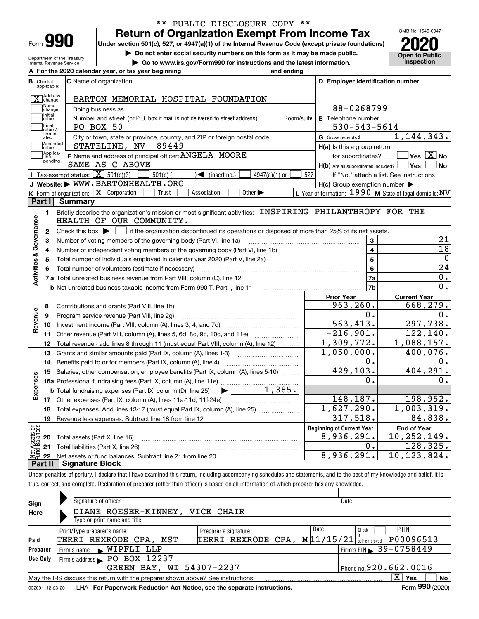| ⊦orm |  |
|------|--|

Department of the Treasury Internal Revenue Service

## **Return of Organization Exempt From Income Tax** \*\* PUBLIC DISCLOSURE COPY \*\*

**Under section 501(c), 527, or 4947(a)(1) of the Internal Revenue Code (except private foundations) 2020**

**| Do not enter social security numbers on this form as it may be made public.**

**| Go to www.irs.gov/Form990 for instructions and the latest information. Inspection**



|                         |                                  | A For the 2020 calendar year, or tax year beginning                                                                                     | and ending |                                                            |                                                                                 |  |  |  |  |
|-------------------------|----------------------------------|-----------------------------------------------------------------------------------------------------------------------------------------|------------|------------------------------------------------------------|---------------------------------------------------------------------------------|--|--|--|--|
|                         | <b>B</b> Check if<br>applicable: | <b>C</b> Name of organization                                                                                                           |            | D Employer identification number                           |                                                                                 |  |  |  |  |
|                         | X Address                        | BARTON MEMORIAL HOSPITAL FOUNDATION                                                                                                     |            |                                                            |                                                                                 |  |  |  |  |
|                         | Name<br>change                   | 88-0268799<br>Doing business as                                                                                                         |            |                                                            |                                                                                 |  |  |  |  |
|                         | Initial<br> return               | Number and street (or P.O. box if mail is not delivered to street address)                                                              | Room/suite | E Telephone number                                         |                                                                                 |  |  |  |  |
|                         | Final<br>return/                 | PO BOX 50                                                                                                                               |            | $530 - 543 - 5614$                                         |                                                                                 |  |  |  |  |
|                         | termin-<br>ated                  | City or town, state or province, country, and ZIP or foreign postal code                                                                |            | G Gross receipts \$                                        | 1, 144, 343.                                                                    |  |  |  |  |
|                         | Amended<br>return                | STATELINE, NV<br>89449                                                                                                                  |            | $H(a)$ is this a group return                              |                                                                                 |  |  |  |  |
|                         | Applica-<br>tion<br>pending      | F Name and address of principal officer: ANGELA MOORE<br>SAME AS C ABOVE                                                                |            | for subordinates?<br>$H(b)$ Are all subordinates included? | $\overline{\mathsf{Yes}}$ $\overline{\mathsf{X}}$ No<br><b>Yes</b><br><b>No</b> |  |  |  |  |
|                         |                                  | <b>I</b> Tax-exempt status: $\overline{X}$ 501(c)(3)<br>$501(c)$ (<br>$\blacktriangleleft$ (insert no.)<br>$4947(a)(1)$ or              | 527        |                                                            | If "No," attach a list. See instructions                                        |  |  |  |  |
|                         |                                  | J Website: WWW.BARTONHEALTH.ORG                                                                                                         |            | $H(c)$ Group exemption number $\blacktriangleright$        |                                                                                 |  |  |  |  |
|                         |                                  | K Form of organization: $X$ Corporation<br>Association<br>Other $\blacktriangleright$<br>Trust                                          |            |                                                            | L Year of formation: $1990 \vert \text{M}$ State of legal domicile: NV          |  |  |  |  |
|                         | Part I                           | <b>Summary</b>                                                                                                                          |            |                                                            |                                                                                 |  |  |  |  |
| Activities & Governance | 1.                               | Briefly describe the organization's mission or most significant activities: INSPIRING PHILANTHROPY FOR THE<br>HEALTH OF OUR COMMUNITY.  |            |                                                            |                                                                                 |  |  |  |  |
|                         | $\mathbf{2}$                     | if the organization discontinued its operations or disposed of more than 25% of its net assets.<br>Check this box $\blacktriangleright$ |            |                                                            |                                                                                 |  |  |  |  |
|                         | 3                                | Number of voting members of the governing body (Part VI, line 1a)                                                                       |            | 3                                                          | 21                                                                              |  |  |  |  |
|                         | 4                                |                                                                                                                                         | 4          | $\overline{18}$                                            |                                                                                 |  |  |  |  |
|                         | 5                                |                                                                                                                                         |            | $\overline{\mathbf{5}}$                                    | $\mathbf 0$                                                                     |  |  |  |  |
|                         | 6                                |                                                                                                                                         |            | 6                                                          | $\overline{24}$                                                                 |  |  |  |  |
|                         |                                  | 7 a Total unrelated business revenue from Part VIII, column (C), line 12                                                                |            | 7a                                                         | 0.                                                                              |  |  |  |  |
|                         |                                  |                                                                                                                                         |            | 7b                                                         | $\overline{0}$ .                                                                |  |  |  |  |
|                         |                                  |                                                                                                                                         |            | <b>Prior Year</b>                                          | <b>Current Year</b>                                                             |  |  |  |  |
|                         | 8                                | Contributions and grants (Part VIII, line 1h)                                                                                           |            | 963, 260.                                                  | 668,279.                                                                        |  |  |  |  |
|                         | 9                                | Program service revenue (Part VIII, line 2g)                                                                                            |            | 0.                                                         | 0.                                                                              |  |  |  |  |
| Revenue                 | 10                               |                                                                                                                                         |            | 563, 413.                                                  | 297,738.                                                                        |  |  |  |  |
|                         | 11                               | Other revenue (Part VIII, column (A), lines 5, 6d, 8c, 9c, 10c, and 11e)                                                                |            | $-216,901.$                                                | 122, 140.                                                                       |  |  |  |  |
|                         | 12                               | Total revenue - add lines 8 through 11 (must equal Part VIII, column (A), line 12)                                                      |            | 1,309,772.                                                 | $\overline{1}$ , 088, 157.                                                      |  |  |  |  |
|                         | 13                               | Grants and similar amounts paid (Part IX, column (A), lines 1-3)                                                                        |            | 1,050,000.                                                 | 400,076.                                                                        |  |  |  |  |
|                         | 14                               | Benefits paid to or for members (Part IX, column (A), line 4)                                                                           |            | О.                                                         | ο.                                                                              |  |  |  |  |
|                         | 15                               | Salaries, other compensation, employee benefits (Part IX, column (A), lines 5-10)                                                       |            | 429,103.                                                   | 404,291.                                                                        |  |  |  |  |
| Expenses                |                                  |                                                                                                                                         |            | 0.                                                         | 0.                                                                              |  |  |  |  |
|                         |                                  | $\blacktriangleright$ 1,385.<br><b>b</b> Total fundraising expenses (Part IX, column (D), line 25)                                      |            |                                                            |                                                                                 |  |  |  |  |
|                         |                                  |                                                                                                                                         |            | 148,187.                                                   | 198,952.                                                                        |  |  |  |  |
|                         | 18                               | Total expenses. Add lines 13-17 (must equal Part IX, column (A), line 25)                                                               |            | $\overline{1,627,290}$ .                                   | 1,003,319.                                                                      |  |  |  |  |
|                         | 19                               |                                                                                                                                         |            | $-317,518.$                                                | 84,838.                                                                         |  |  |  |  |
| ទន្ទ                    |                                  |                                                                                                                                         |            | <b>Beginning of Current Year</b>                           | <b>End of Year</b>                                                              |  |  |  |  |
| Assets                  | 20                               | Total assets (Part X, line 16)                                                                                                          |            | 8,936,291.                                                 | 10,252,149.                                                                     |  |  |  |  |
|                         |                                  | 21 Total liabilities (Part X, line 26)                                                                                                  |            | 0.                                                         | 128,325.                                                                        |  |  |  |  |
| Jet                     |                                  |                                                                                                                                         |            | 8,936,291.                                                 | 10, 123, 824.                                                                   |  |  |  |  |

**Part II Signature Block**

Under penalties of perjury, I declare that I have examined this return, including accompanying schedules and statements, and to the best of my knowledge and belief, it is true, correct, and complete. Declaration of preparer (other than officer) is based on all information of which preparer has any knowledge.

| Sign     | Signature of officer                                                                                    |                                                                                                              | Date |                            |  |  |  |  |  |  |  |
|----------|---------------------------------------------------------------------------------------------------------|--------------------------------------------------------------------------------------------------------------|------|----------------------------|--|--|--|--|--|--|--|
| Here     | DIANE ROESER-KINNEY, VICE CHAIR                                                                         |                                                                                                              |      |                            |  |  |  |  |  |  |  |
|          | Type or print name and title                                                                            |                                                                                                              |      |                            |  |  |  |  |  |  |  |
|          | Print/Type preparer's name                                                                              | Preparer's signature                                                                                         | Date | <b>PTIN</b><br>Check       |  |  |  |  |  |  |  |
| Paid     | TERRI REXRODE CPA, MST                                                                                  | TERRI REXRODE CPA, M11/15/21                                                                                 |      | P00096513<br>self-employed |  |  |  |  |  |  |  |
| Preparer | Firm's name WIPFLI LLP                                                                                  |                                                                                                              |      | Firm's EIN 39-0758449      |  |  |  |  |  |  |  |
| Use Only | Firm's address PO BOX 12237                                                                             |                                                                                                              |      |                            |  |  |  |  |  |  |  |
|          | GREEN BAY, WI 54307-2237                                                                                |                                                                                                              |      | Phone no. 920. 662.0016    |  |  |  |  |  |  |  |
|          | $X \vert Y$ es<br>No<br>May the IRS discuss this return with the preparer shown above? See instructions |                                                                                                              |      |                            |  |  |  |  |  |  |  |
|          |                                                                                                         | Form 990 (2020)<br>LHA For Paperwork Reduction Act Notice, see the separate instructions.<br>032001 12-23-20 |      |                            |  |  |  |  |  |  |  |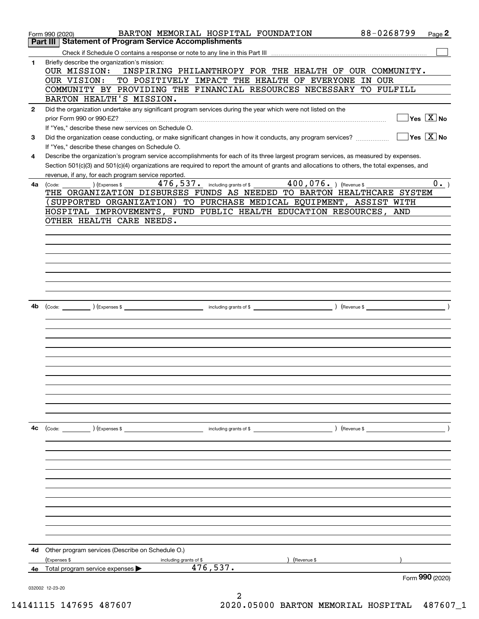|              | BARTON MEMORIAL HOSPITAL FOUNDATION<br>Form 990 (2020)                                                                                       | 88-0268799    | Page 2                                  |
|--------------|----------------------------------------------------------------------------------------------------------------------------------------------|---------------|-----------------------------------------|
|              | <b>Statement of Program Service Accomplishments</b><br>Part III                                                                              |               |                                         |
|              |                                                                                                                                              |               |                                         |
| 1            | Briefly describe the organization's mission:                                                                                                 |               |                                         |
|              | INSPIRING PHILANTHROPY FOR THE HEALTH OF OUR COMMUNITY.<br>OUR MISSION:                                                                      |               |                                         |
|              | TO POSITIVELY IMPACT THE HEALTH OF EVERYONE IN OUR<br>OUR VISION:                                                                            |               |                                         |
|              | COMMUNITY BY PROVIDING THE FINANCIAL RESOURCES NECESSARY TO FULFILL                                                                          |               |                                         |
|              | BARTON HEALTH'S MISSION.                                                                                                                     |               |                                         |
| $\mathbf{2}$ | Did the organization undertake any significant program services during the year which were not listed on the                                 |               |                                         |
|              | prior Form 990 or 990-EZ?                                                                                                                    |               | $\Box$ Yes $[\overline{\mathrm{X}}]$ No |
|              | If "Yes," describe these new services on Schedule O.                                                                                         |               |                                         |
| 3            | Did the organization cease conducting, or make significant changes in how it conducts, any program services?                                 |               | $\sqrt{}$ Yes $\sqrt{}$ X $\sqrt{}$ No  |
|              | If "Yes," describe these changes on Schedule O.                                                                                              |               |                                         |
| 4            | Describe the organization's program service accomplishments for each of its three largest program services, as measured by expenses.         |               |                                         |
|              | Section 501(c)(3) and 501(c)(4) organizations are required to report the amount of grants and allocations to others, the total expenses, and |               |                                         |
|              | revenue, if any, for each program service reported.                                                                                          |               |                                         |
| 4a           | 476, 537. including grants of \$400, 076. ) (Revenue \$<br>) (Expenses \$<br>(Code:                                                          |               | $0 \cdot$ <sub>-</sub> )                |
|              | THE ORGANIZATION DISBURSES FUNDS AS NEEDED TO BARTON HEALTHCARE SYSTEM                                                                       |               |                                         |
|              | SUPPORTED ORGANIZATION) TO PURCHASE MEDICAL EQUIPMENT, ASSIST WITH                                                                           |               |                                         |
|              | HOSPITAL IMPROVEMENTS, FUND PUBLIC HEALTH EDUCATION RESOURCES, AND                                                                           |               |                                         |
|              | OTHER HEALTH CARE NEEDS.                                                                                                                     |               |                                         |
|              |                                                                                                                                              |               |                                         |
|              |                                                                                                                                              |               |                                         |
|              |                                                                                                                                              |               |                                         |
|              |                                                                                                                                              |               |                                         |
|              |                                                                                                                                              |               |                                         |
|              |                                                                                                                                              |               |                                         |
|              |                                                                                                                                              |               |                                         |
|              |                                                                                                                                              |               |                                         |
|              |                                                                                                                                              |               |                                         |
| 4b           |                                                                                                                                              |               |                                         |
|              |                                                                                                                                              |               |                                         |
|              |                                                                                                                                              |               |                                         |
|              |                                                                                                                                              |               |                                         |
|              |                                                                                                                                              |               |                                         |
|              |                                                                                                                                              |               |                                         |
|              |                                                                                                                                              |               |                                         |
|              |                                                                                                                                              |               |                                         |
|              |                                                                                                                                              |               |                                         |
|              |                                                                                                                                              |               |                                         |
|              |                                                                                                                                              |               |                                         |
|              |                                                                                                                                              |               |                                         |
|              |                                                                                                                                              |               |                                         |
|              |                                                                                                                                              |               |                                         |
| 4с           | $\left(\text{Code:}\right)$ $\left(\text{Expenses $}\right)$<br>including grants of \$                                                       | ) (Revenue \$ |                                         |
|              |                                                                                                                                              |               |                                         |
|              |                                                                                                                                              |               |                                         |
|              |                                                                                                                                              |               |                                         |
|              |                                                                                                                                              |               |                                         |
|              |                                                                                                                                              |               |                                         |
|              |                                                                                                                                              |               |                                         |
|              |                                                                                                                                              |               |                                         |
|              |                                                                                                                                              |               |                                         |
|              |                                                                                                                                              |               |                                         |
|              |                                                                                                                                              |               |                                         |
|              |                                                                                                                                              |               |                                         |
|              |                                                                                                                                              |               |                                         |
| 4d           | Other program services (Describe on Schedule O.)                                                                                             |               |                                         |
|              | (Expenses \$<br>(Revenue \$<br>including grants of \$                                                                                        |               |                                         |
|              | 476,537.<br>4e Total program service expenses $\blacktriangleright$                                                                          |               |                                         |
|              |                                                                                                                                              |               | Form 990 (2020)                         |
|              | 032002 12-23-20                                                                                                                              |               |                                         |
|              |                                                                                                                                              |               |                                         |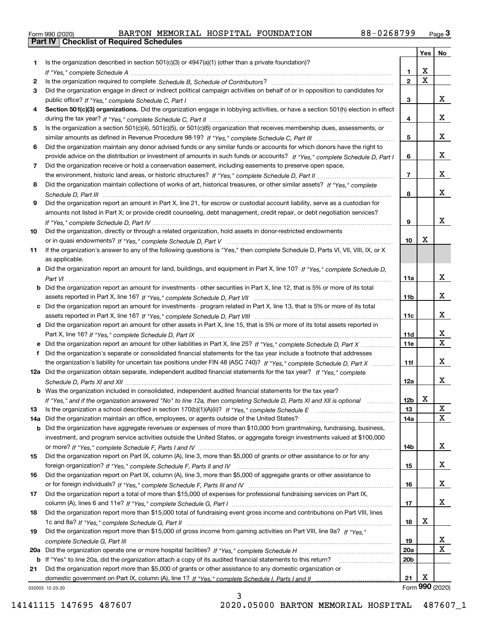|  | Form 990 (2020) |
|--|-----------------|

|     |                                                                                                                                  |                 | Yes                     | No              |
|-----|----------------------------------------------------------------------------------------------------------------------------------|-----------------|-------------------------|-----------------|
| 1   | Is the organization described in section $501(c)(3)$ or $4947(a)(1)$ (other than a private foundation)?                          |                 |                         |                 |
|     |                                                                                                                                  | 1               | X                       |                 |
| 2   |                                                                                                                                  | $\overline{2}$  | $\overline{\mathbf{x}}$ |                 |
| 3   | Did the organization engage in direct or indirect political campaign activities on behalf of or in opposition to candidates for  |                 |                         |                 |
|     |                                                                                                                                  | 3               |                         | x               |
| 4   | Section 501(c)(3) organizations. Did the organization engage in lobbying activities, or have a section 501(h) election in effect |                 |                         | x               |
|     |                                                                                                                                  | 4               |                         |                 |
| 5   | Is the organization a section 501(c)(4), 501(c)(5), or 501(c)(6) organization that receives membership dues, assessments, or     | 5               |                         | x               |
| 6   | Did the organization maintain any donor advised funds or any similar funds or accounts for which donors have the right to        |                 |                         |                 |
|     | provide advice on the distribution or investment of amounts in such funds or accounts? If "Yes," complete Schedule D, Part I     | 6               |                         | x               |
| 7   | Did the organization receive or hold a conservation easement, including easements to preserve open space,                        |                 |                         |                 |
|     |                                                                                                                                  | $\overline{7}$  |                         | x               |
| 8   | Did the organization maintain collections of works of art, historical treasures, or other similar assets? If "Yes," complete     |                 |                         |                 |
|     |                                                                                                                                  | 8               |                         | x               |
| 9   | Did the organization report an amount in Part X, line 21, for escrow or custodial account liability, serve as a custodian for    |                 |                         |                 |
|     | amounts not listed in Part X; or provide credit counseling, debt management, credit repair, or debt negotiation services?        |                 |                         |                 |
|     |                                                                                                                                  | 9               |                         | X               |
| 10  | Did the organization, directly or through a related organization, hold assets in donor-restricted endowments                     |                 |                         |                 |
|     |                                                                                                                                  | 10              | X                       |                 |
| 11  | If the organization's answer to any of the following questions is "Yes," then complete Schedule D, Parts VI, VII, VIII, IX, or X |                 |                         |                 |
|     | as applicable.                                                                                                                   |                 |                         |                 |
| a   | Did the organization report an amount for land, buildings, and equipment in Part X, line 10? If "Yes," complete Schedule D,      |                 |                         |                 |
|     |                                                                                                                                  | 11a             |                         | x               |
|     | Did the organization report an amount for investments - other securities in Part X, line 12, that is 5% or more of its total     |                 |                         |                 |
|     |                                                                                                                                  | 11 <sub>b</sub> |                         | x               |
|     | Did the organization report an amount for investments - program related in Part X, line 13, that is 5% or more of its total      |                 |                         |                 |
|     |                                                                                                                                  | 11c             |                         | x               |
| d   | Did the organization report an amount for other assets in Part X, line 15, that is 5% or more of its total assets reported in    |                 |                         |                 |
|     |                                                                                                                                  | 11d             |                         | x               |
|     |                                                                                                                                  | 11e             |                         | $\mathbf{x}$    |
|     | Did the organization's separate or consolidated financial statements for the tax year include a footnote that addresses          |                 |                         |                 |
|     | the organization's liability for uncertain tax positions under FIN 48 (ASC 740)? If "Yes," complete Schedule D, Part X           | 11f             |                         | x               |
|     | 12a Did the organization obtain separate, independent audited financial statements for the tax year? If "Yes," complete          |                 |                         |                 |
|     |                                                                                                                                  | 12a             |                         | x               |
|     | <b>b</b> Was the organization included in consolidated, independent audited financial statements for the tax year?               |                 | v                       |                 |
|     | If "Yes," and if the organization answered "No" to line 12a, then completing Schedule D, Parts XI and XII is optional            | 12b             | Δ.                      |                 |
| 13  |                                                                                                                                  | 13              |                         | X<br>X          |
| 14a | Did the organization maintain an office, employees, or agents outside of the United States?                                      | 14a             |                         |                 |
| b   | Did the organization have aggregate revenues or expenses of more than \$10,000 from grantmaking, fundraising, business,          |                 |                         |                 |
|     | investment, and program service activities outside the United States, or aggregate foreign investments valued at \$100,000       |                 |                         | x               |
| 15  | Did the organization report on Part IX, column (A), line 3, more than \$5,000 of grants or other assistance to or for any        | 14b             |                         |                 |
|     |                                                                                                                                  | 15              |                         | x               |
| 16  | Did the organization report on Part IX, column (A), line 3, more than \$5,000 of aggregate grants or other assistance to         |                 |                         |                 |
|     |                                                                                                                                  | 16              |                         | X               |
| 17  | Did the organization report a total of more than \$15,000 of expenses for professional fundraising services on Part IX,          |                 |                         |                 |
|     |                                                                                                                                  | 17              |                         | X               |
| 18  | Did the organization report more than \$15,000 total of fundraising event gross income and contributions on Part VIII, lines     |                 |                         |                 |
|     |                                                                                                                                  | 18              | х                       |                 |
| 19  | Did the organization report more than \$15,000 of gross income from gaming activities on Part VIII, line 9a? If "Yes."           |                 |                         |                 |
|     |                                                                                                                                  | 19              |                         | X               |
| 20a |                                                                                                                                  | <b>20a</b>      |                         | X               |
| b   | If "Yes" to line 20a, did the organization attach a copy of its audited financial statements to this return?                     | 20 <sub>b</sub> |                         |                 |
| 21  | Did the organization report more than \$5,000 of grants or other assistance to any domestic organization or                      |                 |                         |                 |
|     |                                                                                                                                  | 21              | х                       |                 |
|     | 032003 12-23-20                                                                                                                  |                 |                         | Form 990 (2020) |

3

032003 12-23-20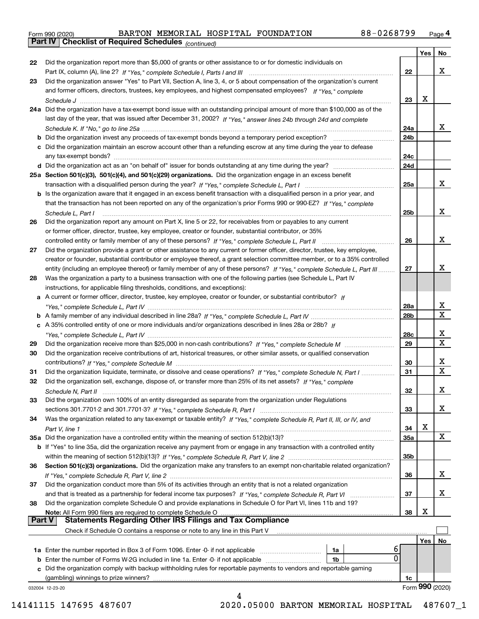|  | Form 990 (2020) |
|--|-----------------|
|  |                 |

*(continued)*

|               |                                                                                                                                    |            | Yes | No              |
|---------------|------------------------------------------------------------------------------------------------------------------------------------|------------|-----|-----------------|
| 22            | Did the organization report more than \$5,000 of grants or other assistance to or for domestic individuals on                      |            |     |                 |
|               |                                                                                                                                    | 22         |     | х               |
| 23            | Did the organization answer "Yes" to Part VII, Section A, line 3, 4, or 5 about compensation of the organization's current         |            |     |                 |
|               | and former officers, directors, trustees, key employees, and highest compensated employees? If "Yes," complete                     |            |     |                 |
|               |                                                                                                                                    | 23         | x   |                 |
|               | 24a Did the organization have a tax-exempt bond issue with an outstanding principal amount of more than \$100,000 as of the        |            |     |                 |
|               | last day of the year, that was issued after December 31, 2002? If "Yes," answer lines 24b through 24d and complete                 |            |     |                 |
|               |                                                                                                                                    | 24a        |     | x               |
|               | <b>b</b> Did the organization invest any proceeds of tax-exempt bonds beyond a temporary period exception?                         | 24b        |     |                 |
|               | c Did the organization maintain an escrow account other than a refunding escrow at any time during the year to defease             |            |     |                 |
|               |                                                                                                                                    | 24c        |     |                 |
|               |                                                                                                                                    | 24d        |     |                 |
|               | 25a Section 501(c)(3), 501(c)(4), and 501(c)(29) organizations. Did the organization engage in an excess benefit                   |            |     |                 |
|               |                                                                                                                                    | 25a        |     | х               |
|               | b Is the organization aware that it engaged in an excess benefit transaction with a disqualified person in a prior year, and       |            |     |                 |
|               | that the transaction has not been reported on any of the organization's prior Forms 990 or 990-EZ? If "Yes," complete              |            |     |                 |
|               | Schedule L, Part I                                                                                                                 | 25b        |     | х               |
| 26            | Did the organization report any amount on Part X, line 5 or 22, for receivables from or payables to any current                    |            |     |                 |
|               | or former officer, director, trustee, key employee, creator or founder, substantial contributor, or 35%                            |            |     |                 |
|               |                                                                                                                                    | 26         |     | х               |
| 27            | Did the organization provide a grant or other assistance to any current or former officer, director, trustee, key employee,        |            |     |                 |
|               | creator or founder, substantial contributor or employee thereof, a grant selection committee member, or to a 35% controlled        |            |     |                 |
|               | entity (including an employee thereof) or family member of any of these persons? If "Yes," complete Schedule L, Part III           | 27         |     | x               |
| 28            | Was the organization a party to a business transaction with one of the following parties (see Schedule L, Part IV                  |            |     |                 |
|               | instructions, for applicable filing thresholds, conditions, and exceptions):                                                       |            |     |                 |
|               | a A current or former officer, director, trustee, key employee, creator or founder, or substantial contributor? If                 |            |     |                 |
|               |                                                                                                                                    | 28a        |     | x               |
|               |                                                                                                                                    | 28b        |     | $\mathbf X$     |
|               | c A 35% controlled entity of one or more individuals and/or organizations described in lines 28a or 28b? If                        |            |     |                 |
|               |                                                                                                                                    | 28c        |     | x               |
| 29            |                                                                                                                                    | 29         |     | X               |
| 30            | Did the organization receive contributions of art, historical treasures, or other similar assets, or qualified conservation        |            |     |                 |
|               |                                                                                                                                    | 30         |     | х               |
|               |                                                                                                                                    | 31         |     | $\mathbf X$     |
| 31            | Did the organization liquidate, terminate, or dissolve and cease operations? If "Yes," complete Schedule N, Part I                 |            |     |                 |
| 32            | Did the organization sell, exchange, dispose of, or transfer more than 25% of its net assets? If "Yes," complete                   |            |     | х               |
|               | Schedule N, Part II                                                                                                                | 32         |     |                 |
| 33            | Did the organization own 100% of an entity disregarded as separate from the organization under Regulations                         |            |     | х               |
|               |                                                                                                                                    | 33         |     |                 |
| 34            | Was the organization related to any tax-exempt or taxable entity? If "Yes," complete Schedule R, Part II, III, or IV, and          |            | X   |                 |
|               |                                                                                                                                    | 34         |     | X               |
|               | 35a Did the organization have a controlled entity within the meaning of section 512(b)(13)?                                        | <b>35a</b> |     |                 |
|               | <b>b</b> If "Yes" to line 35a, did the organization receive any payment from or engage in any transaction with a controlled entity |            |     |                 |
|               |                                                                                                                                    | 35b        |     |                 |
| 36            | Section 501(c)(3) organizations. Did the organization make any transfers to an exempt non-charitable related organization?         |            |     |                 |
|               |                                                                                                                                    | 36         |     | x               |
| 37            | Did the organization conduct more than 5% of its activities through an entity that is not a related organization                   |            |     | х               |
|               | and that is treated as a partnership for federal income tax purposes? If "Yes," complete Schedule R, Part VI                       | 37         |     |                 |
| 38            | Did the organization complete Schedule O and provide explanations in Schedule O for Part VI, lines 11b and 19?                     |            | х   |                 |
| <b>Part V</b> | Note: All Form 990 filers are required to complete Schedule O<br><b>Statements Regarding Other IRS Filings and Tax Compliance</b>  | 38         |     |                 |
|               | Check if Schedule O contains a response or note to any line in this Part V                                                         |            |     |                 |
|               |                                                                                                                                    |            |     |                 |
|               |                                                                                                                                    |            | Yes | No              |
|               | 6<br>1a<br>0                                                                                                                       |            |     |                 |
|               | <b>b</b> Enter the number of Forms W-2G included in line 1a. Enter -0- if not applicable<br>1b                                     |            |     |                 |
|               | c Did the organization comply with backup withholding rules for reportable payments to vendors and reportable gaming               |            |     |                 |
|               | (gambling) winnings to prize winners?                                                                                              | 1c         |     | Form 990 (2020) |
|               | 032004 12-23-20<br>4                                                                                                               |            |     |                 |
|               |                                                                                                                                    |            |     |                 |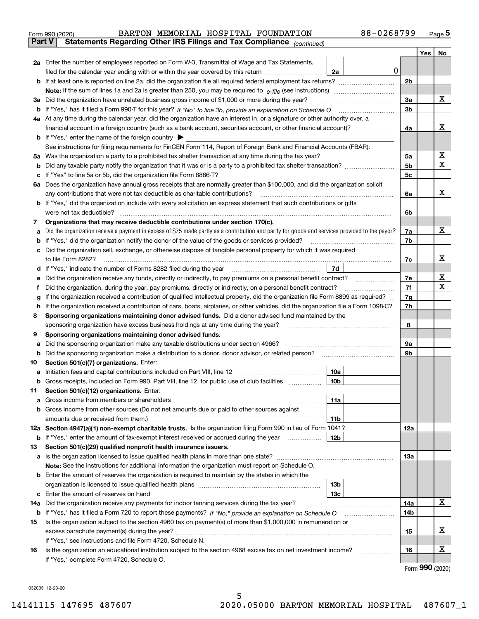|               | 88-0268799<br>BARTON MEMORIAL HOSPITAL FOUNDATION<br>Form 990 (2020)                                                                            |          |     | $_{\text{Page}}$ 5 |  |
|---------------|-------------------------------------------------------------------------------------------------------------------------------------------------|----------|-----|--------------------|--|
| <b>Part V</b> | Statements Regarding Other IRS Filings and Tax Compliance (continued)                                                                           |          |     |                    |  |
|               |                                                                                                                                                 |          | Yes | No                 |  |
|               | 2a Enter the number of employees reported on Form W-3, Transmittal of Wage and Tax Statements,                                                  |          |     |                    |  |
|               | $\mathbf 0$<br>filed for the calendar year ending with or within the year covered by this return<br>2a                                          |          |     |                    |  |
|               |                                                                                                                                                 | 2b       |     |                    |  |
|               |                                                                                                                                                 |          |     |                    |  |
|               | 3a Did the organization have unrelated business gross income of \$1,000 or more during the year?                                                | 3a       |     | х                  |  |
|               |                                                                                                                                                 | 3b       |     |                    |  |
|               | 4a At any time during the calendar year, did the organization have an interest in, or a signature or other authority over, a                    |          |     |                    |  |
|               |                                                                                                                                                 | 4a       |     | x                  |  |
|               | <b>b</b> If "Yes," enter the name of the foreign country $\blacktriangleright$                                                                  |          |     |                    |  |
|               | See instructions for filing requirements for FinCEN Form 114, Report of Foreign Bank and Financial Accounts (FBAR).                             |          |     |                    |  |
|               |                                                                                                                                                 | 5a       |     | х                  |  |
| b             |                                                                                                                                                 | 5b       |     | X                  |  |
| c             |                                                                                                                                                 | 5c       |     |                    |  |
|               | 6a Does the organization have annual gross receipts that are normally greater than \$100,000, and did the organization solicit                  |          |     |                    |  |
|               |                                                                                                                                                 | 6a       |     | х                  |  |
|               | <b>b</b> If "Yes," did the organization include with every solicitation an express statement that such contributions or gifts                   |          |     |                    |  |
|               | were not tax deductible?                                                                                                                        | 6b       |     |                    |  |
| 7             | Organizations that may receive deductible contributions under section 170(c).                                                                   |          |     |                    |  |
| а             | Did the organization receive a payment in excess of \$75 made partly as a contribution and partly for goods and services provided to the payor? | 7a       |     | х                  |  |
| b             | If "Yes," did the organization notify the donor of the value of the goods or services provided?                                                 | 7b       |     |                    |  |
|               | c Did the organization sell, exchange, or otherwise dispose of tangible personal property for which it was required                             |          |     |                    |  |
|               |                                                                                                                                                 | 7c       |     | х                  |  |
|               | 7d                                                                                                                                              |          |     |                    |  |
| е             | Did the organization receive any funds, directly or indirectly, to pay premiums on a personal benefit contract?                                 | 7е       |     | х                  |  |
| f             | Did the organization, during the year, pay premiums, directly or indirectly, on a personal benefit contract?                                    | 7f       |     | х                  |  |
| g             | If the organization received a contribution of qualified intellectual property, did the organization file Form 8899 as required?                | 7g<br>7h |     |                    |  |
|               | If the organization received a contribution of cars, boats, airplanes, or other vehicles, did the organization file a Form 1098-C?<br>h.        |          |     |                    |  |
| 8             | Sponsoring organizations maintaining donor advised funds. Did a donor advised fund maintained by the                                            |          |     |                    |  |
|               | sponsoring organization have excess business holdings at any time during the year?                                                              | 8        |     |                    |  |
| 9             | Sponsoring organizations maintaining donor advised funds.<br>Did the sponsoring organization make any taxable distributions under section 4966? | 9а       |     |                    |  |
| а<br>b        | Did the sponsoring organization make a distribution to a donor, donor advisor, or related person?                                               | 9b       |     |                    |  |
| 10            | Section 501(c)(7) organizations. Enter:                                                                                                         |          |     |                    |  |
|               | 10a<br>a Initiation fees and capital contributions included on Part VIII, line 12 [111] [11] [11] [11] [11] [11] [11]                           |          |     |                    |  |
|               | 10 <sub>b</sub>  <br>Gross receipts, included on Form 990, Part VIII, line 12, for public use of club facilities                                |          |     |                    |  |
| 11            | Section 501(c)(12) organizations. Enter:                                                                                                        |          |     |                    |  |
| a             | 11a                                                                                                                                             |          |     |                    |  |
|               | b Gross income from other sources (Do not net amounts due or paid to other sources against                                                      |          |     |                    |  |
|               | <b>11b</b>                                                                                                                                      |          |     |                    |  |
|               | 12a Section 4947(a)(1) non-exempt charitable trusts. Is the organization filing Form 990 in lieu of Form 1041?                                  | 12a      |     |                    |  |
|               | 12b<br><b>b</b> If "Yes," enter the amount of tax-exempt interest received or accrued during the year <i>manument</i>                           |          |     |                    |  |
| 13            | Section 501(c)(29) qualified nonprofit health insurance issuers.                                                                                |          |     |                    |  |
|               | a Is the organization licensed to issue qualified health plans in more than one state?                                                          | 13a      |     |                    |  |
|               | Note: See the instructions for additional information the organization must report on Schedule O.                                               |          |     |                    |  |
|               | <b>b</b> Enter the amount of reserves the organization is required to maintain by the states in which the                                       |          |     |                    |  |
|               | 13b                                                                                                                                             |          |     |                    |  |
|               | 13с                                                                                                                                             |          |     |                    |  |
| 14a           | Did the organization receive any payments for indoor tanning services during the tax year?                                                      | 14a      |     | х                  |  |
|               | <b>b</b> If "Yes," has it filed a Form 720 to report these payments? If "No," provide an explanation on Schedule O                              | 14b      |     |                    |  |
| 15            | Is the organization subject to the section 4960 tax on payment(s) of more than \$1,000,000 in remuneration or                                   |          |     |                    |  |
|               |                                                                                                                                                 | 15       |     | x                  |  |
|               | If "Yes," see instructions and file Form 4720, Schedule N.                                                                                      |          |     |                    |  |
| 16            | Is the organization an educational institution subject to the section 4968 excise tax on net investment income?                                 | 16       |     | х                  |  |
|               | If "Yes," complete Form 4720, Schedule O.                                                                                                       |          |     |                    |  |

Form (2020) **990**

032005 12-23-20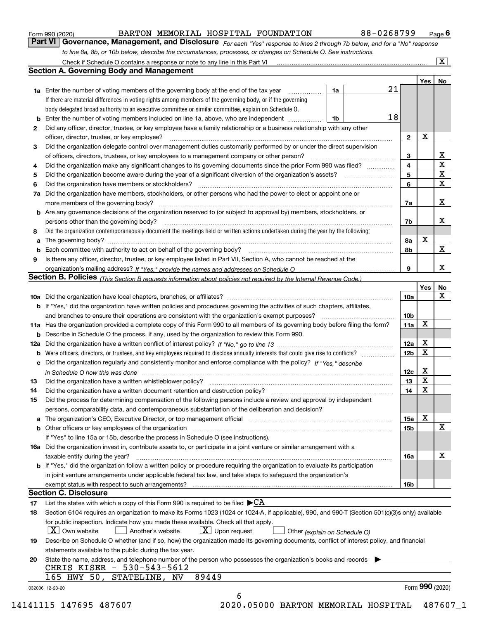|  | Form 990 (2020) |
|--|-----------------|
|  |                 |

## BARTON MEMORIAL HOSPITAL FOUNDATION 88-0268799

*For each "Yes" response to lines 2 through 7b below, and for a "No" response to line 8a, 8b, or 10b below, describe the circumstances, processes, or changes on Schedule O. See instructions.* Form 990 (2020) **CONNICTED BARTON MEMORIAL HOSPITAL FOUNDATION** 88 - 0268799 Page 6<br>**Part VI Governance, Management, and Disclosure** For each "Yes" response to lines 2 through 7b below, and for a "No" response

|    |                                                                                                                                                                            |    | 21 |                         | Yes             | No                      |
|----|----------------------------------------------------------------------------------------------------------------------------------------------------------------------------|----|----|-------------------------|-----------------|-------------------------|
|    | <b>1a</b> Enter the number of voting members of the governing body at the end of the tax year <i>manumum</i>                                                               | 1a |    |                         |                 |                         |
|    | If there are material differences in voting rights among members of the governing body, or if the governing                                                                |    |    |                         |                 |                         |
|    | body delegated broad authority to an executive committee or similar committee, explain on Schedule O.                                                                      |    |    |                         |                 |                         |
|    | <b>b</b> Enter the number of voting members included on line 1a, above, who are independent <i>manumum</i>                                                                 | 1b | 18 |                         |                 |                         |
| 2  | Did any officer, director, trustee, or key employee have a family relationship or a business relationship with any other                                                   |    |    |                         |                 |                         |
|    | officer, director, trustee, or key employee?                                                                                                                               |    |    | $\mathbf{2}$            | X               |                         |
| 3  | Did the organization delegate control over management duties customarily performed by or under the direct supervision                                                      |    |    |                         |                 |                         |
|    | of officers, directors, trustees, or key employees to a management company or other person?                                                                                |    |    | 3                       |                 | X                       |
| 4  | Did the organization make any significant changes to its governing documents since the prior Form 990 was filed?                                                           |    |    | $\overline{\mathbf{4}}$ |                 | $\overline{\mathtt{x}}$ |
| 5  |                                                                                                                                                                            |    |    | 5                       |                 | $\mathbf X$             |
| 6  | Did the organization have members or stockholders?                                                                                                                         |    |    | 6                       |                 | X                       |
| 7a | Did the organization have members, stockholders, or other persons who had the power to elect or appoint one or                                                             |    |    |                         |                 |                         |
|    |                                                                                                                                                                            |    |    | 7a                      |                 | х                       |
|    | <b>b</b> Are any governance decisions of the organization reserved to (or subject to approval by) members, stockholders, or                                                |    |    |                         |                 |                         |
|    | persons other than the governing body?                                                                                                                                     |    |    | 7b                      |                 | х                       |
| 8  | Did the organization contemporaneously document the meetings held or written actions undertaken during the year by the following:                                          |    |    |                         |                 |                         |
| a  |                                                                                                                                                                            |    |    | 8a                      | X               |                         |
|    |                                                                                                                                                                            |    |    | 8b                      |                 | X                       |
| 9  | Is there any officer, director, trustee, or key employee listed in Part VII, Section A, who cannot be reached at the                                                       |    |    |                         |                 |                         |
|    |                                                                                                                                                                            |    |    | 9                       |                 | X                       |
|    | <b>Section B. Policies</b> (This Section B requests information about policies not required by the Internal Revenue Code.)                                                 |    |    |                         |                 |                         |
|    |                                                                                                                                                                            |    |    |                         | Yes             | No                      |
|    |                                                                                                                                                                            |    |    | 10a                     |                 | X                       |
|    | <b>b</b> If "Yes," did the organization have written policies and procedures governing the activities of such chapters, affiliates,                                        |    |    |                         |                 |                         |
|    |                                                                                                                                                                            |    |    | 10 <sub>b</sub>         |                 |                         |
|    | 11a Has the organization provided a complete copy of this Form 990 to all members of its governing body before filing the form?                                            |    |    | 11a                     | X               |                         |
|    | <b>b</b> Describe in Schedule O the process, if any, used by the organization to review this Form 990.                                                                     |    |    |                         |                 |                         |
|    |                                                                                                                                                                            |    |    | 12a                     | X               |                         |
| b  | Were officers, directors, or trustees, and key employees required to disclose annually interests that could give rise to conflicts?                                        |    |    | 12 <sub>b</sub>         | X               |                         |
|    | c Did the organization regularly and consistently monitor and enforce compliance with the policy? If "Yes." describe                                                       |    |    |                         |                 |                         |
|    | in Schedule O how this was done manufactured and continuum control of the Schedule O how this was done manufactured and the state of the Schedule O how this was done      |    |    | 12c                     | Х               |                         |
| 13 |                                                                                                                                                                            |    |    | 13                      | X               |                         |
| 14 | Did the organization have a written document retention and destruction policy? manufactured and the organization have a written document retention and destruction policy? |    |    | 14                      | X               |                         |
| 15 | Did the process for determining compensation of the following persons include a review and approval by independent                                                         |    |    |                         |                 |                         |
|    | persons, comparability data, and contemporaneous substantiation of the deliberation and decision?                                                                          |    |    |                         |                 |                         |
|    |                                                                                                                                                                            |    |    | 15a                     | X               |                         |
|    |                                                                                                                                                                            |    |    | 15b                     |                 | X                       |
|    | If "Yes" to line 15a or 15b, describe the process in Schedule O (see instructions).                                                                                        |    |    |                         |                 |                         |
|    | 16a Did the organization invest in, contribute assets to, or participate in a joint venture or similar arrangement with a                                                  |    |    |                         |                 |                         |
|    | taxable entity during the year?                                                                                                                                            |    |    | 16a                     |                 | х                       |
|    | b If "Yes," did the organization follow a written policy or procedure requiring the organization to evaluate its participation                                             |    |    |                         |                 |                         |
|    | in joint venture arrangements under applicable federal tax law, and take steps to safeguard the organization's                                                             |    |    |                         |                 |                         |
|    | exempt status with respect to such arrangements?                                                                                                                           |    |    | 16b                     |                 |                         |
|    | <b>Section C. Disclosure</b>                                                                                                                                               |    |    |                         |                 |                         |
| 17 | List the states with which a copy of this Form 990 is required to be filed $\blacktriangleright$ CA                                                                        |    |    |                         |                 |                         |
| 18 | Section 6104 requires an organization to make its Forms 1023 (1024 or 1024-A, if applicable), 990, and 990-T (Section 501(c)(3)s only) available                           |    |    |                         |                 |                         |
|    | for public inspection. Indicate how you made these available. Check all that apply.                                                                                        |    |    |                         |                 |                         |
|    | $\vert X \vert$ Own website<br>$X$ Upon request<br>  Another's website<br>Other (explain on Schedule O)                                                                    |    |    |                         |                 |                         |
| 19 | Describe on Schedule O whether (and if so, how) the organization made its governing documents, conflict of interest policy, and financial                                  |    |    |                         |                 |                         |
|    | statements available to the public during the tax year.                                                                                                                    |    |    |                         |                 |                         |
| 20 | State the name, address, and telephone number of the person who possesses the organization's books and records                                                             |    |    |                         |                 |                         |
|    | CHRIS KISER - 530-543-5612                                                                                                                                                 |    |    |                         |                 |                         |
|    | 89449<br>165 HWY 50, STATELINE, NV                                                                                                                                         |    |    |                         |                 |                         |
|    |                                                                                                                                                                            |    |    |                         | Form 990 (2020) |                         |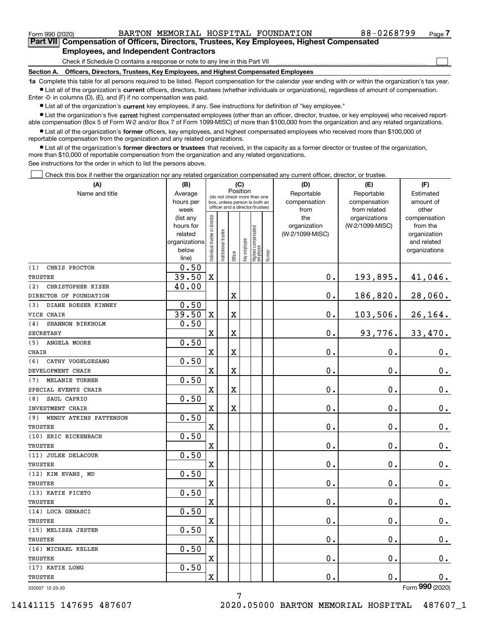$\mathcal{L}^{\text{max}}$ 

| Form 990 (2020) |                                                                                            |  | BARTON MEMORIAL HOSPITAL FOUNDATION | 88-0268799 | Page 7 |
|-----------------|--------------------------------------------------------------------------------------------|--|-------------------------------------|------------|--------|
|                 | Part VII Compensation of Officers, Directors, Trustees, Key Employees, Highest Compensated |  |                                     |            |        |
|                 | <b>Employees, and Independent Contractors</b>                                              |  |                                     |            |        |

Check if Schedule O contains a response or note to any line in this Part VII

**Section A. Officers, Directors, Trustees, Key Employees, and Highest Compensated Employees**

**1a**  Complete this table for all persons required to be listed. Report compensation for the calendar year ending with or within the organization's tax year. **•** List all of the organization's current officers, directors, trustees (whether individuals or organizations), regardless of amount of compensation.

Enter -0- in columns (D), (E), and (F) if no compensation was paid.

 $\bullet$  List all of the organization's  $\,$ current key employees, if any. See instructions for definition of "key employee."

**•** List the organization's five current highest compensated employees (other than an officer, director, trustee, or key employee) who received reportable compensation (Box 5 of Form W-2 and/or Box 7 of Form 1099-MISC) of more than \$100,000 from the organization and any related organizations.

**•** List all of the organization's former officers, key employees, and highest compensated employees who received more than \$100,000 of reportable compensation from the organization and any related organizations.

**former directors or trustees**  ¥ List all of the organization's that received, in the capacity as a former director or trustee of the organization, more than \$10,000 of reportable compensation from the organization and any related organizations.

See instructions for the order in which to list the persons above.

Check this box if neither the organization nor any related organization compensated any current officer, director, or trustee.  $\mathcal{L}^{\text{max}}$ 

| (A)                            | (B)                    | (C)                            |                                                                  |         |              | (D)                              | (E)       | (F)             |                 |                |
|--------------------------------|------------------------|--------------------------------|------------------------------------------------------------------|---------|--------------|----------------------------------|-----------|-----------------|-----------------|----------------|
| Name and title                 | Average                |                                | Position<br>(do not check more than one                          |         | Reportable   | Reportable                       | Estimated |                 |                 |                |
|                                | hours per              |                                | box, unless person is both an<br>officer and a director/trustee) |         |              |                                  |           | compensation    | compensation    | amount of      |
|                                | week                   |                                |                                                                  |         |              |                                  |           | from            | from related    | other          |
|                                | (list any              |                                |                                                                  |         |              |                                  |           | the             | organizations   | compensation   |
|                                | hours for              |                                |                                                                  |         |              |                                  |           | organization    | (W-2/1099-MISC) | from the       |
|                                | related                |                                |                                                                  |         |              |                                  |           | (W-2/1099-MISC) |                 | organization   |
|                                | organizations<br>below |                                |                                                                  |         |              |                                  |           |                 |                 | and related    |
|                                | line)                  | Individual trustee or director | Institutional trustee                                            | Officer | Key employee | Highest compensated<br> employee | Former    |                 |                 | organizations  |
| (1)<br>CHRIS PROCTOR           | 0.50                   |                                |                                                                  |         |              |                                  |           |                 |                 |                |
| TRUSTEE                        | 39.50                  | $\mathbf X$                    |                                                                  |         |              |                                  |           | 0.              | 193,895.        | $41,046$ .     |
| (2)<br>CHRISTOPHER KISER       | 40.00                  |                                |                                                                  |         |              |                                  |           |                 |                 |                |
| DIRECTOR OF FOUNDATION         |                        |                                |                                                                  | х       |              |                                  |           | 0.              | 186,820.        | 28,060.        |
| DIANE ROESER KINNEY<br>(3)     | 0.50                   |                                |                                                                  |         |              |                                  |           |                 |                 |                |
| VICE CHAIR                     | 39.50                  | $\mathbf X$                    |                                                                  | X       |              |                                  |           | $\mathbf{0}$ .  | 103,506.        | 26, 164.       |
| SHANNON BIRKHOLM<br>(4)        | 0.50                   |                                |                                                                  |         |              |                                  |           |                 |                 |                |
| SECRETARY                      |                        | X                              |                                                                  | X       |              |                                  |           | 0.              | 93,776.         | 33,470.        |
| ANGELA MOORE<br>(5)            | 0.50                   |                                |                                                                  |         |              |                                  |           |                 |                 |                |
| CHAIR                          |                        | $\overline{\textbf{X}}$        |                                                                  | X       |              |                                  |           | 0.              | 0.              | 0.             |
| CATHY VOGELGESANG<br>(6)       | 0.50                   |                                |                                                                  |         |              |                                  |           |                 |                 |                |
| DEVELOPMENT CHAIR              |                        | X                              |                                                                  | X       |              |                                  |           | 0.              | 0.              | $\mathbf 0$ .  |
| <b>MELANIE TURNER</b><br>(7)   | 0.50                   |                                |                                                                  |         |              |                                  |           |                 |                 |                |
| SPECIAL EVENTS CHAIR           |                        | X                              |                                                                  | X       |              |                                  |           | 0.              | 0.              | $\mathbf 0$ .  |
| SAUL CAPRIO<br>(8)             | 0.50                   |                                |                                                                  |         |              |                                  |           |                 |                 |                |
| INVESTMENT CHAIR               |                        | $\mathbf X$                    |                                                                  | X       |              |                                  |           | 0.              | 0.              | $0_{.}$        |
| WENDY ATKINS PATTENSON<br>(9)  | 0.50                   |                                |                                                                  |         |              |                                  |           |                 |                 |                |
| TRUSTEE                        |                        | Χ                              |                                                                  |         |              |                                  |           | 0.              | 0.              | $\mathbf 0$ .  |
| (10) ERIC BICKENBACH           | 0.50                   |                                |                                                                  |         |              |                                  |           |                 |                 |                |
| TRUSTEE                        |                        | X                              |                                                                  |         |              |                                  |           | 0.              | 0.              | $\mathbf 0$ .  |
| (11) JULEE DELACOUR            | 0.50                   |                                |                                                                  |         |              |                                  |           |                 |                 |                |
| TRUSTEE                        |                        | X                              |                                                                  |         |              |                                  |           | 0.              | 0.              | $\mathbf 0$ .  |
| (12) KIM EVANS, MD             | 0.50                   |                                |                                                                  |         |              |                                  |           |                 |                 |                |
| TRUSTEE                        |                        | X                              |                                                                  |         |              |                                  |           | 0.              | 0.              | $0_{.}$        |
| (13) KATIE FICETO              | 0.50                   |                                |                                                                  |         |              |                                  |           |                 |                 |                |
| TRUSTEE                        |                        | X                              |                                                                  |         |              |                                  |           | 0.              | 0.              | $\mathbf 0$ .  |
| (14) LUCA GENASCI              | 0.50                   |                                |                                                                  |         |              |                                  |           |                 |                 |                |
| TRUSTEE                        |                        | X                              |                                                                  |         |              |                                  |           | 0.              | 0.              | 0.             |
| (15) MELISSA JESTER            | 0.50                   |                                |                                                                  |         |              |                                  |           |                 |                 |                |
| TRUSTEE<br>(16) MICHAEL KELLER | 0.50                   | X                              |                                                                  |         |              |                                  |           | 0.              | 0.              | $\mathbf 0$ .  |
| <b>TRUSTEE</b>                 |                        | X                              |                                                                  |         |              |                                  |           | 0.              | 0.              | 0.             |
| (17) KATIE LONG                | 0.50                   |                                |                                                                  |         |              |                                  |           |                 |                 |                |
| TRUSTEE                        |                        | $\overline{\textbf{X}}$        |                                                                  |         |              |                                  |           | 0.              | 0.              | 0.             |
|                                |                        |                                |                                                                  |         |              |                                  |           |                 |                 | $\overline{2}$ |

032007 12-23-20

Form (2020) **990**

7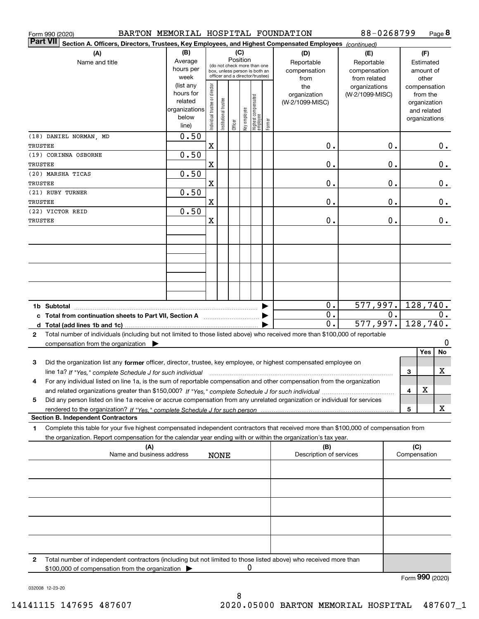| BARTON MEMORIAL HOSPITAL FOUNDATION<br>Form 990 (2020)                                                                                                                                                                                                                           |                                                                      |                                                                                                                    |                      |         |              |                                  |        |                                           | 88-0268799                                        |                  |                                        |                                                                          | Page 8   |
|----------------------------------------------------------------------------------------------------------------------------------------------------------------------------------------------------------------------------------------------------------------------------------|----------------------------------------------------------------------|--------------------------------------------------------------------------------------------------------------------|----------------------|---------|--------------|----------------------------------|--------|-------------------------------------------|---------------------------------------------------|------------------|----------------------------------------|--------------------------------------------------------------------------|----------|
| <b>Part VII</b><br>Section A. Officers, Directors, Trustees, Key Employees, and Highest Compensated Employees (continued)                                                                                                                                                        |                                                                      |                                                                                                                    |                      |         |              |                                  |        |                                           |                                                   |                  |                                        |                                                                          |          |
| (A)<br>Name and title                                                                                                                                                                                                                                                            | (B)<br>Average<br>hours per<br>week                                  | (C)<br>Position<br>(do not check more than one<br>box, unless person is both an<br>officer and a director/trustee) |                      |         |              |                                  |        | (D)<br>Reportable<br>compensation<br>from | (E)<br>Reportable<br>compensation<br>from related |                  | (F)<br>Estimated<br>amount of<br>other |                                                                          |          |
|                                                                                                                                                                                                                                                                                  | (list any<br>hours for<br>related<br>organizations<br>below<br>line) | ndividual trustee or director                                                                                      | nstitutional trustee | Officer | key employee | Highest compensated<br> employee | Former | the<br>organization<br>(W-2/1099-MISC)    | organizations<br>(W-2/1099-MISC)                  |                  |                                        | compensation<br>from the<br>organization<br>and related<br>organizations |          |
| (18) DANIEL NORMAN, MD<br>TRUSTEE                                                                                                                                                                                                                                                | 0.50                                                                 | X                                                                                                                  |                      |         |              |                                  |        | 0.                                        |                                                   | 0.               |                                        |                                                                          | 0.       |
| (19) CORINNA OSBORNE<br>TRUSTEE                                                                                                                                                                                                                                                  | 0.50                                                                 | $\mathbf X$                                                                                                        |                      |         |              |                                  |        | 0.                                        |                                                   | 0.               |                                        |                                                                          | 0.       |
| (20) MARSHA TICAS<br>TRUSTEE                                                                                                                                                                                                                                                     | 0.50                                                                 |                                                                                                                    |                      |         |              |                                  |        |                                           |                                                   |                  |                                        |                                                                          |          |
| (21) RUBY TURNER                                                                                                                                                                                                                                                                 | 0.50                                                                 | $\mathbf X$                                                                                                        |                      |         |              |                                  |        | 0.                                        |                                                   | 0.               |                                        |                                                                          | 0.       |
| TRUSTEE<br>(22) VICTOR REID                                                                                                                                                                                                                                                      | 0.50                                                                 | $\mathbf X$                                                                                                        |                      |         |              |                                  |        | 0.                                        |                                                   | 0.               |                                        |                                                                          | 0.       |
| TRUSTEE                                                                                                                                                                                                                                                                          |                                                                      | X                                                                                                                  |                      |         |              |                                  |        | 0.                                        |                                                   | 0.               |                                        |                                                                          | 0.       |
|                                                                                                                                                                                                                                                                                  |                                                                      |                                                                                                                    |                      |         |              |                                  |        |                                           |                                                   |                  |                                        |                                                                          |          |
|                                                                                                                                                                                                                                                                                  |                                                                      |                                                                                                                    |                      |         |              |                                  |        |                                           |                                                   |                  |                                        |                                                                          |          |
|                                                                                                                                                                                                                                                                                  |                                                                      |                                                                                                                    |                      |         |              |                                  |        |                                           |                                                   |                  |                                        |                                                                          |          |
|                                                                                                                                                                                                                                                                                  |                                                                      |                                                                                                                    |                      |         |              |                                  |        |                                           |                                                   |                  |                                        |                                                                          |          |
| c Total from continuation sheets to Part VII, Section A                                                                                                                                                                                                                          |                                                                      |                                                                                                                    |                      |         |              |                                  |        | 0.<br>$\overline{0}$ .                    | 577,997.                                          | $\overline{0}$ . | 128,740.<br>0.                         |                                                                          |          |
| Total number of individuals (including but not limited to those listed above) who received more than \$100,000 of reportable<br>2                                                                                                                                                |                                                                      |                                                                                                                    |                      |         |              |                                  |        | 0.                                        | 577,997.                                          |                  |                                        |                                                                          | 128,740. |
| compensation from the organization $\blacktriangleright$                                                                                                                                                                                                                         |                                                                      |                                                                                                                    |                      |         |              |                                  |        |                                           |                                                   |                  |                                        | Yes                                                                      | 0<br>No  |
| Did the organization list any former officer, director, trustee, key employee, or highest compensated employee on<br>3                                                                                                                                                           |                                                                      |                                                                                                                    |                      |         |              |                                  |        |                                           |                                                   |                  |                                        |                                                                          | х        |
| line 1a? If "Yes," complete Schedule J for such individual manufactured contained and the line 1a? If "Yes," complete Schedule J for such individual<br>For any individual listed on line 1a, is the sum of reportable compensation and other compensation from the organization |                                                                      |                                                                                                                    |                      |         |              |                                  |        |                                           |                                                   |                  | 3                                      |                                                                          |          |
| Did any person listed on line 1a receive or accrue compensation from any unrelated organization or individual for services<br>5                                                                                                                                                  |                                                                      |                                                                                                                    |                      |         |              |                                  |        |                                           |                                                   |                  | 4                                      | X                                                                        |          |
| <b>Section B. Independent Contractors</b>                                                                                                                                                                                                                                        |                                                                      |                                                                                                                    |                      |         |              |                                  |        |                                           |                                                   |                  | 5                                      |                                                                          | х        |
| Complete this table for your five highest compensated independent contractors that received more than \$100,000 of compensation from<br>1                                                                                                                                        |                                                                      |                                                                                                                    |                      |         |              |                                  |        |                                           |                                                   |                  |                                        |                                                                          |          |
| the organization. Report compensation for the calendar year ending with or within the organization's tax year.<br>(A)<br>Name and business address                                                                                                                               |                                                                      |                                                                                                                    |                      |         |              |                                  |        | (B)<br>Description of services            |                                                   |                  | (C)<br>Compensation                    |                                                                          |          |
|                                                                                                                                                                                                                                                                                  |                                                                      |                                                                                                                    | <b>NONE</b>          |         |              |                                  |        |                                           |                                                   |                  |                                        |                                                                          |          |
|                                                                                                                                                                                                                                                                                  |                                                                      |                                                                                                                    |                      |         |              |                                  |        |                                           |                                                   |                  |                                        |                                                                          |          |
|                                                                                                                                                                                                                                                                                  |                                                                      |                                                                                                                    |                      |         |              |                                  |        |                                           |                                                   |                  |                                        |                                                                          |          |
|                                                                                                                                                                                                                                                                                  |                                                                      |                                                                                                                    |                      |         |              |                                  |        |                                           |                                                   |                  |                                        |                                                                          |          |
|                                                                                                                                                                                                                                                                                  |                                                                      |                                                                                                                    |                      |         |              |                                  |        |                                           |                                                   |                  |                                        |                                                                          |          |
|                                                                                                                                                                                                                                                                                  |                                                                      |                                                                                                                    |                      |         |              |                                  |        |                                           |                                                   |                  |                                        |                                                                          |          |
| Total number of independent contractors (including but not limited to those listed above) who received more than<br>2<br>\$100,000 of compensation from the organization                                                                                                         |                                                                      |                                                                                                                    |                      |         | 0            |                                  |        |                                           |                                                   |                  |                                        |                                                                          |          |

Form (2020) **990**

032008 12-23-20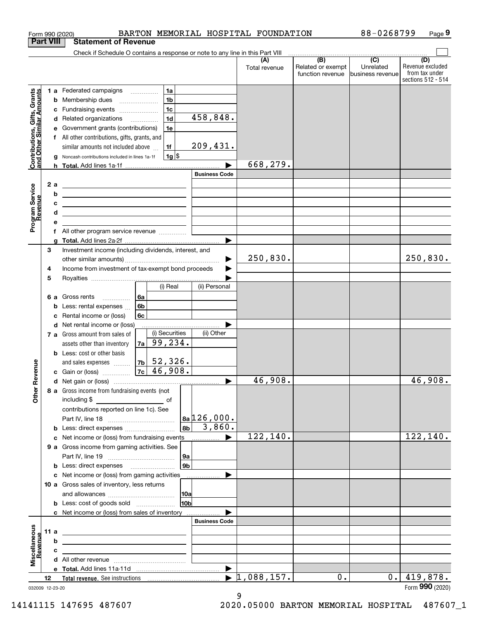| <b>Part VIII</b><br>Check if Schedule O contains a response or note to any line in this Part VIII<br>$\overbrace{ }$ (B) (C) $\overbrace{ }$<br>(D)<br>(A)<br>Related or exempt<br>Unrelated<br>Total revenue<br>function revenue<br>business revenue<br>1a<br>Contributions, Gifts, Grants<br>and Other Similar Amounts<br>1 a Federated campaigns<br>1 <sub>b</sub><br>Membership dues<br>b<br>$\ldots \ldots \ldots \ldots \ldots$<br>1 <sub>c</sub><br>Fundraising events<br>с<br>458,848.<br>1 <sub>d</sub><br>d Related organizations<br>Government grants (contributions)<br>1e<br>е<br>f All other contributions, gifts, grants, and<br>209,431.<br>1f<br>similar amounts not included above<br>$1g$ \$<br>Noncash contributions included in lines 1a-1f<br>g<br>668,279.<br><b>Business Code</b><br>Program Service<br>Revenue<br>2a<br><u> 1989 - Johann Harry Harry Harry Harry Harry Harry Harry Harry Harry Harry Harry Harry Harry Harry Harry Harry</u><br>b<br><u> 1980 - John Stone, amerikansk politiker (</u><br>с<br><u> Alexandria de la contrada de la contrada de la contrada de la contrada de la contrada de la contrada de la c</u><br>d<br><u> 1989 - Johann Barn, mars ann an t-Amhair ann an t-Amhair ann an t-Amhair ann an t-Amhair ann an t-Amhair ann an </u><br>е<br>f<br>g<br>3<br>Investment income (including dividends, interest, and<br>250,830.<br>250,830.<br>Income from investment of tax-exempt bond proceeds<br>4<br>5<br>(i) Real<br>(ii) Personal<br>6a<br>Gross rents<br>6а<br>6b<br>Less: rental expenses<br>b<br>Rental income or (loss)<br>6c<br>c<br>d Net rental income or (loss)<br>(i) Securities<br>(ii) Other<br>7 a Gross amount from sales of<br>$7a$ 99, 234.<br>assets other than inventory<br><b>b</b> Less: cost or other basis<br>$ 7b $ 52,326.<br>evenue<br>and sales expenses<br>$7c \mid 46,908.$<br>c Gain or (loss)<br>46,908.<br>46,908.<br>œ<br>Other<br>8 a Gross income from fundraising events (not<br>contributions reported on line 1c). See<br>$ a_{a} 126,000$ .<br>$ 8b $ 3,860.<br>122,140.<br>122, 140.<br>9 a Gross income from gaming activities. See<br> 9a<br>9 <sub>b</sub><br>c Net income or (loss) from gaming activities<br>.<br>10 a Gross sales of inventory, less returns<br>10 <sub>b</sub><br><b>b</b> Less: cost of goods sold<br>c Net income or (loss) from sales of inventory<br><b>Business Code</b><br>Miscellaneous<br>11 a<br><u> 1989 - John Harry Harry Harry Harry Harry Harry Harry Harry Harry Harry Harry Harry Harry Harry Harry Harry H</u><br>evenue<br>b<br><u> 1989 - Johann Stoff, amerikansk politiker (</u><br>c<br>$\blacktriangleright$ 1,088,157.<br>419,878.<br>0.1<br>0.<br>12<br>032009 12-23-20 |  | BARTON MEMORIAL HOSPITAL FOUNDATION<br>Form 990 (2020) |  | 88-0268799 | Page 9                                                   |
|------------------------------------------------------------------------------------------------------------------------------------------------------------------------------------------------------------------------------------------------------------------------------------------------------------------------------------------------------------------------------------------------------------------------------------------------------------------------------------------------------------------------------------------------------------------------------------------------------------------------------------------------------------------------------------------------------------------------------------------------------------------------------------------------------------------------------------------------------------------------------------------------------------------------------------------------------------------------------------------------------------------------------------------------------------------------------------------------------------------------------------------------------------------------------------------------------------------------------------------------------------------------------------------------------------------------------------------------------------------------------------------------------------------------------------------------------------------------------------------------------------------------------------------------------------------------------------------------------------------------------------------------------------------------------------------------------------------------------------------------------------------------------------------------------------------------------------------------------------------------------------------------------------------------------------------------------------------------------------------------------------------------------------------------------------------------------------------------------------------------------------------------------------------------------------------------------------------------------------------------------------------------------------------------------------------------------------------------------------------------------------------------------------------------------------------------------------------------------------------------------------------------------------------------------------------------------------------------------------------------------------------------------------------------------------------------------------------------------|--|--------------------------------------------------------|--|------------|----------------------------------------------------------|
|                                                                                                                                                                                                                                                                                                                                                                                                                                                                                                                                                                                                                                                                                                                                                                                                                                                                                                                                                                                                                                                                                                                                                                                                                                                                                                                                                                                                                                                                                                                                                                                                                                                                                                                                                                                                                                                                                                                                                                                                                                                                                                                                                                                                                                                                                                                                                                                                                                                                                                                                                                                                                                                                                                                              |  | <b>Statement of Revenue</b>                            |  |            |                                                          |
|                                                                                                                                                                                                                                                                                                                                                                                                                                                                                                                                                                                                                                                                                                                                                                                                                                                                                                                                                                                                                                                                                                                                                                                                                                                                                                                                                                                                                                                                                                                                                                                                                                                                                                                                                                                                                                                                                                                                                                                                                                                                                                                                                                                                                                                                                                                                                                                                                                                                                                                                                                                                                                                                                                                              |  |                                                        |  |            |                                                          |
|                                                                                                                                                                                                                                                                                                                                                                                                                                                                                                                                                                                                                                                                                                                                                                                                                                                                                                                                                                                                                                                                                                                                                                                                                                                                                                                                                                                                                                                                                                                                                                                                                                                                                                                                                                                                                                                                                                                                                                                                                                                                                                                                                                                                                                                                                                                                                                                                                                                                                                                                                                                                                                                                                                                              |  |                                                        |  |            | Revenue excluded<br>from tax under<br>sections 512 - 514 |
|                                                                                                                                                                                                                                                                                                                                                                                                                                                                                                                                                                                                                                                                                                                                                                                                                                                                                                                                                                                                                                                                                                                                                                                                                                                                                                                                                                                                                                                                                                                                                                                                                                                                                                                                                                                                                                                                                                                                                                                                                                                                                                                                                                                                                                                                                                                                                                                                                                                                                                                                                                                                                                                                                                                              |  |                                                        |  |            |                                                          |
|                                                                                                                                                                                                                                                                                                                                                                                                                                                                                                                                                                                                                                                                                                                                                                                                                                                                                                                                                                                                                                                                                                                                                                                                                                                                                                                                                                                                                                                                                                                                                                                                                                                                                                                                                                                                                                                                                                                                                                                                                                                                                                                                                                                                                                                                                                                                                                                                                                                                                                                                                                                                                                                                                                                              |  |                                                        |  |            |                                                          |
|                                                                                                                                                                                                                                                                                                                                                                                                                                                                                                                                                                                                                                                                                                                                                                                                                                                                                                                                                                                                                                                                                                                                                                                                                                                                                                                                                                                                                                                                                                                                                                                                                                                                                                                                                                                                                                                                                                                                                                                                                                                                                                                                                                                                                                                                                                                                                                                                                                                                                                                                                                                                                                                                                                                              |  |                                                        |  |            |                                                          |
|                                                                                                                                                                                                                                                                                                                                                                                                                                                                                                                                                                                                                                                                                                                                                                                                                                                                                                                                                                                                                                                                                                                                                                                                                                                                                                                                                                                                                                                                                                                                                                                                                                                                                                                                                                                                                                                                                                                                                                                                                                                                                                                                                                                                                                                                                                                                                                                                                                                                                                                                                                                                                                                                                                                              |  |                                                        |  |            |                                                          |
|                                                                                                                                                                                                                                                                                                                                                                                                                                                                                                                                                                                                                                                                                                                                                                                                                                                                                                                                                                                                                                                                                                                                                                                                                                                                                                                                                                                                                                                                                                                                                                                                                                                                                                                                                                                                                                                                                                                                                                                                                                                                                                                                                                                                                                                                                                                                                                                                                                                                                                                                                                                                                                                                                                                              |  |                                                        |  |            |                                                          |
|                                                                                                                                                                                                                                                                                                                                                                                                                                                                                                                                                                                                                                                                                                                                                                                                                                                                                                                                                                                                                                                                                                                                                                                                                                                                                                                                                                                                                                                                                                                                                                                                                                                                                                                                                                                                                                                                                                                                                                                                                                                                                                                                                                                                                                                                                                                                                                                                                                                                                                                                                                                                                                                                                                                              |  |                                                        |  |            |                                                          |
|                                                                                                                                                                                                                                                                                                                                                                                                                                                                                                                                                                                                                                                                                                                                                                                                                                                                                                                                                                                                                                                                                                                                                                                                                                                                                                                                                                                                                                                                                                                                                                                                                                                                                                                                                                                                                                                                                                                                                                                                                                                                                                                                                                                                                                                                                                                                                                                                                                                                                                                                                                                                                                                                                                                              |  |                                                        |  |            |                                                          |
|                                                                                                                                                                                                                                                                                                                                                                                                                                                                                                                                                                                                                                                                                                                                                                                                                                                                                                                                                                                                                                                                                                                                                                                                                                                                                                                                                                                                                                                                                                                                                                                                                                                                                                                                                                                                                                                                                                                                                                                                                                                                                                                                                                                                                                                                                                                                                                                                                                                                                                                                                                                                                                                                                                                              |  |                                                        |  |            |                                                          |
|                                                                                                                                                                                                                                                                                                                                                                                                                                                                                                                                                                                                                                                                                                                                                                                                                                                                                                                                                                                                                                                                                                                                                                                                                                                                                                                                                                                                                                                                                                                                                                                                                                                                                                                                                                                                                                                                                                                                                                                                                                                                                                                                                                                                                                                                                                                                                                                                                                                                                                                                                                                                                                                                                                                              |  |                                                        |  |            |                                                          |
|                                                                                                                                                                                                                                                                                                                                                                                                                                                                                                                                                                                                                                                                                                                                                                                                                                                                                                                                                                                                                                                                                                                                                                                                                                                                                                                                                                                                                                                                                                                                                                                                                                                                                                                                                                                                                                                                                                                                                                                                                                                                                                                                                                                                                                                                                                                                                                                                                                                                                                                                                                                                                                                                                                                              |  |                                                        |  |            |                                                          |
|                                                                                                                                                                                                                                                                                                                                                                                                                                                                                                                                                                                                                                                                                                                                                                                                                                                                                                                                                                                                                                                                                                                                                                                                                                                                                                                                                                                                                                                                                                                                                                                                                                                                                                                                                                                                                                                                                                                                                                                                                                                                                                                                                                                                                                                                                                                                                                                                                                                                                                                                                                                                                                                                                                                              |  |                                                        |  |            |                                                          |
|                                                                                                                                                                                                                                                                                                                                                                                                                                                                                                                                                                                                                                                                                                                                                                                                                                                                                                                                                                                                                                                                                                                                                                                                                                                                                                                                                                                                                                                                                                                                                                                                                                                                                                                                                                                                                                                                                                                                                                                                                                                                                                                                                                                                                                                                                                                                                                                                                                                                                                                                                                                                                                                                                                                              |  |                                                        |  |            |                                                          |
|                                                                                                                                                                                                                                                                                                                                                                                                                                                                                                                                                                                                                                                                                                                                                                                                                                                                                                                                                                                                                                                                                                                                                                                                                                                                                                                                                                                                                                                                                                                                                                                                                                                                                                                                                                                                                                                                                                                                                                                                                                                                                                                                                                                                                                                                                                                                                                                                                                                                                                                                                                                                                                                                                                                              |  |                                                        |  |            |                                                          |
|                                                                                                                                                                                                                                                                                                                                                                                                                                                                                                                                                                                                                                                                                                                                                                                                                                                                                                                                                                                                                                                                                                                                                                                                                                                                                                                                                                                                                                                                                                                                                                                                                                                                                                                                                                                                                                                                                                                                                                                                                                                                                                                                                                                                                                                                                                                                                                                                                                                                                                                                                                                                                                                                                                                              |  |                                                        |  |            |                                                          |
|                                                                                                                                                                                                                                                                                                                                                                                                                                                                                                                                                                                                                                                                                                                                                                                                                                                                                                                                                                                                                                                                                                                                                                                                                                                                                                                                                                                                                                                                                                                                                                                                                                                                                                                                                                                                                                                                                                                                                                                                                                                                                                                                                                                                                                                                                                                                                                                                                                                                                                                                                                                                                                                                                                                              |  |                                                        |  |            |                                                          |
|                                                                                                                                                                                                                                                                                                                                                                                                                                                                                                                                                                                                                                                                                                                                                                                                                                                                                                                                                                                                                                                                                                                                                                                                                                                                                                                                                                                                                                                                                                                                                                                                                                                                                                                                                                                                                                                                                                                                                                                                                                                                                                                                                                                                                                                                                                                                                                                                                                                                                                                                                                                                                                                                                                                              |  |                                                        |  |            |                                                          |
|                                                                                                                                                                                                                                                                                                                                                                                                                                                                                                                                                                                                                                                                                                                                                                                                                                                                                                                                                                                                                                                                                                                                                                                                                                                                                                                                                                                                                                                                                                                                                                                                                                                                                                                                                                                                                                                                                                                                                                                                                                                                                                                                                                                                                                                                                                                                                                                                                                                                                                                                                                                                                                                                                                                              |  |                                                        |  |            |                                                          |
|                                                                                                                                                                                                                                                                                                                                                                                                                                                                                                                                                                                                                                                                                                                                                                                                                                                                                                                                                                                                                                                                                                                                                                                                                                                                                                                                                                                                                                                                                                                                                                                                                                                                                                                                                                                                                                                                                                                                                                                                                                                                                                                                                                                                                                                                                                                                                                                                                                                                                                                                                                                                                                                                                                                              |  |                                                        |  |            |                                                          |
|                                                                                                                                                                                                                                                                                                                                                                                                                                                                                                                                                                                                                                                                                                                                                                                                                                                                                                                                                                                                                                                                                                                                                                                                                                                                                                                                                                                                                                                                                                                                                                                                                                                                                                                                                                                                                                                                                                                                                                                                                                                                                                                                                                                                                                                                                                                                                                                                                                                                                                                                                                                                                                                                                                                              |  |                                                        |  |            |                                                          |
|                                                                                                                                                                                                                                                                                                                                                                                                                                                                                                                                                                                                                                                                                                                                                                                                                                                                                                                                                                                                                                                                                                                                                                                                                                                                                                                                                                                                                                                                                                                                                                                                                                                                                                                                                                                                                                                                                                                                                                                                                                                                                                                                                                                                                                                                                                                                                                                                                                                                                                                                                                                                                                                                                                                              |  |                                                        |  |            |                                                          |
|                                                                                                                                                                                                                                                                                                                                                                                                                                                                                                                                                                                                                                                                                                                                                                                                                                                                                                                                                                                                                                                                                                                                                                                                                                                                                                                                                                                                                                                                                                                                                                                                                                                                                                                                                                                                                                                                                                                                                                                                                                                                                                                                                                                                                                                                                                                                                                                                                                                                                                                                                                                                                                                                                                                              |  |                                                        |  |            |                                                          |
|                                                                                                                                                                                                                                                                                                                                                                                                                                                                                                                                                                                                                                                                                                                                                                                                                                                                                                                                                                                                                                                                                                                                                                                                                                                                                                                                                                                                                                                                                                                                                                                                                                                                                                                                                                                                                                                                                                                                                                                                                                                                                                                                                                                                                                                                                                                                                                                                                                                                                                                                                                                                                                                                                                                              |  |                                                        |  |            |                                                          |
|                                                                                                                                                                                                                                                                                                                                                                                                                                                                                                                                                                                                                                                                                                                                                                                                                                                                                                                                                                                                                                                                                                                                                                                                                                                                                                                                                                                                                                                                                                                                                                                                                                                                                                                                                                                                                                                                                                                                                                                                                                                                                                                                                                                                                                                                                                                                                                                                                                                                                                                                                                                                                                                                                                                              |  |                                                        |  |            |                                                          |
|                                                                                                                                                                                                                                                                                                                                                                                                                                                                                                                                                                                                                                                                                                                                                                                                                                                                                                                                                                                                                                                                                                                                                                                                                                                                                                                                                                                                                                                                                                                                                                                                                                                                                                                                                                                                                                                                                                                                                                                                                                                                                                                                                                                                                                                                                                                                                                                                                                                                                                                                                                                                                                                                                                                              |  |                                                        |  |            |                                                          |
|                                                                                                                                                                                                                                                                                                                                                                                                                                                                                                                                                                                                                                                                                                                                                                                                                                                                                                                                                                                                                                                                                                                                                                                                                                                                                                                                                                                                                                                                                                                                                                                                                                                                                                                                                                                                                                                                                                                                                                                                                                                                                                                                                                                                                                                                                                                                                                                                                                                                                                                                                                                                                                                                                                                              |  |                                                        |  |            |                                                          |
|                                                                                                                                                                                                                                                                                                                                                                                                                                                                                                                                                                                                                                                                                                                                                                                                                                                                                                                                                                                                                                                                                                                                                                                                                                                                                                                                                                                                                                                                                                                                                                                                                                                                                                                                                                                                                                                                                                                                                                                                                                                                                                                                                                                                                                                                                                                                                                                                                                                                                                                                                                                                                                                                                                                              |  |                                                        |  |            |                                                          |
|                                                                                                                                                                                                                                                                                                                                                                                                                                                                                                                                                                                                                                                                                                                                                                                                                                                                                                                                                                                                                                                                                                                                                                                                                                                                                                                                                                                                                                                                                                                                                                                                                                                                                                                                                                                                                                                                                                                                                                                                                                                                                                                                                                                                                                                                                                                                                                                                                                                                                                                                                                                                                                                                                                                              |  |                                                        |  |            |                                                          |
|                                                                                                                                                                                                                                                                                                                                                                                                                                                                                                                                                                                                                                                                                                                                                                                                                                                                                                                                                                                                                                                                                                                                                                                                                                                                                                                                                                                                                                                                                                                                                                                                                                                                                                                                                                                                                                                                                                                                                                                                                                                                                                                                                                                                                                                                                                                                                                                                                                                                                                                                                                                                                                                                                                                              |  |                                                        |  |            |                                                          |
|                                                                                                                                                                                                                                                                                                                                                                                                                                                                                                                                                                                                                                                                                                                                                                                                                                                                                                                                                                                                                                                                                                                                                                                                                                                                                                                                                                                                                                                                                                                                                                                                                                                                                                                                                                                                                                                                                                                                                                                                                                                                                                                                                                                                                                                                                                                                                                                                                                                                                                                                                                                                                                                                                                                              |  |                                                        |  |            |                                                          |
|                                                                                                                                                                                                                                                                                                                                                                                                                                                                                                                                                                                                                                                                                                                                                                                                                                                                                                                                                                                                                                                                                                                                                                                                                                                                                                                                                                                                                                                                                                                                                                                                                                                                                                                                                                                                                                                                                                                                                                                                                                                                                                                                                                                                                                                                                                                                                                                                                                                                                                                                                                                                                                                                                                                              |  |                                                        |  |            |                                                          |
|                                                                                                                                                                                                                                                                                                                                                                                                                                                                                                                                                                                                                                                                                                                                                                                                                                                                                                                                                                                                                                                                                                                                                                                                                                                                                                                                                                                                                                                                                                                                                                                                                                                                                                                                                                                                                                                                                                                                                                                                                                                                                                                                                                                                                                                                                                                                                                                                                                                                                                                                                                                                                                                                                                                              |  |                                                        |  |            |                                                          |
|                                                                                                                                                                                                                                                                                                                                                                                                                                                                                                                                                                                                                                                                                                                                                                                                                                                                                                                                                                                                                                                                                                                                                                                                                                                                                                                                                                                                                                                                                                                                                                                                                                                                                                                                                                                                                                                                                                                                                                                                                                                                                                                                                                                                                                                                                                                                                                                                                                                                                                                                                                                                                                                                                                                              |  |                                                        |  |            |                                                          |
|                                                                                                                                                                                                                                                                                                                                                                                                                                                                                                                                                                                                                                                                                                                                                                                                                                                                                                                                                                                                                                                                                                                                                                                                                                                                                                                                                                                                                                                                                                                                                                                                                                                                                                                                                                                                                                                                                                                                                                                                                                                                                                                                                                                                                                                                                                                                                                                                                                                                                                                                                                                                                                                                                                                              |  |                                                        |  |            |                                                          |
|                                                                                                                                                                                                                                                                                                                                                                                                                                                                                                                                                                                                                                                                                                                                                                                                                                                                                                                                                                                                                                                                                                                                                                                                                                                                                                                                                                                                                                                                                                                                                                                                                                                                                                                                                                                                                                                                                                                                                                                                                                                                                                                                                                                                                                                                                                                                                                                                                                                                                                                                                                                                                                                                                                                              |  |                                                        |  |            |                                                          |
|                                                                                                                                                                                                                                                                                                                                                                                                                                                                                                                                                                                                                                                                                                                                                                                                                                                                                                                                                                                                                                                                                                                                                                                                                                                                                                                                                                                                                                                                                                                                                                                                                                                                                                                                                                                                                                                                                                                                                                                                                                                                                                                                                                                                                                                                                                                                                                                                                                                                                                                                                                                                                                                                                                                              |  |                                                        |  |            |                                                          |
|                                                                                                                                                                                                                                                                                                                                                                                                                                                                                                                                                                                                                                                                                                                                                                                                                                                                                                                                                                                                                                                                                                                                                                                                                                                                                                                                                                                                                                                                                                                                                                                                                                                                                                                                                                                                                                                                                                                                                                                                                                                                                                                                                                                                                                                                                                                                                                                                                                                                                                                                                                                                                                                                                                                              |  |                                                        |  |            |                                                          |
|                                                                                                                                                                                                                                                                                                                                                                                                                                                                                                                                                                                                                                                                                                                                                                                                                                                                                                                                                                                                                                                                                                                                                                                                                                                                                                                                                                                                                                                                                                                                                                                                                                                                                                                                                                                                                                                                                                                                                                                                                                                                                                                                                                                                                                                                                                                                                                                                                                                                                                                                                                                                                                                                                                                              |  |                                                        |  |            |                                                          |
|                                                                                                                                                                                                                                                                                                                                                                                                                                                                                                                                                                                                                                                                                                                                                                                                                                                                                                                                                                                                                                                                                                                                                                                                                                                                                                                                                                                                                                                                                                                                                                                                                                                                                                                                                                                                                                                                                                                                                                                                                                                                                                                                                                                                                                                                                                                                                                                                                                                                                                                                                                                                                                                                                                                              |  |                                                        |  |            |                                                          |
|                                                                                                                                                                                                                                                                                                                                                                                                                                                                                                                                                                                                                                                                                                                                                                                                                                                                                                                                                                                                                                                                                                                                                                                                                                                                                                                                                                                                                                                                                                                                                                                                                                                                                                                                                                                                                                                                                                                                                                                                                                                                                                                                                                                                                                                                                                                                                                                                                                                                                                                                                                                                                                                                                                                              |  |                                                        |  |            |                                                          |
|                                                                                                                                                                                                                                                                                                                                                                                                                                                                                                                                                                                                                                                                                                                                                                                                                                                                                                                                                                                                                                                                                                                                                                                                                                                                                                                                                                                                                                                                                                                                                                                                                                                                                                                                                                                                                                                                                                                                                                                                                                                                                                                                                                                                                                                                                                                                                                                                                                                                                                                                                                                                                                                                                                                              |  |                                                        |  |            |                                                          |
|                                                                                                                                                                                                                                                                                                                                                                                                                                                                                                                                                                                                                                                                                                                                                                                                                                                                                                                                                                                                                                                                                                                                                                                                                                                                                                                                                                                                                                                                                                                                                                                                                                                                                                                                                                                                                                                                                                                                                                                                                                                                                                                                                                                                                                                                                                                                                                                                                                                                                                                                                                                                                                                                                                                              |  |                                                        |  |            |                                                          |
|                                                                                                                                                                                                                                                                                                                                                                                                                                                                                                                                                                                                                                                                                                                                                                                                                                                                                                                                                                                                                                                                                                                                                                                                                                                                                                                                                                                                                                                                                                                                                                                                                                                                                                                                                                                                                                                                                                                                                                                                                                                                                                                                                                                                                                                                                                                                                                                                                                                                                                                                                                                                                                                                                                                              |  |                                                        |  |            |                                                          |
|                                                                                                                                                                                                                                                                                                                                                                                                                                                                                                                                                                                                                                                                                                                                                                                                                                                                                                                                                                                                                                                                                                                                                                                                                                                                                                                                                                                                                                                                                                                                                                                                                                                                                                                                                                                                                                                                                                                                                                                                                                                                                                                                                                                                                                                                                                                                                                                                                                                                                                                                                                                                                                                                                                                              |  |                                                        |  |            |                                                          |
|                                                                                                                                                                                                                                                                                                                                                                                                                                                                                                                                                                                                                                                                                                                                                                                                                                                                                                                                                                                                                                                                                                                                                                                                                                                                                                                                                                                                                                                                                                                                                                                                                                                                                                                                                                                                                                                                                                                                                                                                                                                                                                                                                                                                                                                                                                                                                                                                                                                                                                                                                                                                                                                                                                                              |  |                                                        |  |            |                                                          |
|                                                                                                                                                                                                                                                                                                                                                                                                                                                                                                                                                                                                                                                                                                                                                                                                                                                                                                                                                                                                                                                                                                                                                                                                                                                                                                                                                                                                                                                                                                                                                                                                                                                                                                                                                                                                                                                                                                                                                                                                                                                                                                                                                                                                                                                                                                                                                                                                                                                                                                                                                                                                                                                                                                                              |  |                                                        |  |            |                                                          |
|                                                                                                                                                                                                                                                                                                                                                                                                                                                                                                                                                                                                                                                                                                                                                                                                                                                                                                                                                                                                                                                                                                                                                                                                                                                                                                                                                                                                                                                                                                                                                                                                                                                                                                                                                                                                                                                                                                                                                                                                                                                                                                                                                                                                                                                                                                                                                                                                                                                                                                                                                                                                                                                                                                                              |  |                                                        |  |            |                                                          |
|                                                                                                                                                                                                                                                                                                                                                                                                                                                                                                                                                                                                                                                                                                                                                                                                                                                                                                                                                                                                                                                                                                                                                                                                                                                                                                                                                                                                                                                                                                                                                                                                                                                                                                                                                                                                                                                                                                                                                                                                                                                                                                                                                                                                                                                                                                                                                                                                                                                                                                                                                                                                                                                                                                                              |  |                                                        |  |            |                                                          |
|                                                                                                                                                                                                                                                                                                                                                                                                                                                                                                                                                                                                                                                                                                                                                                                                                                                                                                                                                                                                                                                                                                                                                                                                                                                                                                                                                                                                                                                                                                                                                                                                                                                                                                                                                                                                                                                                                                                                                                                                                                                                                                                                                                                                                                                                                                                                                                                                                                                                                                                                                                                                                                                                                                                              |  |                                                        |  |            |                                                          |
|                                                                                                                                                                                                                                                                                                                                                                                                                                                                                                                                                                                                                                                                                                                                                                                                                                                                                                                                                                                                                                                                                                                                                                                                                                                                                                                                                                                                                                                                                                                                                                                                                                                                                                                                                                                                                                                                                                                                                                                                                                                                                                                                                                                                                                                                                                                                                                                                                                                                                                                                                                                                                                                                                                                              |  |                                                        |  |            | Form 990 (2020)                                          |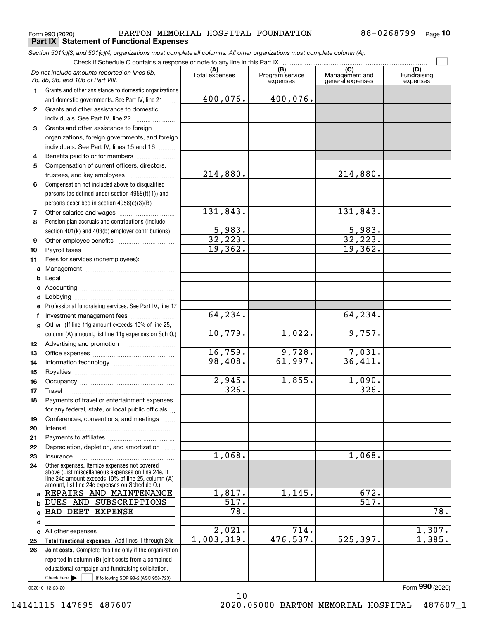**Part IX Statement of Functional Expenses**

*Section 501(c)(3) and 501(c)(4) organizations must complete all columns. All other organizations must complete column (A).*

 $\overline{\Box}$ 

|              | Do not include amounts reported on lines 6b,<br>7b, 8b, 9b, and 10b of Part VIII.                                     | (A)<br>Total expenses | (B)<br>Program service<br>expenses | $\overline{C}$<br>Management and<br>general expenses | (D)<br>Fundraising<br>expenses |  |  |  |  |  |  |
|--------------|-----------------------------------------------------------------------------------------------------------------------|-----------------------|------------------------------------|------------------------------------------------------|--------------------------------|--|--|--|--|--|--|
| 1.           | Grants and other assistance to domestic organizations                                                                 |                       |                                    |                                                      |                                |  |  |  |  |  |  |
|              | and domestic governments. See Part IV, line 21                                                                        | 400,076.              | 400,076.                           |                                                      |                                |  |  |  |  |  |  |
| $\mathbf{2}$ | Grants and other assistance to domestic                                                                               |                       |                                    |                                                      |                                |  |  |  |  |  |  |
|              | individuals. See Part IV, line 22                                                                                     |                       |                                    |                                                      |                                |  |  |  |  |  |  |
| 3            | Grants and other assistance to foreign                                                                                |                       |                                    |                                                      |                                |  |  |  |  |  |  |
|              | organizations, foreign governments, and foreign                                                                       |                       |                                    |                                                      |                                |  |  |  |  |  |  |
|              | individuals. See Part IV, lines 15 and 16                                                                             |                       |                                    |                                                      |                                |  |  |  |  |  |  |
| 4            | Benefits paid to or for members                                                                                       |                       |                                    |                                                      |                                |  |  |  |  |  |  |
| 5            | Compensation of current officers, directors,                                                                          |                       |                                    |                                                      |                                |  |  |  |  |  |  |
|              | trustees, and key employees                                                                                           | 214,880.              |                                    | 214,880.                                             |                                |  |  |  |  |  |  |
| 6            | Compensation not included above to disqualified                                                                       |                       |                                    |                                                      |                                |  |  |  |  |  |  |
|              | persons (as defined under section 4958(f)(1)) and                                                                     |                       |                                    |                                                      |                                |  |  |  |  |  |  |
|              | persons described in section 4958(c)(3)(B)                                                                            |                       |                                    |                                                      |                                |  |  |  |  |  |  |
| 7            | Other salaries and wages                                                                                              | 131,843.              |                                    | 131,843.                                             |                                |  |  |  |  |  |  |
| 8            | Pension plan accruals and contributions (include                                                                      |                       |                                    |                                                      |                                |  |  |  |  |  |  |
|              | section 401(k) and 403(b) employer contributions)                                                                     | 5,983.                |                                    | $\frac{5,983}{32,223}$                               |                                |  |  |  |  |  |  |
| 9            |                                                                                                                       | 32, 223.              |                                    |                                                      |                                |  |  |  |  |  |  |
| 10           |                                                                                                                       | 19,362.               |                                    | 19,362.                                              |                                |  |  |  |  |  |  |
| 11           | Fees for services (nonemployees):                                                                                     |                       |                                    |                                                      |                                |  |  |  |  |  |  |
| а            |                                                                                                                       |                       |                                    |                                                      |                                |  |  |  |  |  |  |
| b            |                                                                                                                       |                       |                                    |                                                      |                                |  |  |  |  |  |  |
| c            |                                                                                                                       |                       |                                    |                                                      |                                |  |  |  |  |  |  |
| d            |                                                                                                                       |                       |                                    |                                                      |                                |  |  |  |  |  |  |
| е            | Professional fundraising services. See Part IV, line 17                                                               | 64, 234.              |                                    |                                                      |                                |  |  |  |  |  |  |
| f            | Investment management fees                                                                                            |                       |                                    | 64,234.                                              |                                |  |  |  |  |  |  |
| g            | Other. (If line 11g amount exceeds 10% of line 25,                                                                    |                       |                                    |                                                      |                                |  |  |  |  |  |  |
|              | column (A) amount, list line 11g expenses on Sch O.)                                                                  | 10,779.               | 1,022.                             | 9,757.                                               |                                |  |  |  |  |  |  |
| 12           |                                                                                                                       | 16,759.               | 9,728.                             | 7,031.                                               |                                |  |  |  |  |  |  |
| 13           |                                                                                                                       | 98,408.               | 61,997.                            | 36,411.                                              |                                |  |  |  |  |  |  |
| 14           |                                                                                                                       |                       |                                    |                                                      |                                |  |  |  |  |  |  |
| 15<br>16     |                                                                                                                       | $\overline{2,945}$ .  | 1,855.                             | 1,090.                                               |                                |  |  |  |  |  |  |
| 17           | Travel                                                                                                                | 326.                  |                                    | $\overline{326}$ .                                   |                                |  |  |  |  |  |  |
| 18           | Payments of travel or entertainment expenses                                                                          |                       |                                    |                                                      |                                |  |  |  |  |  |  |
|              | for any federal, state, or local public officials                                                                     |                       |                                    |                                                      |                                |  |  |  |  |  |  |
| 19           | Conferences, conventions, and meetings                                                                                |                       |                                    |                                                      |                                |  |  |  |  |  |  |
| 20           | Interest                                                                                                              |                       |                                    |                                                      |                                |  |  |  |  |  |  |
| 21           |                                                                                                                       |                       |                                    |                                                      |                                |  |  |  |  |  |  |
| 22           | Depreciation, depletion, and amortization                                                                             |                       |                                    |                                                      |                                |  |  |  |  |  |  |
| 23           | Insurance                                                                                                             | 1,068.                |                                    | 1,068.                                               |                                |  |  |  |  |  |  |
| 24           | Other expenses. Itemize expenses not covered<br>above (List miscellaneous expenses on line 24e. If                    |                       |                                    |                                                      |                                |  |  |  |  |  |  |
|              | line 24e amount exceeds 10% of line 25, column (A)                                                                    |                       |                                    |                                                      |                                |  |  |  |  |  |  |
|              | amount, list line 24e expenses on Schedule O.)                                                                        |                       |                                    |                                                      |                                |  |  |  |  |  |  |
| a            | REPAIRS AND MAINTENANCE                                                                                               | 1,817.                | 1,145.                             | 672.                                                 |                                |  |  |  |  |  |  |
| b            | DUES AND SUBSCRIPTIONS                                                                                                | 517.                  |                                    | $\overline{517}$ .                                   |                                |  |  |  |  |  |  |
| c            | <b>BAD DEBT EXPENSE</b>                                                                                               | 78.                   |                                    |                                                      | $\overline{78.}$               |  |  |  |  |  |  |
| d            |                                                                                                                       |                       | 714.                               |                                                      |                                |  |  |  |  |  |  |
| е            | All other expenses                                                                                                    | 2,021.<br>1,003,319.  | 476,537.                           | 525, 397.                                            | 1,307.<br>1,385.               |  |  |  |  |  |  |
| 25           | Total functional expenses. Add lines 1 through 24e<br><b>Joint costs.</b> Complete this line only if the organization |                       |                                    |                                                      |                                |  |  |  |  |  |  |
| 26           | reported in column (B) joint costs from a combined                                                                    |                       |                                    |                                                      |                                |  |  |  |  |  |  |
|              | educational campaign and fundraising solicitation.                                                                    |                       |                                    |                                                      |                                |  |  |  |  |  |  |
|              | Check here $\blacktriangleright$<br>if following SOP 98-2 (ASC 958-720)                                               |                       |                                    |                                                      |                                |  |  |  |  |  |  |

10

032010 12-23-20

Form (2020) **990**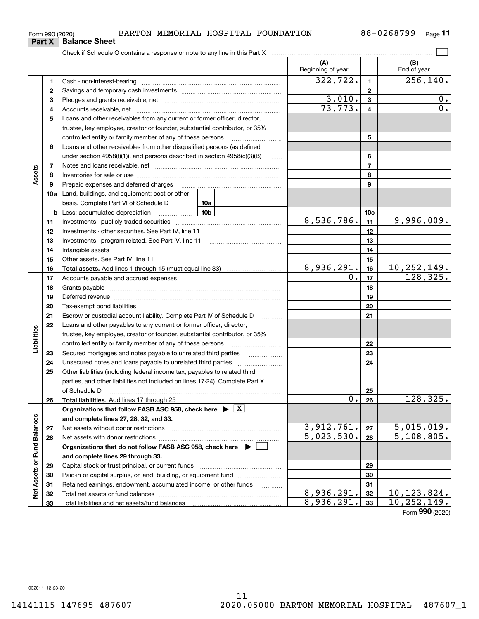**Part X Balance Sheet**

## $_{\rm Form}$   $_{990}$  (2020) BARTON MEMORIAL HOSPITAL FOUNDATION 88-0268799  $_{\rm Page}$

**11**

|                             |    |                                                                                                                                                                                                                                | (A)<br>Beginning of year          |                 | (B)<br>End of year                           |
|-----------------------------|----|--------------------------------------------------------------------------------------------------------------------------------------------------------------------------------------------------------------------------------|-----------------------------------|-----------------|----------------------------------------------|
|                             | 1  |                                                                                                                                                                                                                                | 322,722.                          | $\mathbf{1}$    | 256, 140.                                    |
|                             | 2  | Savings and temporary cash investments [111] [11] continuum material contracts and temporary cash investments                                                                                                                  |                                   | $\mathbf{2}$    |                                              |
|                             | 3  |                                                                                                                                                                                                                                | 3,010.                            | $\mathbf 3$     | 0.                                           |
|                             | 4  |                                                                                                                                                                                                                                | $\overline{73}, \overline{773}$ . | 4               | 0.                                           |
|                             | 5  | Loans and other receivables from any current or former officer, director,                                                                                                                                                      |                                   |                 |                                              |
|                             |    | trustee, key employee, creator or founder, substantial contributor, or 35%                                                                                                                                                     |                                   |                 |                                              |
|                             |    | controlled entity or family member of any of these persons                                                                                                                                                                     |                                   | 5               |                                              |
|                             | 6  | Loans and other receivables from other disqualified persons (as defined                                                                                                                                                        |                                   |                 |                                              |
|                             |    | under section $4958(f)(1)$ , and persons described in section $4958(c)(3)(B)$<br>$\ldots$                                                                                                                                      |                                   | 6               |                                              |
|                             | 7  |                                                                                                                                                                                                                                |                                   | $\overline{7}$  |                                              |
| Assets                      | 8  |                                                                                                                                                                                                                                |                                   | 8               |                                              |
|                             | 9  | Prepaid expenses and deferred charges                                                                                                                                                                                          |                                   | 9               |                                              |
|                             |    | <b>10a</b> Land, buildings, and equipment: cost or other                                                                                                                                                                       |                                   |                 |                                              |
|                             |    | basis. Complete Part VI of Schedule D<br>10a                                                                                                                                                                                   |                                   |                 |                                              |
|                             |    | 10b<br><b>b</b> Less: accumulated depreciation                                                                                                                                                                                 |                                   | 10 <sub>c</sub> |                                              |
|                             | 11 |                                                                                                                                                                                                                                | 8,536,786.                        | 11              | 9,996,009.                                   |
|                             | 12 |                                                                                                                                                                                                                                |                                   | 12              |                                              |
|                             | 13 |                                                                                                                                                                                                                                |                                   | 13              |                                              |
|                             | 14 |                                                                                                                                                                                                                                |                                   | 14              |                                              |
|                             | 15 |                                                                                                                                                                                                                                |                                   | 15              |                                              |
|                             | 16 |                                                                                                                                                                                                                                | 8,936,291.                        | 16              | 10, 252, 149.                                |
|                             | 17 |                                                                                                                                                                                                                                | 0.                                | 17              | 128, 325.                                    |
|                             | 18 |                                                                                                                                                                                                                                |                                   | 18              |                                              |
|                             | 19 | Deferred revenue manual contracts and contracts are contracted and contract and contract are contracted and contract are contracted and contract are contracted and contract are contracted and contract are contracted and co |                                   | 19              |                                              |
|                             | 20 |                                                                                                                                                                                                                                |                                   | 20              |                                              |
|                             | 21 | Escrow or custodial account liability. Complete Part IV of Schedule D                                                                                                                                                          |                                   | 21              |                                              |
|                             | 22 | Loans and other payables to any current or former officer, director,                                                                                                                                                           |                                   |                 |                                              |
| Liabilities                 |    | trustee, key employee, creator or founder, substantial contributor, or 35%                                                                                                                                                     |                                   |                 |                                              |
|                             |    | controlled entity or family member of any of these persons                                                                                                                                                                     |                                   | 22              |                                              |
|                             | 23 | Secured mortgages and notes payable to unrelated third parties                                                                                                                                                                 |                                   | 23              |                                              |
|                             | 24 |                                                                                                                                                                                                                                |                                   | 24              |                                              |
|                             | 25 | Other liabilities (including federal income tax, payables to related third                                                                                                                                                     |                                   |                 |                                              |
|                             |    | parties, and other liabilities not included on lines 17-24). Complete Part X                                                                                                                                                   |                                   |                 |                                              |
|                             |    |                                                                                                                                                                                                                                |                                   | 25              |                                              |
|                             | 26 |                                                                                                                                                                                                                                | 0.1                               | 26              | $\overline{128}$ , 325.                      |
|                             |    | Organizations that follow FASB ASC 958, check here $\blacktriangleright \lfloor X \rfloor$                                                                                                                                     |                                   |                 |                                              |
|                             |    | and complete lines 27, 28, 32, and 33.                                                                                                                                                                                         |                                   |                 |                                              |
|                             | 27 |                                                                                                                                                                                                                                | 3,912,761.                        | 27              | 5,015,019.                                   |
|                             | 28 |                                                                                                                                                                                                                                | 5,023,530.                        | 28              | 5,108,805.                                   |
|                             |    | Organizations that do not follow FASB ASC 958, check here ▶ □                                                                                                                                                                  |                                   |                 |                                              |
|                             |    | and complete lines 29 through 33.                                                                                                                                                                                              |                                   |                 |                                              |
|                             | 29 |                                                                                                                                                                                                                                |                                   | 29              |                                              |
|                             | 30 | Paid-in or capital surplus, or land, building, or equipment fund                                                                                                                                                               |                                   | 30              |                                              |
| Net Assets or Fund Balances | 31 | Retained earnings, endowment, accumulated income, or other funds                                                                                                                                                               |                                   | 31              |                                              |
|                             | 32 |                                                                                                                                                                                                                                | 8,936,291.<br>8,936,291.          | 32              | 10, 123, 824.<br>$\overline{10}$ , 252, 149. |
|                             | 33 |                                                                                                                                                                                                                                |                                   | 33              | $000 \times 22$                              |

Form (2020) **990**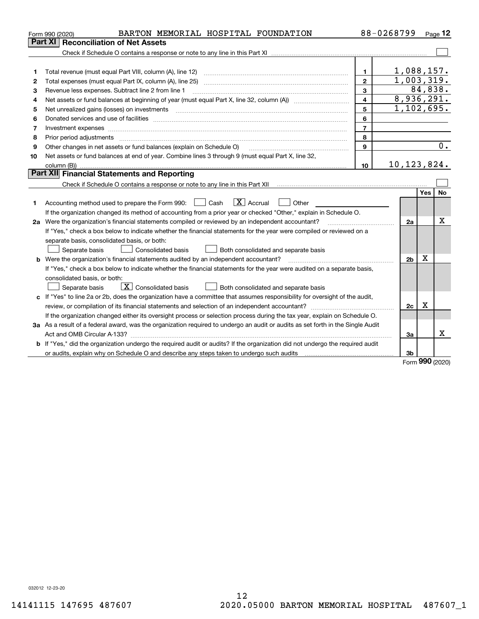|    | BARTON MEMORIAL HOSPITAL FOUNDATION<br>Form 990 (2020)                                                                          |                         | 88-0268799     |            | Page 12 |
|----|---------------------------------------------------------------------------------------------------------------------------------|-------------------------|----------------|------------|---------|
|    | Part XI<br><b>Reconciliation of Net Assets</b>                                                                                  |                         |                |            |         |
|    |                                                                                                                                 |                         |                |            |         |
|    |                                                                                                                                 |                         |                |            |         |
| 1  |                                                                                                                                 | 1                       | 1,088,157.     |            |         |
| 2  |                                                                                                                                 | $\overline{2}$          | 1,003,319.     |            |         |
| 3  | Revenue less expenses. Subtract line 2 from line 1                                                                              | 3                       |                |            | 84,838. |
| 4  |                                                                                                                                 | $\overline{\mathbf{4}}$ | 8,936,291.     |            |         |
| 5  |                                                                                                                                 | 5                       | 1,102,695.     |            |         |
| 6  |                                                                                                                                 | 6                       |                |            |         |
| 7  | Investment expenses                                                                                                             | $\overline{7}$          |                |            |         |
| 8  |                                                                                                                                 | 8                       |                |            |         |
| 9  | Other changes in net assets or fund balances (explain on Schedule O)                                                            | 9                       |                |            | 0.      |
| 10 | Net assets or fund balances at end of year. Combine lines 3 through 9 (must equal Part X, line 32,                              |                         |                |            |         |
|    |                                                                                                                                 | 10                      | 10, 123, 824.  |            |         |
|    | <b>Part XII</b> Financial Statements and Reporting                                                                              |                         |                |            |         |
|    |                                                                                                                                 |                         |                |            |         |
|    |                                                                                                                                 |                         |                | Yes        | No      |
| 1  | $\boxed{\text{X}}$ Accrual<br>Accounting method used to prepare the Form 990: <u>I</u> Cash<br>Other                            |                         |                |            |         |
|    | If the organization changed its method of accounting from a prior year or checked "Other," explain in Schedule O.               |                         |                |            |         |
|    | 2a Were the organization's financial statements compiled or reviewed by an independent accountant?                              |                         | 2a             |            | X       |
|    | If "Yes," check a box below to indicate whether the financial statements for the year were compiled or reviewed on a            |                         |                |            |         |
|    | separate basis, consolidated basis, or both:                                                                                    |                         |                |            |         |
|    | Both consolidated and separate basis<br>Separate basis<br>Consolidated basis                                                    |                         |                |            |         |
|    | <b>b</b> Were the organization's financial statements audited by an independent accountant?                                     |                         | 2 <sub>b</sub> | X          |         |
|    | If "Yes," check a box below to indicate whether the financial statements for the year were audited on a separate basis,         |                         |                |            |         |
|    | consolidated basis, or both:                                                                                                    |                         |                |            |         |
|    | $\boxed{\textbf{X}}$ Consolidated basis<br>Both consolidated and separate basis<br>Separate basis                               |                         |                |            |         |
|    | c If "Yes" to line 2a or 2b, does the organization have a committee that assumes responsibility for oversight of the audit,     |                         |                |            |         |
|    |                                                                                                                                 |                         | 2c             | X          |         |
|    | If the organization changed either its oversight process or selection process during the tax year, explain on Schedule O.       |                         |                |            |         |
|    | 3a As a result of a federal award, was the organization required to undergo an audit or audits as set forth in the Single Audit |                         |                |            |         |
|    |                                                                                                                                 |                         | За             |            | x       |
|    | b If "Yes," did the organization undergo the required audit or audits? If the organization did not undergo the required audit   |                         |                |            |         |
|    | or audits, explain why on Schedule O and describe any steps taken to undergo such audits [11] content to under                  |                         | 3b             | <b>nnn</b> |         |

Form (2020) **990**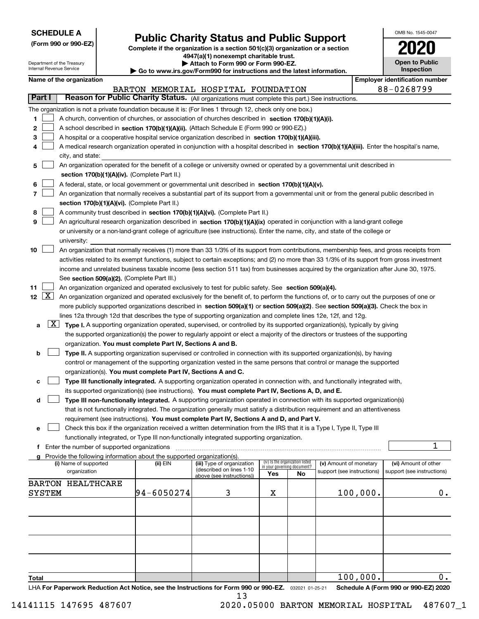| <b>SCHEDULE A</b> |  |
|-------------------|--|
|-------------------|--|

Department of the Treasury

**(Form 990 or 990-EZ)**

## **Public Charity Status and Public Support**

**Complete if the organization is a section 501(c)(3) organization or a section 4947(a)(1) nonexempt charitable trust. | Attach to Form 990 or Form 990-EZ.** 

| OMB No 1545-0047                    |
|-------------------------------------|
| 2020                                |
| <b>Open to Public</b><br>Inspection |

|                      |                     | Internal Revenue Service                                                                                                                                                                                                                                                              |                                               |                                                                        | Go to www.irs.gov/Form990 for instructions and the latest information.                                                                     |     |                                   |                            |          | Inspection                            |  |  |
|----------------------|---------------------|---------------------------------------------------------------------------------------------------------------------------------------------------------------------------------------------------------------------------------------------------------------------------------------|-----------------------------------------------|------------------------------------------------------------------------|--------------------------------------------------------------------------------------------------------------------------------------------|-----|-----------------------------------|----------------------------|----------|---------------------------------------|--|--|
|                      |                     | Name of the organization                                                                                                                                                                                                                                                              |                                               |                                                                        |                                                                                                                                            |     |                                   |                            |          | <b>Employer identification number</b> |  |  |
|                      |                     |                                                                                                                                                                                                                                                                                       |                                               |                                                                        | BARTON MEMORIAL HOSPITAL FOUNDATION                                                                                                        |     |                                   |                            |          | 88-0268799                            |  |  |
| Part I               |                     |                                                                                                                                                                                                                                                                                       |                                               |                                                                        | Reason for Public Charity Status. (All organizations must complete this part.) See instructions.                                           |     |                                   |                            |          |                                       |  |  |
|                      |                     |                                                                                                                                                                                                                                                                                       |                                               |                                                                        | The organization is not a private foundation because it is: (For lines 1 through 12, check only one box.)                                  |     |                                   |                            |          |                                       |  |  |
| 1                    |                     |                                                                                                                                                                                                                                                                                       |                                               |                                                                        | A church, convention of churches, or association of churches described in section 170(b)(1)(A)(i).                                         |     |                                   |                            |          |                                       |  |  |
| 2                    |                     |                                                                                                                                                                                                                                                                                       |                                               |                                                                        | A school described in section 170(b)(1)(A)(ii). (Attach Schedule E (Form 990 or 990-EZ).)                                                  |     |                                   |                            |          |                                       |  |  |
| з                    |                     |                                                                                                                                                                                                                                                                                       |                                               |                                                                        | A hospital or a cooperative hospital service organization described in section 170(b)(1)(A)(iii).                                          |     |                                   |                            |          |                                       |  |  |
|                      |                     |                                                                                                                                                                                                                                                                                       |                                               |                                                                        | A medical research organization operated in conjunction with a hospital described in section 170(b)(1)(A)(iii). Enter the hospital's name, |     |                                   |                            |          |                                       |  |  |
|                      |                     | city, and state:                                                                                                                                                                                                                                                                      |                                               |                                                                        |                                                                                                                                            |     |                                   |                            |          |                                       |  |  |
| 5                    |                     |                                                                                                                                                                                                                                                                                       |                                               |                                                                        | An organization operated for the benefit of a college or university owned or operated by a governmental unit described in                  |     |                                   |                            |          |                                       |  |  |
|                      |                     |                                                                                                                                                                                                                                                                                       |                                               | section 170(b)(1)(A)(iv). (Complete Part II.)                          |                                                                                                                                            |     |                                   |                            |          |                                       |  |  |
|                      |                     |                                                                                                                                                                                                                                                                                       |                                               |                                                                        | A federal, state, or local government or governmental unit described in section 170(b)(1)(A)(v).                                           |     |                                   |                            |          |                                       |  |  |
| 7                    |                     |                                                                                                                                                                                                                                                                                       |                                               |                                                                        | An organization that normally receives a substantial part of its support from a governmental unit or from the general public described in  |     |                                   |                            |          |                                       |  |  |
|                      |                     |                                                                                                                                                                                                                                                                                       |                                               | section 170(b)(1)(A)(vi). (Complete Part II.)                          |                                                                                                                                            |     |                                   |                            |          |                                       |  |  |
| 8<br>9               |                     |                                                                                                                                                                                                                                                                                       |                                               |                                                                        | A community trust described in section 170(b)(1)(A)(vi). (Complete Part II.)                                                               |     |                                   |                            |          |                                       |  |  |
|                      |                     |                                                                                                                                                                                                                                                                                       |                                               |                                                                        | An agricultural research organization described in section 170(b)(1)(A)(ix) operated in conjunction with a land-grant college              |     |                                   |                            |          |                                       |  |  |
|                      |                     |                                                                                                                                                                                                                                                                                       |                                               |                                                                        | or university or a non-land-grant college of agriculture (see instructions). Enter the name, city, and state of the college or             |     |                                   |                            |          |                                       |  |  |
| 10                   |                     | university:                                                                                                                                                                                                                                                                           |                                               |                                                                        | An organization that normally receives (1) more than 33 1/3% of its support from contributions, membership fees, and gross receipts from   |     |                                   |                            |          |                                       |  |  |
|                      |                     |                                                                                                                                                                                                                                                                                       |                                               |                                                                        |                                                                                                                                            |     |                                   |                            |          |                                       |  |  |
|                      |                     | activities related to its exempt functions, subject to certain exceptions; and (2) no more than 33 1/3% of its support from gross investment<br>income and unrelated business taxable income (less section 511 tax) from businesses acquired by the organization after June 30, 1975. |                                               |                                                                        |                                                                                                                                            |     |                                   |                            |          |                                       |  |  |
|                      |                     |                                                                                                                                                                                                                                                                                       |                                               | See section 509(a)(2). (Complete Part III.)                            |                                                                                                                                            |     |                                   |                            |          |                                       |  |  |
| 11                   |                     |                                                                                                                                                                                                                                                                                       |                                               |                                                                        | An organization organized and operated exclusively to test for public safety. See section 509(a)(4).                                       |     |                                   |                            |          |                                       |  |  |
| $12 \quad \boxed{X}$ |                     |                                                                                                                                                                                                                                                                                       |                                               |                                                                        | An organization organized and operated exclusively for the benefit of, to perform the functions of, or to carry out the purposes of one or |     |                                   |                            |          |                                       |  |  |
|                      |                     |                                                                                                                                                                                                                                                                                       |                                               |                                                                        | more publicly supported organizations described in section 509(a)(1) or section 509(a)(2). See section 509(a)(3). Check the box in         |     |                                   |                            |          |                                       |  |  |
|                      |                     |                                                                                                                                                                                                                                                                                       |                                               |                                                                        | lines 12a through 12d that describes the type of supporting organization and complete lines 12e, 12f, and 12g.                             |     |                                   |                            |          |                                       |  |  |
| а                    | $\lfloor x \rfloor$ |                                                                                                                                                                                                                                                                                       |                                               |                                                                        | Type I. A supporting organization operated, supervised, or controlled by its supported organization(s), typically by giving                |     |                                   |                            |          |                                       |  |  |
|                      |                     |                                                                                                                                                                                                                                                                                       |                                               |                                                                        | the supported organization(s) the power to regularly appoint or elect a majority of the directors or trustees of the supporting            |     |                                   |                            |          |                                       |  |  |
|                      |                     |                                                                                                                                                                                                                                                                                       |                                               | organization. You must complete Part IV, Sections A and B.             |                                                                                                                                            |     |                                   |                            |          |                                       |  |  |
| b                    |                     |                                                                                                                                                                                                                                                                                       |                                               |                                                                        | Type II. A supporting organization supervised or controlled in connection with its supported organization(s), by having                    |     |                                   |                            |          |                                       |  |  |
|                      |                     |                                                                                                                                                                                                                                                                                       |                                               |                                                                        | control or management of the supporting organization vested in the same persons that control or manage the supported                       |     |                                   |                            |          |                                       |  |  |
|                      |                     |                                                                                                                                                                                                                                                                                       |                                               | organization(s). You must complete Part IV, Sections A and C.          |                                                                                                                                            |     |                                   |                            |          |                                       |  |  |
| c                    |                     |                                                                                                                                                                                                                                                                                       |                                               |                                                                        | Type III functionally integrated. A supporting organization operated in connection with, and functionally integrated with,                 |     |                                   |                            |          |                                       |  |  |
|                      |                     |                                                                                                                                                                                                                                                                                       |                                               |                                                                        | its supported organization(s) (see instructions). You must complete Part IV, Sections A, D, and E.                                         |     |                                   |                            |          |                                       |  |  |
| d                    |                     |                                                                                                                                                                                                                                                                                       |                                               |                                                                        | Type III non-functionally integrated. A supporting organization operated in connection with its supported organization(s)                  |     |                                   |                            |          |                                       |  |  |
|                      |                     |                                                                                                                                                                                                                                                                                       |                                               |                                                                        | that is not functionally integrated. The organization generally must satisfy a distribution requirement and an attentiveness               |     |                                   |                            |          |                                       |  |  |
|                      |                     |                                                                                                                                                                                                                                                                                       |                                               |                                                                        | requirement (see instructions). You must complete Part IV, Sections A and D, and Part V.                                                   |     |                                   |                            |          |                                       |  |  |
| е                    |                     |                                                                                                                                                                                                                                                                                       |                                               |                                                                        | Check this box if the organization received a written determination from the IRS that it is a Type I, Type II, Type III                    |     |                                   |                            |          |                                       |  |  |
|                      |                     |                                                                                                                                                                                                                                                                                       |                                               |                                                                        | functionally integrated, or Type III non-functionally integrated supporting organization.                                                  |     |                                   |                            |          | 1                                     |  |  |
|                      |                     |                                                                                                                                                                                                                                                                                       | f Enter the number of supported organizations | Provide the following information about the supported organization(s). |                                                                                                                                            |     |                                   |                            |          |                                       |  |  |
|                      |                     | (i) Name of supported                                                                                                                                                                                                                                                                 |                                               | (ii) EIN                                                               | (iii) Type of organization                                                                                                                 |     | (iv) Is the organization listed   | (v) Amount of monetary     |          | (vi) Amount of other                  |  |  |
|                      |                     | organization                                                                                                                                                                                                                                                                          |                                               |                                                                        | (described on lines 1-10<br>above (see instructions))                                                                                      | Yes | in your governing document?<br>No | support (see instructions) |          | support (see instructions)            |  |  |
|                      |                     | <b>BARTON HEALTHCARE</b>                                                                                                                                                                                                                                                              |                                               |                                                                        |                                                                                                                                            |     |                                   |                            |          |                                       |  |  |
|                      | SYSTEM              |                                                                                                                                                                                                                                                                                       |                                               | 94-6050274                                                             | 3                                                                                                                                          | х   |                                   |                            | 100,000. | $0_{.}$                               |  |  |
|                      |                     |                                                                                                                                                                                                                                                                                       |                                               |                                                                        |                                                                                                                                            |     |                                   |                            |          |                                       |  |  |
|                      |                     |                                                                                                                                                                                                                                                                                       |                                               |                                                                        |                                                                                                                                            |     |                                   |                            |          |                                       |  |  |
|                      |                     |                                                                                                                                                                                                                                                                                       |                                               |                                                                        |                                                                                                                                            |     |                                   |                            |          |                                       |  |  |
|                      |                     |                                                                                                                                                                                                                                                                                       |                                               |                                                                        |                                                                                                                                            |     |                                   |                            |          |                                       |  |  |
|                      |                     |                                                                                                                                                                                                                                                                                       |                                               |                                                                        |                                                                                                                                            |     |                                   |                            |          |                                       |  |  |
|                      |                     |                                                                                                                                                                                                                                                                                       |                                               |                                                                        |                                                                                                                                            |     |                                   |                            |          |                                       |  |  |
|                      |                     |                                                                                                                                                                                                                                                                                       |                                               |                                                                        |                                                                                                                                            |     |                                   |                            |          |                                       |  |  |
|                      |                     |                                                                                                                                                                                                                                                                                       |                                               |                                                                        |                                                                                                                                            |     |                                   |                            |          |                                       |  |  |
| Total                |                     |                                                                                                                                                                                                                                                                                       |                                               |                                                                        |                                                                                                                                            |     |                                   |                            | 100,000. | $\overline{0}$ .                      |  |  |

**Total**

LHA For Paperwork Reduction Act Notice, see the Instructions for Form 990 or 990-EZ. <sub>032021</sub> o1-25-21 Schedule A (Form 990 or 990-EZ) 2020

100,000.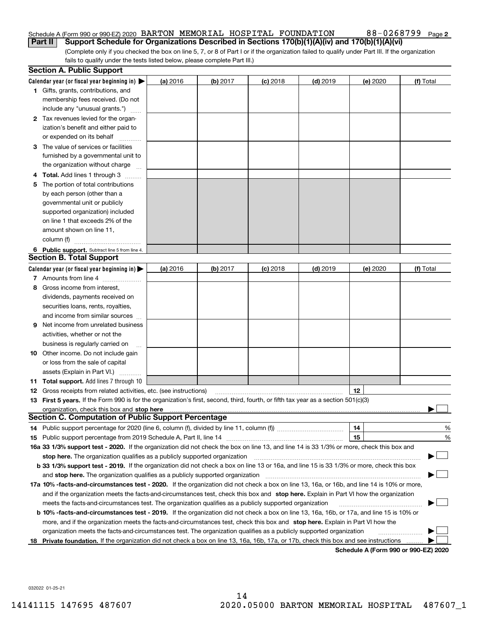## Schedule A (Form 990 or 990-EZ) 2020 Page BARTON MEMORIAL HOSPITAL FOUNDATION 88-0268799 **Part II Support Schedule for Organizations Described in Sections 170(b)(1)(A)(iv) and 170(b)(1)(A)(vi)**

(Complete only if you checked the box on line 5, 7, or 8 of Part I or if the organization failed to qualify under Part III. If the organization fails to qualify under the tests listed below, please complete Part III.)

|    | <b>Section A. Public Support</b>                                                                                                               |          |            |            |            |          |                                      |
|----|------------------------------------------------------------------------------------------------------------------------------------------------|----------|------------|------------|------------|----------|--------------------------------------|
|    | Calendar year (or fiscal year beginning in) $\blacktriangleright$                                                                              | (a) 2016 | $(b)$ 2017 | $(c)$ 2018 | $(d)$ 2019 | (e) 2020 | (f) Total                            |
|    | 1 Gifts, grants, contributions, and                                                                                                            |          |            |            |            |          |                                      |
|    | membership fees received. (Do not                                                                                                              |          |            |            |            |          |                                      |
|    | include any "unusual grants.")                                                                                                                 |          |            |            |            |          |                                      |
|    | 2 Tax revenues levied for the organ-                                                                                                           |          |            |            |            |          |                                      |
|    | ization's benefit and either paid to                                                                                                           |          |            |            |            |          |                                      |
|    | or expended on its behalf                                                                                                                      |          |            |            |            |          |                                      |
|    | 3 The value of services or facilities                                                                                                          |          |            |            |            |          |                                      |
|    | furnished by a governmental unit to                                                                                                            |          |            |            |            |          |                                      |
|    | the organization without charge                                                                                                                |          |            |            |            |          |                                      |
|    | 4 Total. Add lines 1 through 3                                                                                                                 |          |            |            |            |          |                                      |
| 5  | The portion of total contributions                                                                                                             |          |            |            |            |          |                                      |
|    | by each person (other than a                                                                                                                   |          |            |            |            |          |                                      |
|    | governmental unit or publicly                                                                                                                  |          |            |            |            |          |                                      |
|    | supported organization) included                                                                                                               |          |            |            |            |          |                                      |
|    | on line 1 that exceeds 2% of the                                                                                                               |          |            |            |            |          |                                      |
|    | amount shown on line 11,                                                                                                                       |          |            |            |            |          |                                      |
|    | column (f)                                                                                                                                     |          |            |            |            |          |                                      |
|    | 6 Public support. Subtract line 5 from line 4.                                                                                                 |          |            |            |            |          |                                      |
|    | <b>Section B. Total Support</b>                                                                                                                |          |            |            |            |          |                                      |
|    | Calendar year (or fiscal year beginning in) $\blacktriangleright$                                                                              | (a) 2016 | (b) 2017   | $(c)$ 2018 | $(d)$ 2019 | (e) 2020 | (f) Total                            |
|    | 7 Amounts from line 4                                                                                                                          |          |            |            |            |          |                                      |
| 8  | Gross income from interest,                                                                                                                    |          |            |            |            |          |                                      |
|    | dividends, payments received on                                                                                                                |          |            |            |            |          |                                      |
|    | securities loans, rents, royalties,                                                                                                            |          |            |            |            |          |                                      |
|    | and income from similar sources                                                                                                                |          |            |            |            |          |                                      |
|    | <b>9</b> Net income from unrelated business                                                                                                    |          |            |            |            |          |                                      |
|    | activities, whether or not the                                                                                                                 |          |            |            |            |          |                                      |
|    | business is regularly carried on                                                                                                               |          |            |            |            |          |                                      |
|    | <b>10</b> Other income. Do not include gain                                                                                                    |          |            |            |            |          |                                      |
|    | or loss from the sale of capital                                                                                                               |          |            |            |            |          |                                      |
|    | assets (Explain in Part VI.)                                                                                                                   |          |            |            |            |          |                                      |
|    | <b>11 Total support.</b> Add lines 7 through 10                                                                                                |          |            |            |            |          |                                      |
|    | <b>12</b> Gross receipts from related activities, etc. (see instructions)                                                                      |          |            |            |            | 12       |                                      |
|    | 13 First 5 years. If the Form 990 is for the organization's first, second, third, fourth, or fifth tax year as a section 501(c)(3)             |          |            |            |            |          |                                      |
|    |                                                                                                                                                |          |            |            |            |          |                                      |
|    | <b>Section C. Computation of Public Support Percentage</b>                                                                                     |          |            |            |            |          |                                      |
|    | 14 Public support percentage for 2020 (line 6, column (f), divided by line 11, column (f) <i>mummumumum</i>                                    |          |            |            |            | 14       | %                                    |
|    |                                                                                                                                                |          |            |            |            | 15       | %                                    |
|    | 16a 33 1/3% support test - 2020. If the organization did not check the box on line 13, and line 14 is 33 1/3% or more, check this box and      |          |            |            |            |          |                                      |
|    | stop here. The organization qualifies as a publicly supported organization                                                                     |          |            |            |            |          | ▔▁」                                  |
|    | b 33 1/3% support test - 2019. If the organization did not check a box on line 13 or 16a, and line 15 is 33 1/3% or more, check this box       |          |            |            |            |          |                                      |
|    | and stop here. The organization qualifies as a publicly supported organization                                                                 |          |            |            |            |          |                                      |
|    | 17a 10% -facts-and-circumstances test - 2020. If the organization did not check a box on line 13, 16a, or 16b, and line 14 is 10% or more,     |          |            |            |            |          |                                      |
|    | and if the organization meets the facts-and-circumstances test, check this box and stop here. Explain in Part VI how the organization          |          |            |            |            |          |                                      |
|    | meets the facts-and-circumstances test. The organization qualifies as a publicly supported organization                                        |          |            |            |            |          |                                      |
|    | <b>b 10% -facts-and-circumstances test - 2019.</b> If the organization did not check a box on line 13, 16a, 16b, or 17a, and line 15 is 10% or |          |            |            |            |          |                                      |
|    | more, and if the organization meets the facts-and-circumstances test, check this box and stop here. Explain in Part VI how the                 |          |            |            |            |          |                                      |
|    | organization meets the facts-and-circumstances test. The organization qualifies as a publicly supported organization                           |          |            |            |            |          |                                      |
| 18 | Private foundation. If the organization did not check a box on line 13, 16a, 16b, 17a, or 17b, check this box and see instructions             |          |            |            |            |          |                                      |
|    |                                                                                                                                                |          |            |            |            |          | Schedule A (Form 990 or 990-F7) 2020 |

**Schedule A (Form 990 or 990-EZ) 2020**

032022 01-25-21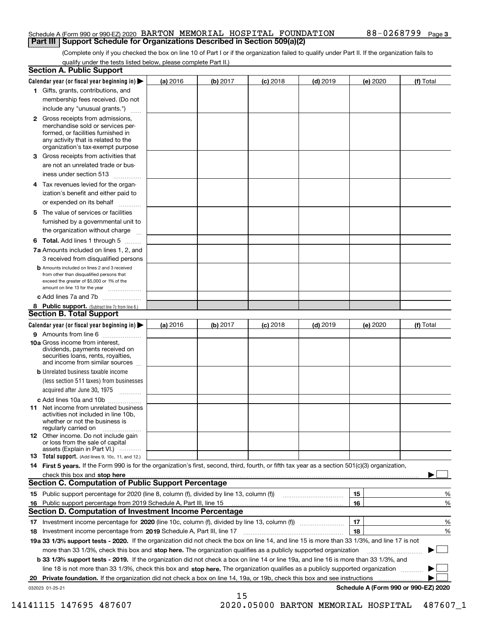## Schedule A (Form 990 or 990-EZ) 2020 Page BARTON MEMORIAL HOSPITAL FOUNDATION 88-0268799 **Part III | Support Schedule for Organizations Described in Section 509(a)(2)**

(Complete only if you checked the box on line 10 of Part I or if the organization failed to qualify under Part II. If the organization fails to qualify under the tests listed below, please complete Part II.)

| <b>Section A. Public Support</b>                                                                                                                                                                                                     |          |          |            |            |          |                                      |
|--------------------------------------------------------------------------------------------------------------------------------------------------------------------------------------------------------------------------------------|----------|----------|------------|------------|----------|--------------------------------------|
| Calendar year (or fiscal year beginning in) $\blacktriangleright$                                                                                                                                                                    | (a) 2016 | (b) 2017 | $(c)$ 2018 | $(d)$ 2019 | (e) 2020 | (f) Total                            |
| 1 Gifts, grants, contributions, and                                                                                                                                                                                                  |          |          |            |            |          |                                      |
| membership fees received. (Do not                                                                                                                                                                                                    |          |          |            |            |          |                                      |
| include any "unusual grants.")                                                                                                                                                                                                       |          |          |            |            |          |                                      |
| 2 Gross receipts from admissions,<br>merchandise sold or services per-<br>formed, or facilities furnished in<br>any activity that is related to the<br>organization's tax-exempt purpose                                             |          |          |            |            |          |                                      |
| 3 Gross receipts from activities that<br>are not an unrelated trade or bus-                                                                                                                                                          |          |          |            |            |          |                                      |
| iness under section 513                                                                                                                                                                                                              |          |          |            |            |          |                                      |
| 4 Tax revenues levied for the organ-<br>ization's benefit and either paid to<br>or expended on its behalf                                                                                                                            |          |          |            |            |          |                                      |
| .<br>5 The value of services or facilities<br>furnished by a governmental unit to                                                                                                                                                    |          |          |            |            |          |                                      |
| the organization without charge                                                                                                                                                                                                      |          |          |            |            |          |                                      |
| <b>6 Total.</b> Add lines 1 through 5                                                                                                                                                                                                |          |          |            |            |          |                                      |
| 7a Amounts included on lines 1, 2, and<br>3 received from disqualified persons                                                                                                                                                       |          |          |            |            |          |                                      |
| <b>b</b> Amounts included on lines 2 and 3 received<br>from other than disqualified persons that<br>exceed the greater of \$5,000 or 1% of the<br>amount on line 13 for the year                                                     |          |          |            |            |          |                                      |
| c Add lines 7a and 7b                                                                                                                                                                                                                |          |          |            |            |          |                                      |
| 8 Public support. (Subtract line 7c from line 6.)<br><b>Section B. Total Support</b>                                                                                                                                                 |          |          |            |            |          |                                      |
| Calendar year (or fiscal year beginning in)                                                                                                                                                                                          | (a) 2016 | (b) 2017 | $(c)$ 2018 | $(d)$ 2019 | (e) 2020 | (f) Total                            |
| 9 Amounts from line 6                                                                                                                                                                                                                |          |          |            |            |          |                                      |
| 10a Gross income from interest,<br>dividends, payments received on<br>securities loans, rents, royalties,<br>and income from similar sources                                                                                         |          |          |            |            |          |                                      |
| <b>b</b> Unrelated business taxable income<br>(less section 511 taxes) from businesses<br>acquired after June 30, 1975                                                                                                               |          |          |            |            |          |                                      |
| c Add lines 10a and 10b                                                                                                                                                                                                              |          |          |            |            |          |                                      |
| <b>11</b> Net income from unrelated business<br>activities not included in line 10b,<br>whether or not the business is<br>regularly carried on                                                                                       |          |          |            |            |          |                                      |
| <b>12</b> Other income. Do not include gain<br>or loss from the sale of capital<br>assets (Explain in Part VI.)                                                                                                                      |          |          |            |            |          |                                      |
| <b>13 Total support.</b> (Add lines 9, 10c, 11, and 12.)                                                                                                                                                                             |          |          |            |            |          |                                      |
| 14 First 5 years. If the Form 990 is for the organization's first, second, third, fourth, or fifth tax year as a section 501(c)(3) organization,                                                                                     |          |          |            |            |          |                                      |
| check this box and stop here <b>contract the contract of the contract of the state of the state of the state of the state of the state of the state of the state of the state of the state of the state of the state of the stat</b> |          |          |            |            |          |                                      |
| <b>Section C. Computation of Public Support Percentage</b>                                                                                                                                                                           |          |          |            |            |          |                                      |
|                                                                                                                                                                                                                                      |          |          |            |            | 15       | %                                    |
| 16 Public support percentage from 2019 Schedule A, Part III, line 15                                                                                                                                                                 |          |          |            |            | 16       | %                                    |
| <b>Section D. Computation of Investment Income Percentage</b>                                                                                                                                                                        |          |          |            |            |          |                                      |
| 17 Investment income percentage for 2020 (line 10c, column (f), divided by line 13, column (f))<br>18 Investment income percentage from 2019 Schedule A, Part III, line 17                                                           |          |          |            |            | 17<br>18 | %<br>%                               |
| 19a 33 1/3% support tests - 2020. If the organization did not check the box on line 14, and line 15 is more than 33 1/3%, and line 17 is not                                                                                         |          |          |            |            |          |                                      |
| more than 33 1/3%, check this box and stop here. The organization qualifies as a publicly supported organization                                                                                                                     |          |          |            |            |          | ▶                                    |
| b 33 1/3% support tests - 2019. If the organization did not check a box on line 14 or line 19a, and line 16 is more than 33 1/3%, and                                                                                                |          |          |            |            |          |                                      |
| line 18 is not more than 33 1/3%, check this box and stop here. The organization qualifies as a publicly supported organization                                                                                                      |          |          |            |            |          |                                      |
| 20 Private foundation. If the organization did not check a box on line 14, 19a, or 19b, check this box and see instructions                                                                                                          |          |          |            |            |          |                                      |
| 032023 01-25-21                                                                                                                                                                                                                      |          | 15       |            |            |          | Schedule A (Form 990 or 990-EZ) 2020 |

 <sup>14141115 147695 487607 2020.05000</sup> BARTON MEMORIAL HOSPITAL 487607\_1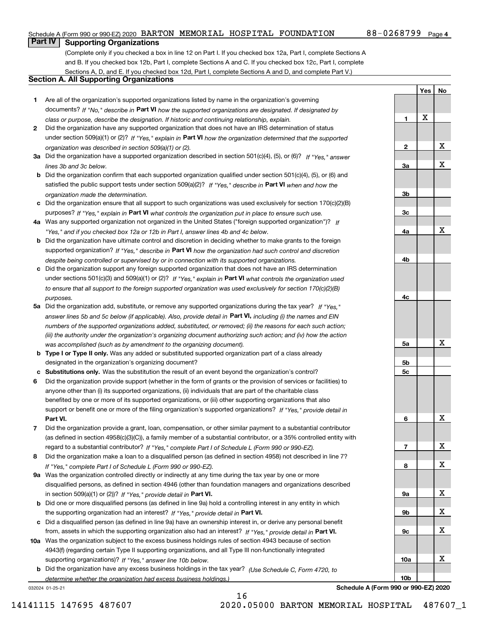## Schedule A (Form 990 or 990-EZ) 2020 Page BARTON MEMORIAL HOSPITAL FOUNDATION 88-0268799

**1**

**Yes**

X

**No**

## **Part IV Supporting Organizations**

(Complete only if you checked a box in line 12 on Part I. If you checked box 12a, Part I, complete Sections A and B. If you checked box 12b, Part I, complete Sections A and C. If you checked box 12c, Part I, complete Sections A, D, and E. If you checked box 12d, Part I, complete Sections A and D, and complete Part V.)

## **Section A. All Supporting Organizations**

- **1** Are all of the organization's supported organizations listed by name in the organization's governing documents? If "No," describe in **Part VI** how the supported organizations are designated. If designated by *class or purpose, describe the designation. If historic and continuing relationship, explain.*
- **2** Did the organization have any supported organization that does not have an IRS determination of status under section 509(a)(1) or (2)? If "Yes," explain in Part VI how the organization determined that the supported *organization was described in section 509(a)(1) or (2).*
- **3a** Did the organization have a supported organization described in section 501(c)(4), (5), or (6)? If "Yes," answer *lines 3b and 3c below.*
- **b** Did the organization confirm that each supported organization qualified under section 501(c)(4), (5), or (6) and satisfied the public support tests under section 509(a)(2)? If "Yes," describe in **Part VI** when and how the *organization made the determination.*
- **c**Did the organization ensure that all support to such organizations was used exclusively for section 170(c)(2)(B) purposes? If "Yes," explain in **Part VI** what controls the organization put in place to ensure such use.
- **4a***If* Was any supported organization not organized in the United States ("foreign supported organization")? *"Yes," and if you checked box 12a or 12b in Part I, answer lines 4b and 4c below.*
- **b** Did the organization have ultimate control and discretion in deciding whether to make grants to the foreign supported organization? If "Yes," describe in **Part VI** how the organization had such control and discretion *despite being controlled or supervised by or in connection with its supported organizations.*
- **c** Did the organization support any foreign supported organization that does not have an IRS determination under sections 501(c)(3) and 509(a)(1) or (2)? If "Yes," explain in **Part VI** what controls the organization used *to ensure that all support to the foreign supported organization was used exclusively for section 170(c)(2)(B) purposes.*
- **5a** Did the organization add, substitute, or remove any supported organizations during the tax year? If "Yes," answer lines 5b and 5c below (if applicable). Also, provide detail in **Part VI,** including (i) the names and EIN *numbers of the supported organizations added, substituted, or removed; (ii) the reasons for each such action; (iii) the authority under the organization's organizing document authorizing such action; and (iv) how the action was accomplished (such as by amendment to the organizing document).*
- **b** Type I or Type II only. Was any added or substituted supported organization part of a class already designated in the organization's organizing document?
- **cSubstitutions only.**  Was the substitution the result of an event beyond the organization's control?
- **6** Did the organization provide support (whether in the form of grants or the provision of services or facilities) to **Part VI.** *If "Yes," provide detail in* support or benefit one or more of the filing organization's supported organizations? anyone other than (i) its supported organizations, (ii) individuals that are part of the charitable class benefited by one or more of its supported organizations, or (iii) other supporting organizations that also
- **7**Did the organization provide a grant, loan, compensation, or other similar payment to a substantial contributor *If "Yes," complete Part I of Schedule L (Form 990 or 990-EZ).* regard to a substantial contributor? (as defined in section 4958(c)(3)(C)), a family member of a substantial contributor, or a 35% controlled entity with
- **8** Did the organization make a loan to a disqualified person (as defined in section 4958) not described in line 7? *If "Yes," complete Part I of Schedule L (Form 990 or 990-EZ).*
- **9a** Was the organization controlled directly or indirectly at any time during the tax year by one or more in section 509(a)(1) or (2))? If "Yes," *provide detail in* <code>Part VI.</code> disqualified persons, as defined in section 4946 (other than foundation managers and organizations described
- **b**the supporting organization had an interest? If "Yes," provide detail in P**art VI**. Did one or more disqualified persons (as defined in line 9a) hold a controlling interest in any entity in which
- **c**Did a disqualified person (as defined in line 9a) have an ownership interest in, or derive any personal benefit from, assets in which the supporting organization also had an interest? If "Yes," provide detail in P**art VI.**
- **10a** Was the organization subject to the excess business holdings rules of section 4943 because of section supporting organizations)? If "Yes," answer line 10b below. 4943(f) (regarding certain Type II supporting organizations, and all Type III non-functionally integrated
- **b** Did the organization have any excess business holdings in the tax year? (Use Schedule C, Form 4720, to *determine whether the organization had excess business holdings.)*

16

032024 01-25-21

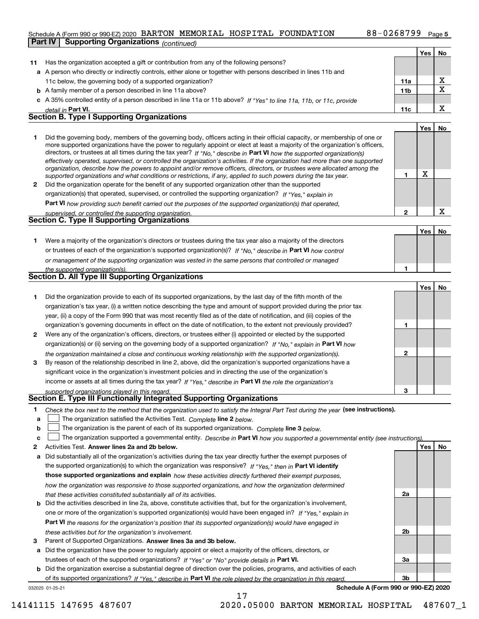## Schedule A (Form 990 or 990-EZ) 2020 Page BARTON MEMORIAL HOSPITAL FOUNDATION 88-0268799

|              | 00160016 A 11 0111 330 01 330 EZI Z0Z0 EZIIKI OIN IIIIIIOIKIILIE IIODI IIIIIE IIOOINEIIIIE<br>Part IV<br><b>Supporting Organizations (continued)</b>                                                                           |                 |     | ⊤ay∈ J |
|--------------|--------------------------------------------------------------------------------------------------------------------------------------------------------------------------------------------------------------------------------|-----------------|-----|--------|
|              |                                                                                                                                                                                                                                |                 | Yes | No     |
| 11           | Has the organization accepted a gift or contribution from any of the following persons?                                                                                                                                        |                 |     |        |
|              | a A person who directly or indirectly controls, either alone or together with persons described in lines 11b and                                                                                                               |                 |     |        |
|              | 11c below, the governing body of a supported organization?                                                                                                                                                                     | 11a             |     | х      |
|              |                                                                                                                                                                                                                                | 11 <sub>b</sub> |     | X      |
|              | <b>b</b> A family member of a person described in line 11a above?<br>A 35% controlled entity of a person described in line 11a or 11b above? If "Yes" to line 11a, 11b, or 11c, provide                                        |                 |     |        |
|              |                                                                                                                                                                                                                                | 11c             |     | X      |
|              | detail in Part VI.<br><b>Section B. Type I Supporting Organizations</b>                                                                                                                                                        |                 |     |        |
|              |                                                                                                                                                                                                                                |                 | Yes | No     |
| 1            | Did the governing body, members of the governing body, officers acting in their official capacity, or membership of one or                                                                                                     |                 |     |        |
|              | more supported organizations have the power to regularly appoint or elect at least a majority of the organization's officers,                                                                                                  |                 |     |        |
|              | directors, or trustees at all times during the tax year? If "No," describe in Part VI how the supported organization(s)                                                                                                        |                 |     |        |
|              | effectively operated, supervised, or controlled the organization's activities. If the organization had more than one supported                                                                                                 |                 |     |        |
|              | organization, describe how the powers to appoint and/or remove officers, directors, or trustees were allocated among the                                                                                                       | 1               | X   |        |
| $\mathbf{2}$ | supported organizations and what conditions or restrictions, if any, applied to such powers during the tax year.<br>Did the organization operate for the benefit of any supported organization other than the supported        |                 |     |        |
|              | organization(s) that operated, supervised, or controlled the supporting organization? If "Yes," explain in                                                                                                                     |                 |     |        |
|              |                                                                                                                                                                                                                                |                 |     |        |
|              | Part VI how providing such benefit carried out the purposes of the supported organization(s) that operated,                                                                                                                    | $\mathbf{2}$    |     | X      |
|              | supervised, or controlled the supporting organization.<br>Section C. Type II Supporting Organizations                                                                                                                          |                 |     |        |
|              |                                                                                                                                                                                                                                |                 | Yes | No     |
|              | Were a majority of the organization's directors or trustees during the tax year also a majority of the directors                                                                                                               |                 |     |        |
| 1.           |                                                                                                                                                                                                                                |                 |     |        |
|              | or trustees of each of the organization's supported organization(s)? If "No," describe in Part VI how control                                                                                                                  |                 |     |        |
|              | or management of the supporting organization was vested in the same persons that controlled or managed                                                                                                                         | 1               |     |        |
|              | the supported organization(s).<br>Section D. All Type III Supporting Organizations                                                                                                                                             |                 |     |        |
|              |                                                                                                                                                                                                                                |                 | Yes | No     |
| 1            | Did the organization provide to each of its supported organizations, by the last day of the fifth month of the                                                                                                                 |                 |     |        |
|              | organization's tax year, (i) a written notice describing the type and amount of support provided during the prior tax                                                                                                          |                 |     |        |
|              | year, (ii) a copy of the Form 990 that was most recently filed as of the date of notification, and (iii) copies of the                                                                                                         |                 |     |        |
|              | organization's governing documents in effect on the date of notification, to the extent not previously provided?                                                                                                               | 1               |     |        |
| 2            | Were any of the organization's officers, directors, or trustees either (i) appointed or elected by the supported                                                                                                               |                 |     |        |
|              | organization(s) or (ii) serving on the governing body of a supported organization? If "No," explain in Part VI how                                                                                                             |                 |     |        |
|              |                                                                                                                                                                                                                                | $\mathbf{2}$    |     |        |
| 3            | the organization maintained a close and continuous working relationship with the supported organization(s).<br>By reason of the relationship described in line 2, above, did the organization's supported organizations have a |                 |     |        |
|              | significant voice in the organization's investment policies and in directing the use of the organization's                                                                                                                     |                 |     |        |
|              | income or assets at all times during the tax year? If "Yes," describe in Part VI the role the organization's                                                                                                                   |                 |     |        |
|              |                                                                                                                                                                                                                                | 3               |     |        |
|              | supported organizations played in this regard.<br>Section E. Type III Functionally Integrated Supporting Organizations                                                                                                         |                 |     |        |
| 1            | Check the box next to the method that the organization used to satisfy the Integral Part Test during the year (see instructions).                                                                                              |                 |     |        |
| а            | The organization satisfied the Activities Test. Complete line 2 below.                                                                                                                                                         |                 |     |        |
| b            | The organization is the parent of each of its supported organizations. Complete line 3 below.                                                                                                                                  |                 |     |        |
| c            | The organization supported a governmental entity. Describe in Part VI how you supported a governmental entity (see instructions)                                                                                               |                 |     |        |
| 2            | Activities Test. Answer lines 2a and 2b below.                                                                                                                                                                                 |                 | Yes | No     |
| а            | Did substantially all of the organization's activities during the tax year directly further the exempt purposes of                                                                                                             |                 |     |        |
|              | the supported organization(s) to which the organization was responsive? If "Yes," then in Part VI identify                                                                                                                     |                 |     |        |
|              | those supported organizations and explain how these activities directly furthered their exempt purposes,                                                                                                                       |                 |     |        |
|              | how the organization was responsive to those supported organizations, and how the organization determined                                                                                                                      |                 |     |        |
|              | that these activities constituted substantially all of its activities.                                                                                                                                                         | 2a              |     |        |
|              |                                                                                                                                                                                                                                |                 |     |        |

- **b** Did the activities described in line 2a, above, constitute activities that, but for the organization's involvement, **Part VI**  *the reasons for the organization's position that its supported organization(s) would have engaged in* one or more of the organization's supported organization(s) would have been engaged in? If "Yes," e*xplain in these activities but for the organization's involvement.*
- **3** Parent of Supported Organizations. Answer lines 3a and 3b below.

**a** Did the organization have the power to regularly appoint or elect a majority of the officers, directors, or trustees of each of the supported organizations? If "Yes" or "No" provide details in P**art VI.** 

032025 01-25-21 **b** Did the organization exercise a substantial degree of direction over the policies, programs, and activities of each of its supported organizations? If "Yes," describe in Part VI the role played by the organization in this regard.

**Schedule A (Form 990 or 990-EZ) 2020**

**2b**

**3a**

**3b**

17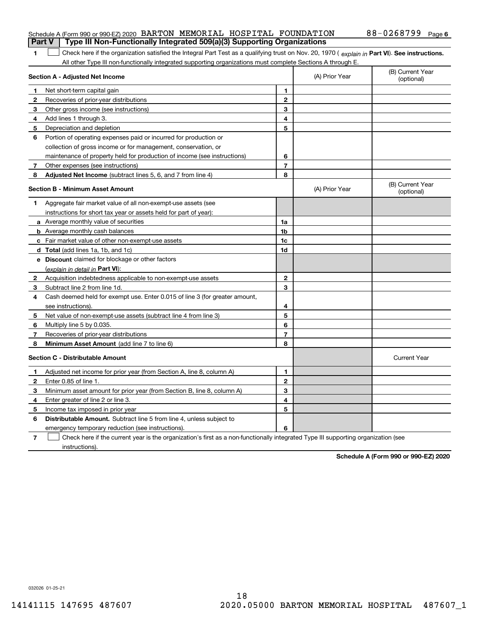|  | Schedule A (Form 990 or 990-EZ) 2020 BARTON MEMORIAL HOSPITAL FOUNDATION                                    |  |  | $88 - 0268799$ Page 6                                                                                                                          |  |
|--|-------------------------------------------------------------------------------------------------------------|--|--|------------------------------------------------------------------------------------------------------------------------------------------------|--|
|  | <b>Part V</b> Type III Non-Functionally Integrated 509(a)(3) Supporting Organizations                       |  |  |                                                                                                                                                |  |
|  |                                                                                                             |  |  | Check here if the organization satisfied the Integral Part Test as a qualifying trust on Nov. 20, 1970 (explain in Part VI). See instructions. |  |
|  | All other Type III non-functionally integrated supporting organizations must complete Sections A through E. |  |  |                                                                                                                                                |  |

|              | Section A - Adjusted Net Income                                             |                | (A) Prior Year | (B) Current Year<br>(optional) |
|--------------|-----------------------------------------------------------------------------|----------------|----------------|--------------------------------|
| 1            | Net short-term capital gain                                                 | 1              |                |                                |
| $\mathbf{2}$ | Recoveries of prior-year distributions                                      | $\overline{2}$ |                |                                |
| 3            | Other gross income (see instructions)                                       | 3              |                |                                |
| 4            | Add lines 1 through 3.                                                      | 4              |                |                                |
| 5            | Depreciation and depletion                                                  | 5              |                |                                |
| 6            | Portion of operating expenses paid or incurred for production or            |                |                |                                |
|              | collection of gross income or for management, conservation, or              |                |                |                                |
|              | maintenance of property held for production of income (see instructions)    | 6              |                |                                |
| 7            | Other expenses (see instructions)                                           | $\overline{7}$ |                |                                |
| 8            | <b>Adjusted Net Income</b> (subtract lines 5, 6, and 7 from line 4)         | 8              |                |                                |
|              | <b>Section B - Minimum Asset Amount</b>                                     |                | (A) Prior Year | (B) Current Year<br>(optional) |
| 1            | Aggregate fair market value of all non-exempt-use assets (see               |                |                |                                |
|              | instructions for short tax year or assets held for part of year):           |                |                |                                |
|              | a Average monthly value of securities                                       | 1a             |                |                                |
|              | <b>b</b> Average monthly cash balances                                      | 1b             |                |                                |
|              | c Fair market value of other non-exempt-use assets                          | 1c             |                |                                |
|              | <b>d</b> Total (add lines 1a, 1b, and 1c)                                   | 1d             |                |                                |
|              | e Discount claimed for blockage or other factors                            |                |                |                                |
|              | (explain in detail in Part VI):                                             |                |                |                                |
| $\mathbf{2}$ | Acquisition indebtedness applicable to non-exempt-use assets                | $\mathbf{2}$   |                |                                |
| З.           | Subtract line 2 from line 1d.                                               | 3              |                |                                |
| 4            | Cash deemed held for exempt use. Enter 0.015 of line 3 (for greater amount, |                |                |                                |
|              | see instructions).                                                          | 4              |                |                                |
| 5            | Net value of non-exempt-use assets (subtract line 4 from line 3)            | 5              |                |                                |
| 6            | Multiply line 5 by 0.035.                                                   | 6              |                |                                |
| 7            | Recoveries of prior-year distributions                                      | $\overline{7}$ |                |                                |
| 8            | Minimum Asset Amount (add line 7 to line 6)                                 | 8              |                |                                |
|              | <b>Section C - Distributable Amount</b>                                     |                |                | <b>Current Year</b>            |
| 1            | Adjusted net income for prior year (from Section A, line 8, column A)       | 1              |                |                                |
| $\mathbf{2}$ | Enter 0.85 of line 1.                                                       | $\mathbf{2}$   |                |                                |
| 3            | Minimum asset amount for prior year (from Section B, line 8, column A)      | 3              |                |                                |
| 4            | Enter greater of line 2 or line 3.                                          | 4              |                |                                |
| 5            | Income tax imposed in prior year                                            | 5              |                |                                |
| 6            | <b>Distributable Amount.</b> Subtract line 5 from line 4, unless subject to |                |                |                                |
|              | emergency temporary reduction (see instructions).                           | 6              |                |                                |
|              |                                                                             |                |                |                                |

**7** Check here if the current year is the organization's first as a non-functionally integrated Type III supporting organization (see instructions).

**Schedule A (Form 990 or 990-EZ) 2020**

032026 01-25-21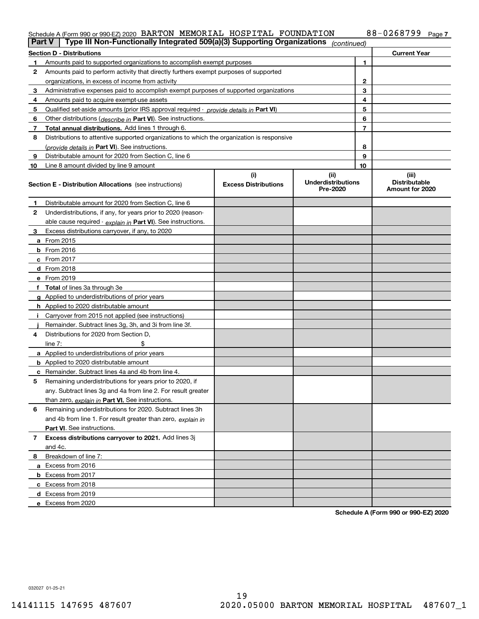### Schedule A (Form 990 or 990-EZ) 2020 BAR'I'ON MEMORIAL HOSPI'I'AL F'OUNDA'I'ION 88-0 268 7 9 9 Page BARTON MEMORIAL HOSPITAL FOUNDATION 88-0268799

| Part V         | Type III Non-Functionally Integrated 509(a)(3) Supporting Organizations                    |                             | (continued)                           |    |                                         |
|----------------|--------------------------------------------------------------------------------------------|-----------------------------|---------------------------------------|----|-----------------------------------------|
|                | <b>Section D - Distributions</b>                                                           |                             |                                       |    | <b>Current Year</b>                     |
| 1.             | Amounts paid to supported organizations to accomplish exempt purposes                      |                             |                                       | 1  |                                         |
| 2              | Amounts paid to perform activity that directly furthers exempt purposes of supported       |                             |                                       |    |                                         |
|                | organizations, in excess of income from activity                                           |                             |                                       | 2  |                                         |
| 3              | Administrative expenses paid to accomplish exempt purposes of supported organizations      |                             |                                       | 3  |                                         |
| 4              | Amounts paid to acquire exempt-use assets                                                  |                             |                                       | 4  |                                         |
| 5              | Qualified set-aside amounts (prior IRS approval required - provide details in Part VI)     |                             |                                       | 5  |                                         |
| 6              | Other distributions ( <i>describe in</i> Part VI). See instructions.                       |                             |                                       | 6  |                                         |
| 7              | Total annual distributions. Add lines 1 through 6.                                         |                             |                                       | 7  |                                         |
| 8              | Distributions to attentive supported organizations to which the organization is responsive |                             |                                       |    |                                         |
|                | (provide details in Part VI). See instructions.                                            |                             |                                       | 8  |                                         |
| 9              | Distributable amount for 2020 from Section C, line 6                                       |                             |                                       | 9  |                                         |
| 10             | Line 8 amount divided by line 9 amount                                                     |                             |                                       | 10 |                                         |
|                |                                                                                            | (i)                         | (ii)                                  |    | (iii)                                   |
|                | <b>Section E - Distribution Allocations</b> (see instructions)                             | <b>Excess Distributions</b> | <b>Underdistributions</b><br>Pre-2020 |    | <b>Distributable</b><br>Amount for 2020 |
| 1              | Distributable amount for 2020 from Section C, line 6                                       |                             |                                       |    |                                         |
| 2              | Underdistributions, if any, for years prior to 2020 (reason-                               |                             |                                       |    |                                         |
|                | able cause required - explain in Part VI). See instructions.                               |                             |                                       |    |                                         |
| 3              | Excess distributions carryover, if any, to 2020                                            |                             |                                       |    |                                         |
|                | a From 2015                                                                                |                             |                                       |    |                                         |
|                | <b>b</b> From 2016                                                                         |                             |                                       |    |                                         |
|                | $c$ From 2017                                                                              |                             |                                       |    |                                         |
|                | <b>d</b> From 2018                                                                         |                             |                                       |    |                                         |
|                | e From 2019                                                                                |                             |                                       |    |                                         |
|                | f Total of lines 3a through 3e                                                             |                             |                                       |    |                                         |
|                | g Applied to underdistributions of prior years                                             |                             |                                       |    |                                         |
|                | <b>h</b> Applied to 2020 distributable amount                                              |                             |                                       |    |                                         |
|                | Carryover from 2015 not applied (see instructions)                                         |                             |                                       |    |                                         |
|                | Remainder. Subtract lines 3g, 3h, and 3i from line 3f.                                     |                             |                                       |    |                                         |
| 4              | Distributions for 2020 from Section D,                                                     |                             |                                       |    |                                         |
|                | line $7:$                                                                                  |                             |                                       |    |                                         |
|                | a Applied to underdistributions of prior years                                             |                             |                                       |    |                                         |
|                | <b>b</b> Applied to 2020 distributable amount                                              |                             |                                       |    |                                         |
|                | c Remainder. Subtract lines 4a and 4b from line 4.                                         |                             |                                       |    |                                         |
| 5              | Remaining underdistributions for years prior to 2020, if                                   |                             |                                       |    |                                         |
|                | any. Subtract lines 3g and 4a from line 2. For result greater                              |                             |                                       |    |                                         |
|                | than zero, explain in Part VI. See instructions.                                           |                             |                                       |    |                                         |
| 6              | Remaining underdistributions for 2020. Subtract lines 3h                                   |                             |                                       |    |                                         |
|                | and 4b from line 1. For result greater than zero, explain in                               |                             |                                       |    |                                         |
|                | Part VI. See instructions.                                                                 |                             |                                       |    |                                         |
| $\overline{7}$ | Excess distributions carryover to 2021. Add lines 3j                                       |                             |                                       |    |                                         |
|                | and 4c.                                                                                    |                             |                                       |    |                                         |
| 8              | Breakdown of line 7:                                                                       |                             |                                       |    |                                         |
|                | a Excess from 2016                                                                         |                             |                                       |    |                                         |
|                | <b>b</b> Excess from 2017                                                                  |                             |                                       |    |                                         |
|                | c Excess from 2018                                                                         |                             |                                       |    |                                         |
|                | d Excess from 2019                                                                         |                             |                                       |    |                                         |
|                | e Excess from 2020                                                                         |                             |                                       |    |                                         |
|                |                                                                                            |                             |                                       |    |                                         |

**Schedule A (Form 990 or 990-EZ) 2020**

032027 01-25-21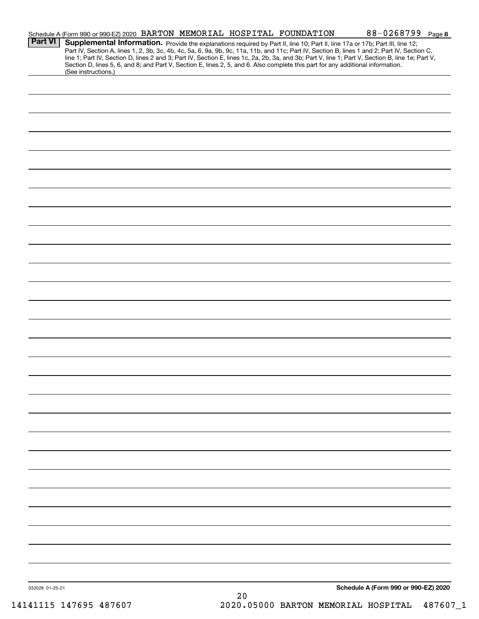| <b>Part VI</b>  | Schedule A (Form 990 or 990-EZ) 2020 BARTON MEMORIAL HOSPITAL FOUNDATION<br>Section D, lines 5, 6, and 8; and Part V, Section E, lines 2, 5, and 6. Also complete this part for any additional information.<br>(See instructions.) |  |    | 88-0268799 Page 8<br>Supplemental Information. Provide the explanations required by Part II, line 10; Part II, line 17a or 17b; Part III, line 12;<br>Part IV, Section A, lines 1, 2, 3b, 3c, 4b, 4c, 5a, 6, 9a, 9b, 9c, 11a, 11b, and 11c; Part IV, Section B, lines 1 and 2; Part IV, Section C,<br>line 1; Part IV, Section D, lines 2 and 3; Part IV, Section E, lines 1c, 2a, 2b, 3a, and 3b; Part V, line 1; Part V, Section B, line 1e; Part V, |  |
|-----------------|------------------------------------------------------------------------------------------------------------------------------------------------------------------------------------------------------------------------------------|--|----|--------------------------------------------------------------------------------------------------------------------------------------------------------------------------------------------------------------------------------------------------------------------------------------------------------------------------------------------------------------------------------------------------------------------------------------------------------|--|
|                 |                                                                                                                                                                                                                                    |  |    |                                                                                                                                                                                                                                                                                                                                                                                                                                                        |  |
|                 |                                                                                                                                                                                                                                    |  |    |                                                                                                                                                                                                                                                                                                                                                                                                                                                        |  |
|                 |                                                                                                                                                                                                                                    |  |    |                                                                                                                                                                                                                                                                                                                                                                                                                                                        |  |
|                 |                                                                                                                                                                                                                                    |  |    |                                                                                                                                                                                                                                                                                                                                                                                                                                                        |  |
|                 |                                                                                                                                                                                                                                    |  |    |                                                                                                                                                                                                                                                                                                                                                                                                                                                        |  |
|                 |                                                                                                                                                                                                                                    |  |    |                                                                                                                                                                                                                                                                                                                                                                                                                                                        |  |
|                 |                                                                                                                                                                                                                                    |  |    |                                                                                                                                                                                                                                                                                                                                                                                                                                                        |  |
|                 |                                                                                                                                                                                                                                    |  |    |                                                                                                                                                                                                                                                                                                                                                                                                                                                        |  |
|                 |                                                                                                                                                                                                                                    |  |    |                                                                                                                                                                                                                                                                                                                                                                                                                                                        |  |
|                 |                                                                                                                                                                                                                                    |  |    |                                                                                                                                                                                                                                                                                                                                                                                                                                                        |  |
|                 |                                                                                                                                                                                                                                    |  |    |                                                                                                                                                                                                                                                                                                                                                                                                                                                        |  |
|                 |                                                                                                                                                                                                                                    |  |    |                                                                                                                                                                                                                                                                                                                                                                                                                                                        |  |
|                 |                                                                                                                                                                                                                                    |  |    |                                                                                                                                                                                                                                                                                                                                                                                                                                                        |  |
|                 |                                                                                                                                                                                                                                    |  |    |                                                                                                                                                                                                                                                                                                                                                                                                                                                        |  |
|                 |                                                                                                                                                                                                                                    |  |    |                                                                                                                                                                                                                                                                                                                                                                                                                                                        |  |
|                 |                                                                                                                                                                                                                                    |  |    |                                                                                                                                                                                                                                                                                                                                                                                                                                                        |  |
|                 |                                                                                                                                                                                                                                    |  |    |                                                                                                                                                                                                                                                                                                                                                                                                                                                        |  |
|                 |                                                                                                                                                                                                                                    |  |    |                                                                                                                                                                                                                                                                                                                                                                                                                                                        |  |
|                 |                                                                                                                                                                                                                                    |  |    |                                                                                                                                                                                                                                                                                                                                                                                                                                                        |  |
|                 |                                                                                                                                                                                                                                    |  |    |                                                                                                                                                                                                                                                                                                                                                                                                                                                        |  |
|                 |                                                                                                                                                                                                                                    |  |    |                                                                                                                                                                                                                                                                                                                                                                                                                                                        |  |
|                 |                                                                                                                                                                                                                                    |  |    |                                                                                                                                                                                                                                                                                                                                                                                                                                                        |  |
|                 |                                                                                                                                                                                                                                    |  |    |                                                                                                                                                                                                                                                                                                                                                                                                                                                        |  |
|                 |                                                                                                                                                                                                                                    |  |    |                                                                                                                                                                                                                                                                                                                                                                                                                                                        |  |
|                 |                                                                                                                                                                                                                                    |  |    |                                                                                                                                                                                                                                                                                                                                                                                                                                                        |  |
|                 |                                                                                                                                                                                                                                    |  |    |                                                                                                                                                                                                                                                                                                                                                                                                                                                        |  |
| 032028 01-25-21 |                                                                                                                                                                                                                                    |  |    | Schedule A (Form 990 or 990-EZ) 2020                                                                                                                                                                                                                                                                                                                                                                                                                   |  |
|                 |                                                                                                                                                                                                                                    |  | 20 |                                                                                                                                                                                                                                                                                                                                                                                                                                                        |  |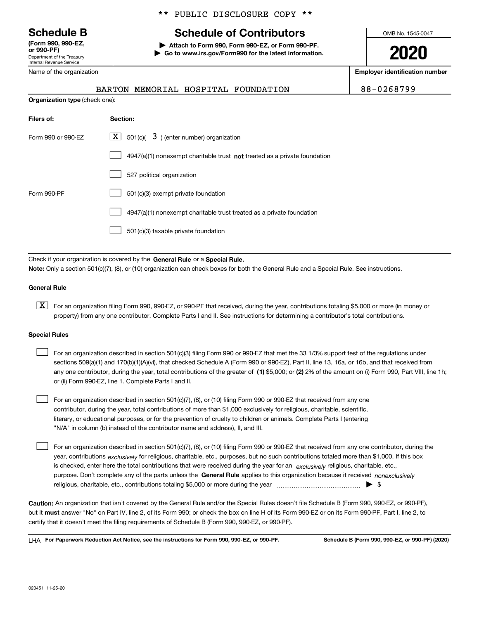Department of the Treasury Internal Revenue Service **(Form 990, 990-EZ, or 990-PF)**

Name of the organization

## \*\* PUBLIC DISCLOSURE COPY \*\*

## **Schedule B Schedule of Contributors**

**| Attach to Form 990, Form 990-EZ, or Form 990-PF. | Go to www.irs.gov/Form990 for the latest information.** OMB No. 1545-0047

**2020**

**Employer identification number**

|  | 88-0268799 |  |  |  |
|--|------------|--|--|--|
|--|------------|--|--|--|

|                                | MEMORIAL HOSPITAL FOUNDATION<br>BARTON                                             | 88-0268799 |
|--------------------------------|------------------------------------------------------------------------------------|------------|
| Organization type (check one): |                                                                                    |            |
| Filers of:                     | Section:                                                                           |            |
| Form 990 or 990-EZ             | $\lfloor x \rfloor$ 501(c)( 3) (enter number) organization                         |            |
|                                | $4947(a)(1)$ nonexempt charitable trust <b>not</b> treated as a private foundation |            |
|                                | 527 political organization                                                         |            |
| Form 990-PF                    | 501(c)(3) exempt private foundation                                                |            |
|                                | 4947(a)(1) nonexempt charitable trust treated as a private foundation              |            |

501(c)(3) taxable private foundation  $\mathcal{L}^{\text{max}}$ 

Check if your organization is covered by the **General Rule** or a **Special Rule. Note:**  Only a section 501(c)(7), (8), or (10) organization can check boxes for both the General Rule and a Special Rule. See instructions.

## **General Rule**

 $\boxed{\textbf{X}}$  For an organization filing Form 990, 990-EZ, or 990-PF that received, during the year, contributions totaling \$5,000 or more (in money or property) from any one contributor. Complete Parts I and II. See instructions for determining a contributor's total contributions.

## **Special Rules**

| For an organization described in section 501(c)(3) filing Form 990 or 990-EZ that met the 33 1/3% support test of the regulations under               |
|-------------------------------------------------------------------------------------------------------------------------------------------------------|
| sections 509(a)(1) and 170(b)(1)(A)(vi), that checked Schedule A (Form 990 or 990-EZ), Part II, line 13, 16a, or 16b, and that received from          |
| any one contributor, during the year, total contributions of the greater of (1) \$5,000; or (2) 2% of the amount on (i) Form 990, Part VIII, line 1h; |
| or (ii) Form 990-EZ, line 1. Complete Parts I and II.                                                                                                 |

For an organization described in section 501(c)(7), (8), or (10) filing Form 990 or 990-EZ that received from any one contributor, during the year, total contributions of more than \$1,000 exclusively for religious, charitable, scientific, literary, or educational purposes, or for the prevention of cruelty to children or animals. Complete Parts I (entering "N/A" in column (b) instead of the contributor name and address), II, and III.  $\mathcal{L}^{\text{max}}$ 

purpose. Don't complete any of the parts unless the **General Rule** applies to this organization because it received *nonexclusively* year, contributions <sub>exclusively</sub> for religious, charitable, etc., purposes, but no such contributions totaled more than \$1,000. If this box is checked, enter here the total contributions that were received during the year for an  $\;$ exclusively religious, charitable, etc., For an organization described in section 501(c)(7), (8), or (10) filing Form 990 or 990-EZ that received from any one contributor, during the religious, charitable, etc., contributions totaling \$5,000 or more during the year  $\Box$ — $\Box$   $\Box$  $\mathcal{L}^{\text{max}}$ 

**Caution:**  An organization that isn't covered by the General Rule and/or the Special Rules doesn't file Schedule B (Form 990, 990-EZ, or 990-PF),  **must** but it answer "No" on Part IV, line 2, of its Form 990; or check the box on line H of its Form 990-EZ or on its Form 990-PF, Part I, line 2, to certify that it doesn't meet the filing requirements of Schedule B (Form 990, 990-EZ, or 990-PF).

**For Paperwork Reduction Act Notice, see the instructions for Form 990, 990-EZ, or 990-PF. Schedule B (Form 990, 990-EZ, or 990-PF) (2020)** LHA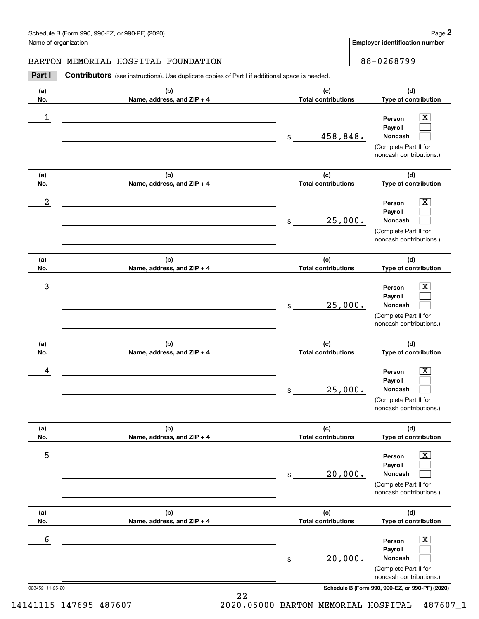**Employer identification number**

## BARTON MEMORIAL HOSPITAL FOUNDATION 88-0268799

Chedule B (Form 990, 990-EZ, or 990-PF) (2020)<br> **2Part I Contributors** (see instructions). Use duplicate copies of Part I if additional space is needed.<br> **2Part I Contributors** (see instructions). Use duplicate copies of P

| (a)                         | (b)                                 | (c)                               | (d)                                                                                                                                                          |
|-----------------------------|-------------------------------------|-----------------------------------|--------------------------------------------------------------------------------------------------------------------------------------------------------------|
| No.                         | Name, address, and ZIP + 4          | <b>Total contributions</b>        | Type of contribution                                                                                                                                         |
| 1                           |                                     | 458,848.<br>\$                    | x<br>Person<br>Payroll<br>Noncash<br>(Complete Part II for<br>noncash contributions.)                                                                        |
| (a)                         | (b)                                 | (c)                               | (d)                                                                                                                                                          |
| No.                         | Name, address, and ZIP + 4          | <b>Total contributions</b>        | Type of contribution                                                                                                                                         |
| $\boldsymbol{2}$            |                                     | 25,000.<br>\$                     | x.<br>Person<br>Payroll<br>Noncash<br>(Complete Part II for<br>noncash contributions.)                                                                       |
| (a)                         | (b)                                 | (c)                               | (d)                                                                                                                                                          |
| No.                         | Name, address, and ZIP + 4          | <b>Total contributions</b>        | Type of contribution                                                                                                                                         |
| 3                           |                                     | 25,000.<br>\$                     | x.<br>Person<br>Payroll<br>Noncash<br>(Complete Part II for<br>noncash contributions.)                                                                       |
| (a)<br>No.                  | (b)<br>Name, address, and ZIP + 4   | (c)<br><b>Total contributions</b> | (d)<br>Type of contribution                                                                                                                                  |
| 4                           |                                     | 25,000.<br>\$                     | x.<br>Person<br>Payroll<br>Noncash<br>(Complete Part II for<br>noncash contributions.)                                                                       |
| (a)                         | (b)                                 | (c)                               | (d)                                                                                                                                                          |
| NO.                         | Name, address, and ZIP + 4          | Total contributions               | Type of contribution                                                                                                                                         |
| 5                           |                                     | 20,000.<br>\$                     | $\overline{\mathbf{X}}$<br>Person<br>Payroll<br>Noncash<br>(Complete Part II for<br>noncash contributions.)                                                  |
| (a)                         | (b)<br>Name, address, and $ZIP + 4$ | (c)<br><b>Total contributions</b> | (d)<br>Type of contribution                                                                                                                                  |
| No.<br>6<br>023452 11-25-20 |                                     | 20,000.<br>\$                     | $\overline{\text{X}}$<br>Person<br>Payroll<br>Noncash<br>(Complete Part II for<br>noncash contributions.)<br>Schedule B (Form 990, 990-EZ, or 990-PF) (2020) |

22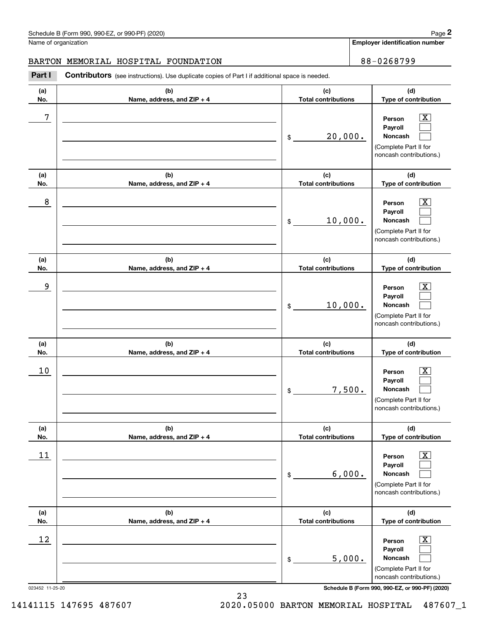**Employer identification number**

## BARTON MEMORIAL HOSPITAL FOUNDATION 88-0268799

Chedule B (Form 990, 990-EZ, or 990-PF) (2020)<br> **2Part I Contributors** (see instructions). Use duplicate copies of Part I if additional space is needed.<br> **2Part I Contributors** (see instructions). Use duplicate copies of P **(a)**Τ **(b)**Τ  $\overline{f}$ 

| (a) | (b)                        | (c)                        | (d)                                                                                                                                                       |
|-----|----------------------------|----------------------------|-----------------------------------------------------------------------------------------------------------------------------------------------------------|
| No. | Name, address, and ZIP + 4 | <b>Total contributions</b> | Type of contribution                                                                                                                                      |
| 7   |                            | 20,000.<br>\$              | $\overline{\mathbf{X}}$<br>Person<br>Payroll<br>Noncash<br>(Complete Part II for<br>noncash contributions.)                                               |
| (a) | (b)                        | (c)                        | (d)                                                                                                                                                       |
| No. | Name, address, and ZIP + 4 | <b>Total contributions</b> | Type of contribution                                                                                                                                      |
| 8   |                            | 10,000.<br>\$              | $\overline{\text{X}}$<br>Person<br>Payroll<br>Noncash<br>(Complete Part II for<br>noncash contributions.)                                                 |
| (a) | (b)                        | (c)                        | (d)                                                                                                                                                       |
| No. | Name, address, and ZIP + 4 | <b>Total contributions</b> | Type of contribution                                                                                                                                      |
| 9   |                            | 10,000.<br>\$              | $\overline{\text{X}}$<br>Person<br>Payroll<br>Noncash<br>(Complete Part II for<br>noncash contributions.)                                                 |
| (a) | (b)                        | (c)                        | (d)                                                                                                                                                       |
| No. | Name, address, and ZIP + 4 | <b>Total contributions</b> | Type of contribution                                                                                                                                      |
| 10  |                            | 7,500.<br>\$               | $\overline{\text{X}}$<br>Person<br>Payroll<br>Noncash<br>(Complete Part II for<br>noncash contributions.)                                                 |
| (a) | (b)                        | (c)                        | (d)                                                                                                                                                       |
| NO. | Name, address, and ZIP + 4 | Total contributions        | Type of contribution                                                                                                                                      |
| 11  |                            | 6,000.<br>\$               | $\boxed{\text{X}}$<br>Person<br>Payroll<br>Noncash<br>(Complete Part II for<br>noncash contributions.)                                                    |
| (a) | (b)                        | (c)                        | (d)                                                                                                                                                       |
| No. | Name, address, and ZIP + 4 | <b>Total contributions</b> | Type of contribution                                                                                                                                      |
| 12  | 023452 11-25-20            | 5,000.<br>\$               | $\boxed{\text{X}}$<br>Person<br>Payroll<br>Noncash<br>(Complete Part II for<br>noncash contributions.)<br>Schedule B (Form 990, 990-EZ, or 990-PF) (2020) |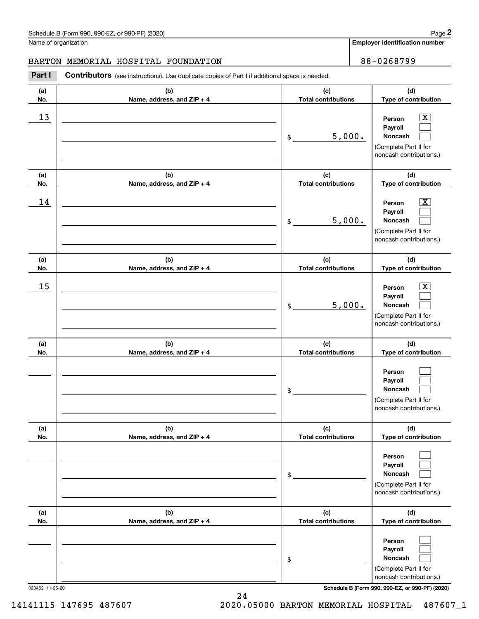**Employer identification number**

**(d) Type of contribution**

 $\boxed{\text{X}}$ 

**Person**

## BARTON MEMORIAL HOSPITAL FOUNDATION 88-0268799

**(a) No.(b) Name, address, and ZIP + 4 (c) Total contributions** Chedule B (Form 990, 990-EZ, or 990-PF) (2020)<br> **2Part I Contributors** (see instructions). Use duplicate copies of Part I if additional space is needed.<br> **2Part I Contributors** (see instructions). Use duplicate copies of P \$ $13$  Person X 5,000.

|                 |                                   | 5,000.<br>\$                      | Payroll<br>Noncash<br>(Complete Part II for<br>noncash contributions.)                                                              |
|-----------------|-----------------------------------|-----------------------------------|-------------------------------------------------------------------------------------------------------------------------------------|
| (a)<br>No.      | (b)<br>Name, address, and ZIP + 4 | (c)<br><b>Total contributions</b> | (d)<br>Type of contribution                                                                                                         |
| 14              |                                   | 5,000.<br>\$                      | $\overline{\text{X}}$<br>Person<br>Payroll<br><b>Noncash</b><br>(Complete Part II for<br>noncash contributions.)                    |
| (a)<br>No.      | (b)<br>Name, address, and ZIP + 4 | (c)<br><b>Total contributions</b> | (d)<br>Type of contribution                                                                                                         |
| 15              |                                   | 5,000.<br>\$                      | $\overline{\text{X}}$<br>Person<br>Payroll<br>Noncash<br>(Complete Part II for<br>noncash contributions.)                           |
| (a)<br>No.      | (b)<br>Name, address, and ZIP + 4 | (c)<br><b>Total contributions</b> | (d)<br>Type of contribution                                                                                                         |
|                 |                                   | \$                                | Person<br>Payroll<br>Noncash<br>(Complete Part II for<br>noncash contributions.)                                                    |
| (a)<br>No.      | (b)<br>Name, address, and ZIP + 4 | (c)<br><b>Total contributions</b> | (d)<br>Type of contribution                                                                                                         |
|                 |                                   | \$                                | Person<br>Payroll<br>Noncash<br>L<br>(Complete Part II for<br>noncash contributions.)                                               |
| (a)<br>No.      | (b)<br>Name, address, and ZIP + 4 | (c)<br><b>Total contributions</b> | (d)<br>Type of contribution                                                                                                         |
| 023452 11-25-20 |                                   | \$                                | Person<br>Payroll<br>Noncash<br>(Complete Part II for<br>noncash contributions.)<br>Schedule B (Form 990, 990-EZ, or 990-PF) (2020) |

24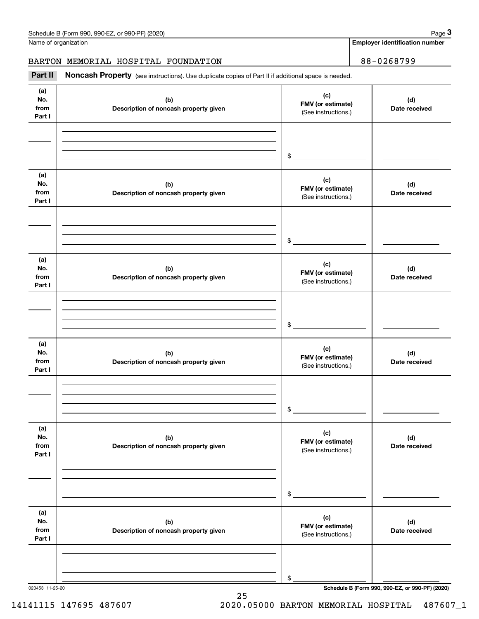Name of organization

**Employer identification number**

BARTON MEMORIAL HOSPITAL FOUNDATION 88-0268799

(see instructions). Use duplicate copies of Part II if additional space is needed.<br> **3Part II is Noncash Property** (see instructions). Use duplicate copies of Part II if additional space is needed.

| (a)<br>No.<br>from<br>Part I | (b)<br>Description of noncash property given | (c)<br>FMV (or estimate)<br>(See instructions.) | (d)<br>Date received |
|------------------------------|----------------------------------------------|-------------------------------------------------|----------------------|
|                              |                                              |                                                 |                      |
|                              |                                              | $\frac{1}{2}$                                   |                      |
| (a)<br>No.<br>from<br>Part I | (b)<br>Description of noncash property given | (c)<br>FMV (or estimate)<br>(See instructions.) | (d)<br>Date received |
|                              |                                              |                                                 |                      |
|                              |                                              | $\frac{1}{2}$                                   |                      |
| (a)<br>No.<br>from<br>Part I | (b)<br>Description of noncash property given | (c)<br>FMV (or estimate)<br>(See instructions.) | (d)<br>Date received |
|                              |                                              |                                                 |                      |
|                              |                                              | $\mathsf{\$}$                                   |                      |
| (a)<br>No.<br>from<br>Part I | (b)<br>Description of noncash property given | (c)<br>FMV (or estimate)<br>(See instructions.) | (d)<br>Date received |
|                              |                                              |                                                 |                      |
|                              |                                              | \$                                              |                      |
| (a)<br>No.<br>from<br>Part I | (b)<br>Description of noncash property given | (c)<br>FMV (or estimate)<br>(See instructions.) | (d)<br>Date received |
|                              |                                              |                                                 |                      |
|                              |                                              | $\,$                                            |                      |
| (a)<br>No.<br>from<br>Part I | (b)<br>Description of noncash property given | (c)<br>FMV (or estimate)<br>(See instructions.) | (d)<br>Date received |
|                              |                                              |                                                 |                      |
|                              |                                              | \$                                              |                      |

25

023453 11-25-20 **Schedule B (Form 990, 990-EZ, or 990-PF) (2020)**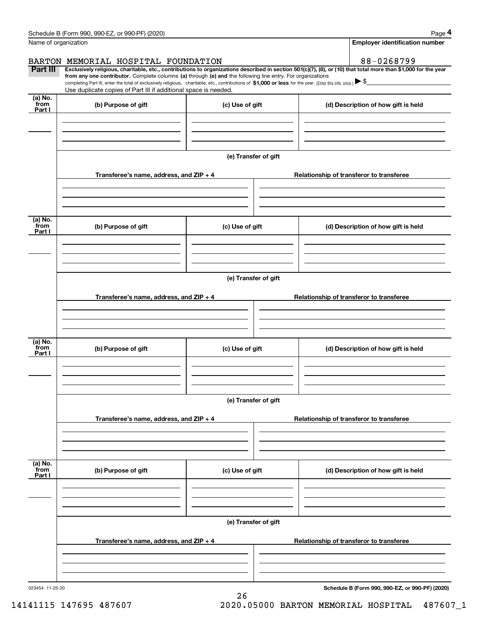| Schedule B (Form 990, 990-EZ, or 990-PF) (2020) | Page |
|-------------------------------------------------|------|
|-------------------------------------------------|------|

|                      | Schedule B (Form 990, 990-EZ, or 990-PF) (2020)                                                                                                                                                                                                                              |                      | Page 4                                   |
|----------------------|------------------------------------------------------------------------------------------------------------------------------------------------------------------------------------------------------------------------------------------------------------------------------|----------------------|------------------------------------------|
| Name of organization |                                                                                                                                                                                                                                                                              |                      | <b>Employer identification number</b>    |
|                      | BARTON MEMORIAL HOSPITAL FOUNDATION                                                                                                                                                                                                                                          |                      | 88-0268799                               |
| Part III             | Exclusively religious, charitable, etc., contributions to organizations described in section 501(c)(7), (8), or (10) that total more than \$1,000 for the year<br>from any one contributor. Complete columns (a) through (e) and the following line entry. For organizations |                      |                                          |
|                      | completing Part III, enter the total of exclusively religious, charitable, etc., contributions of \$1,000 or less for the year. (Enter this info. once.) \\$<br>Use duplicate copies of Part III if additional space is needed.                                              |                      |                                          |
| (a) No.<br>from      |                                                                                                                                                                                                                                                                              |                      |                                          |
| Part I               | (b) Purpose of gift                                                                                                                                                                                                                                                          | (c) Use of gift      | (d) Description of how gift is held      |
|                      |                                                                                                                                                                                                                                                                              |                      |                                          |
|                      |                                                                                                                                                                                                                                                                              |                      |                                          |
|                      |                                                                                                                                                                                                                                                                              |                      |                                          |
|                      |                                                                                                                                                                                                                                                                              | (e) Transfer of gift |                                          |
|                      | Transferee's name, address, and ZIP + 4                                                                                                                                                                                                                                      |                      | Relationship of transferor to transferee |
|                      |                                                                                                                                                                                                                                                                              |                      |                                          |
|                      |                                                                                                                                                                                                                                                                              |                      |                                          |
|                      |                                                                                                                                                                                                                                                                              |                      |                                          |
| (a) No.<br>from      | (b) Purpose of gift                                                                                                                                                                                                                                                          | (c) Use of gift      | (d) Description of how gift is held      |
| Part I               |                                                                                                                                                                                                                                                                              |                      |                                          |
|                      |                                                                                                                                                                                                                                                                              |                      |                                          |
|                      |                                                                                                                                                                                                                                                                              |                      |                                          |
|                      |                                                                                                                                                                                                                                                                              | (e) Transfer of gift |                                          |
|                      |                                                                                                                                                                                                                                                                              |                      |                                          |
|                      | Transferee's name, address, and ZIP + 4                                                                                                                                                                                                                                      |                      | Relationship of transferor to transferee |
|                      |                                                                                                                                                                                                                                                                              |                      |                                          |
|                      |                                                                                                                                                                                                                                                                              |                      |                                          |
| (a) No.              |                                                                                                                                                                                                                                                                              |                      |                                          |
| from<br>Part I       | (b) Purpose of gift                                                                                                                                                                                                                                                          | (c) Use of gift      | (d) Description of how gift is held      |
|                      |                                                                                                                                                                                                                                                                              |                      |                                          |
|                      |                                                                                                                                                                                                                                                                              |                      |                                          |
|                      |                                                                                                                                                                                                                                                                              |                      |                                          |
|                      |                                                                                                                                                                                                                                                                              | (e) Transfer of gift |                                          |
|                      | Transferee's name, address, and $ZIP + 4$                                                                                                                                                                                                                                    |                      | Relationship of transferor to transferee |
|                      |                                                                                                                                                                                                                                                                              |                      |                                          |
|                      |                                                                                                                                                                                                                                                                              |                      |                                          |
|                      |                                                                                                                                                                                                                                                                              |                      |                                          |
| (a) No.<br>from      | (b) Purpose of gift                                                                                                                                                                                                                                                          | (c) Use of gift      | (d) Description of how gift is held      |
| Part I               |                                                                                                                                                                                                                                                                              |                      |                                          |
|                      |                                                                                                                                                                                                                                                                              |                      |                                          |
|                      |                                                                                                                                                                                                                                                                              |                      |                                          |
|                      |                                                                                                                                                                                                                                                                              | (e) Transfer of gift |                                          |
|                      |                                                                                                                                                                                                                                                                              |                      |                                          |
|                      | Transferee's name, address, and $ZIP + 4$                                                                                                                                                                                                                                    |                      | Relationship of transferor to transferee |
|                      |                                                                                                                                                                                                                                                                              |                      |                                          |
|                      |                                                                                                                                                                                                                                                                              |                      |                                          |
|                      |                                                                                                                                                                                                                                                                              |                      |                                          |

26

023454 11-25-20

**Schedule B (Form 990, 990-EZ, or 990-PF) (2020)**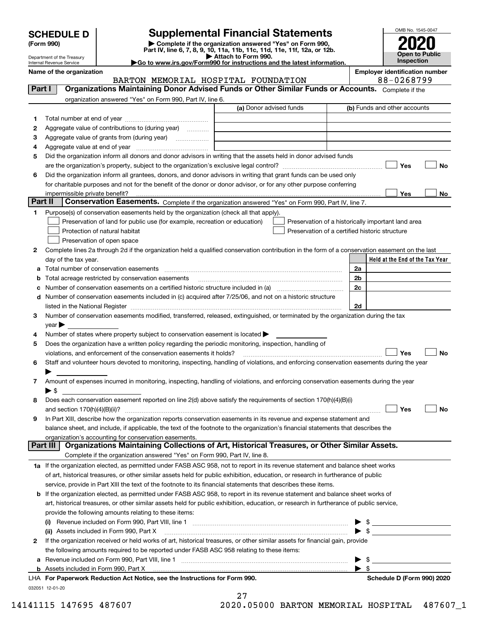| <b>SCHEDULE D</b> |  |
|-------------------|--|
|-------------------|--|

| (Form 990) |  |
|------------|--|
|------------|--|

## **SCHEDULE D Supplemental Financial Statements**

(Form 990)<br>
Pepartment of the Treasury<br>
Department of the Treasury<br>
Department of the Treasury<br>
Department of the Treasury<br> **Co to www.irs.gov/Form990 for instructions and the latest information.**<br> **Co to www.irs.gov/Form9** 



Department of the Treasury Internal Revenue Service

|         | Name of the organization<br>BARTON MEMORIAL HOSPITAL FOUNDATION                                                                                                                                                               | <b>Employer identification number</b><br>88-0268799                                                  |
|---------|-------------------------------------------------------------------------------------------------------------------------------------------------------------------------------------------------------------------------------|------------------------------------------------------------------------------------------------------|
| Part I  | Organizations Maintaining Donor Advised Funds or Other Similar Funds or Accounts. Complete if the                                                                                                                             |                                                                                                      |
|         |                                                                                                                                                                                                                               |                                                                                                      |
|         | organization answered "Yes" on Form 990, Part IV, line 6.<br>(a) Donor advised funds                                                                                                                                          | (b) Funds and other accounts                                                                         |
|         |                                                                                                                                                                                                                               |                                                                                                      |
| 1       |                                                                                                                                                                                                                               |                                                                                                      |
| 2       | Aggregate value of contributions to (during year)                                                                                                                                                                             |                                                                                                      |
| з       | Aggregate value of grants from (during year)                                                                                                                                                                                  |                                                                                                      |
| 4       |                                                                                                                                                                                                                               |                                                                                                      |
| 5       | Did the organization inform all donors and donor advisors in writing that the assets held in donor advised funds                                                                                                              |                                                                                                      |
|         |                                                                                                                                                                                                                               | Yes<br>No                                                                                            |
| 6       | Did the organization inform all grantees, donors, and donor advisors in writing that grant funds can be used only                                                                                                             |                                                                                                      |
|         | for charitable purposes and not for the benefit of the donor or donor advisor, or for any other purpose conferring                                                                                                            |                                                                                                      |
| Part II | impermissible private benefit?<br>Conservation Easements. Complete if the organization answered "Yes" on Form 990, Part IV, line 7.                                                                                           | Yes<br>No                                                                                            |
| 1.      | Purpose(s) of conservation easements held by the organization (check all that apply).                                                                                                                                         |                                                                                                      |
|         | Preservation of land for public use (for example, recreation or education)                                                                                                                                                    |                                                                                                      |
|         |                                                                                                                                                                                                                               | Preservation of a historically important land area<br>Preservation of a certified historic structure |
|         | Protection of natural habitat                                                                                                                                                                                                 |                                                                                                      |
|         | Preservation of open space                                                                                                                                                                                                    |                                                                                                      |
| 2       | Complete lines 2a through 2d if the organization held a qualified conservation contribution in the form of a conservation easement on the last                                                                                |                                                                                                      |
|         | day of the tax year.                                                                                                                                                                                                          | Held at the End of the Tax Year                                                                      |
| а       | Total number of conservation easements                                                                                                                                                                                        | 2a                                                                                                   |
| b       | Total acreage restricted by conservation easements                                                                                                                                                                            | 2 <sub>b</sub>                                                                                       |
| с       |                                                                                                                                                                                                                               | 2c                                                                                                   |
| d       | Number of conservation easements included in (c) acquired after 7/25/06, and not on a historic structure                                                                                                                      |                                                                                                      |
|         | listed in the National Register [11, 1200] [12] The National Register [11, 1200] [12] The National Register [11, 1200] [12] The National Register [11, 1200] [12] The National Register [11, 1200] [12] The National Register | 2d                                                                                                   |
| З.      | Number of conservation easements modified, transferred, released, extinguished, or terminated by the organization during the tax                                                                                              |                                                                                                      |
|         | $year \blacktriangleright$                                                                                                                                                                                                    |                                                                                                      |
| 4       | Number of states where property subject to conservation easement is located >                                                                                                                                                 |                                                                                                      |
| 5       | Does the organization have a written policy regarding the periodic monitoring, inspection, handling of                                                                                                                        |                                                                                                      |
|         | violations, and enforcement of the conservation easements it holds?                                                                                                                                                           | Yes<br>No                                                                                            |
| 6       | Staff and volunteer hours devoted to monitoring, inspecting, handling of violations, and enforcing conservation easements during the year                                                                                     |                                                                                                      |
|         |                                                                                                                                                                                                                               |                                                                                                      |
| 7       | Amount of expenses incurred in monitoring, inspecting, handling of violations, and enforcing conservation easements during the year<br>▶ \$                                                                                   |                                                                                                      |
|         | Does each conservation easement reported on line 2(d) above satisfy the requirements of section 170(h)(4)(B)(i)                                                                                                               |                                                                                                      |
| 8       |                                                                                                                                                                                                                               | Yes<br>No                                                                                            |
|         | In Part XIII, describe how the organization reports conservation easements in its revenue and expense statement and                                                                                                           |                                                                                                      |
|         | balance sheet, and include, if applicable, the text of the footnote to the organization's financial statements that describes the                                                                                             |                                                                                                      |
|         | organization's accounting for conservation easements.                                                                                                                                                                         |                                                                                                      |
|         | Organizations Maintaining Collections of Art, Historical Treasures, or Other Similar Assets.<br>Part III                                                                                                                      |                                                                                                      |
|         | Complete if the organization answered "Yes" on Form 990, Part IV, line 8.                                                                                                                                                     |                                                                                                      |
|         | 1a If the organization elected, as permitted under FASB ASC 958, not to report in its revenue statement and balance sheet works                                                                                               |                                                                                                      |
|         | of art, historical treasures, or other similar assets held for public exhibition, education, or research in furtherance of public                                                                                             |                                                                                                      |
|         | service, provide in Part XIII the text of the footnote to its financial statements that describes these items.                                                                                                                |                                                                                                      |
| b       | If the organization elected, as permitted under FASB ASC 958, to report in its revenue statement and balance sheet works of                                                                                                   |                                                                                                      |
|         | art, historical treasures, or other similar assets held for public exhibition, education, or research in furtherance of public service,                                                                                       |                                                                                                      |
|         | provide the following amounts relating to these items:                                                                                                                                                                        |                                                                                                      |
|         |                                                                                                                                                                                                                               | - \$                                                                                                 |
|         | (ii) Assets included in Form 990, Part X                                                                                                                                                                                      | $\sqrt{3}$                                                                                           |
| 2       | If the organization received or held works of art, historical treasures, or other similar assets for financial gain, provide                                                                                                  |                                                                                                      |
|         | the following amounts required to be reported under FASB ASC 958 relating to these items:                                                                                                                                     |                                                                                                      |
| а       |                                                                                                                                                                                                                               | - \$                                                                                                 |
|         | <b>b</b> Assets included in Form 990, Part X                                                                                                                                                                                  | $\blacktriangleright$ \$                                                                             |
|         | LHA For Paperwork Reduction Act Notice, see the Instructions for Form 990.                                                                                                                                                    | Schedule D (Form 990) 2020                                                                           |
|         | 032051 12-01-20                                                                                                                                                                                                               |                                                                                                      |
|         | 27                                                                                                                                                                                                                            |                                                                                                      |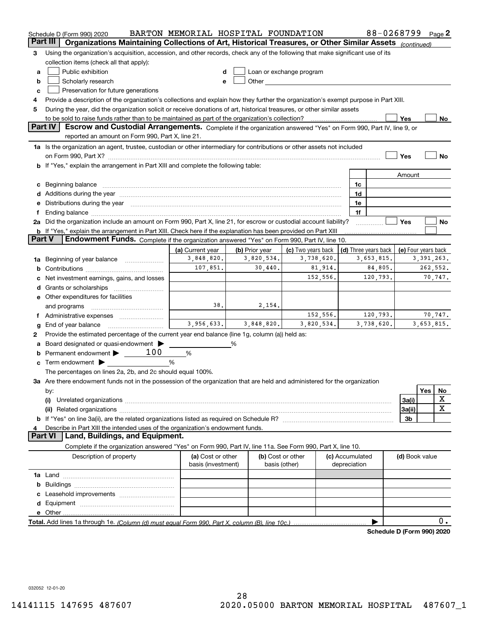|        | Schedule D (Form 990) 2020                                                                                                                                                                                                     | BARTON MEMORIAL HOSPITAL FOUNDATION     |                |                                                                                                                                                                                                                                |                                 |    | 88-0268799           |                     |              | Page $2$    |
|--------|--------------------------------------------------------------------------------------------------------------------------------------------------------------------------------------------------------------------------------|-----------------------------------------|----------------|--------------------------------------------------------------------------------------------------------------------------------------------------------------------------------------------------------------------------------|---------------------------------|----|----------------------|---------------------|--------------|-------------|
|        | Part III<br>Organizations Maintaining Collections of Art, Historical Treasures, or Other Similar Assets                                                                                                                        |                                         |                |                                                                                                                                                                                                                                |                                 |    |                      | (continued)         |              |             |
| з      | Using the organization's acquisition, accession, and other records, check any of the following that make significant use of its                                                                                                |                                         |                |                                                                                                                                                                                                                                |                                 |    |                      |                     |              |             |
|        | collection items (check all that apply):                                                                                                                                                                                       |                                         |                |                                                                                                                                                                                                                                |                                 |    |                      |                     |              |             |
| a      | Public exhibition                                                                                                                                                                                                              | d                                       |                | Loan or exchange program                                                                                                                                                                                                       |                                 |    |                      |                     |              |             |
| b      | Scholarly research                                                                                                                                                                                                             | е                                       |                | Other the contract of the contract of the contract of the contract of the contract of the contract of the contract of the contract of the contract of the contract of the contract of the contract of the contract of the cont |                                 |    |                      |                     |              |             |
| c      | Preservation for future generations                                                                                                                                                                                            |                                         |                |                                                                                                                                                                                                                                |                                 |    |                      |                     |              |             |
| 4      | Provide a description of the organization's collections and explain how they further the organization's exempt purpose in Part XIII.                                                                                           |                                         |                |                                                                                                                                                                                                                                |                                 |    |                      |                     |              |             |
| 5      | During the year, did the organization solicit or receive donations of art, historical treasures, or other similar assets                                                                                                       |                                         |                |                                                                                                                                                                                                                                |                                 |    |                      |                     |              |             |
|        | to be sold to raise funds rather than to be maintained as part of the organization's collection?                                                                                                                               |                                         |                |                                                                                                                                                                                                                                |                                 |    |                      | Yes                 |              | No          |
|        | Part IV<br>Escrow and Custodial Arrangements. Complete if the organization answered "Yes" on Form 990, Part IV, line 9, or                                                                                                     |                                         |                |                                                                                                                                                                                                                                |                                 |    |                      |                     |              |             |
|        | reported an amount on Form 990, Part X, line 21.                                                                                                                                                                               |                                         |                |                                                                                                                                                                                                                                |                                 |    |                      |                     |              |             |
|        | 1a Is the organization an agent, trustee, custodian or other intermediary for contributions or other assets not included                                                                                                       |                                         |                |                                                                                                                                                                                                                                |                                 |    |                      |                     |              |             |
|        |                                                                                                                                                                                                                                |                                         |                |                                                                                                                                                                                                                                |                                 |    |                      | Yes                 |              | No          |
|        | b If "Yes," explain the arrangement in Part XIII and complete the following table:                                                                                                                                             |                                         |                |                                                                                                                                                                                                                                |                                 |    |                      |                     |              |             |
|        |                                                                                                                                                                                                                                |                                         |                |                                                                                                                                                                                                                                |                                 |    |                      | Amount              |              |             |
| c      | Beginning balance material content contracts and all the content of the content of the content of the content of the content of the content of the content of the content of the content of the content of the content of the  |                                         |                |                                                                                                                                                                                                                                |                                 | 1c |                      |                     |              |             |
|        | Additions during the year manufactured and an annual contract of the state of the state of the state of the state of the state of the state of the state of the state of the state of the state of the state of the state of t |                                         |                |                                                                                                                                                                                                                                |                                 | 1d |                      |                     |              |             |
| е      | Distributions during the year manufactured and an account of the state of the state of the state of the state o                                                                                                                |                                         |                |                                                                                                                                                                                                                                |                                 | 1e |                      |                     |              |             |
| Ť.     | 2a Did the organization include an amount on Form 990, Part X, line 21, for escrow or custodial account liability?                                                                                                             |                                         |                |                                                                                                                                                                                                                                |                                 | 1f |                      | Yes                 |              |             |
|        | <b>b</b> If "Yes," explain the arrangement in Part XIII. Check here if the explanation has been provided on Part XIII                                                                                                          |                                         |                |                                                                                                                                                                                                                                |                                 |    |                      |                     |              | No          |
| Part V | Endowment Funds. Complete if the organization answered "Yes" on Form 990, Part IV, line 10.                                                                                                                                    |                                         |                |                                                                                                                                                                                                                                |                                 |    |                      |                     |              |             |
|        |                                                                                                                                                                                                                                | (a) Current year                        | (b) Prior year | (c) Two years back                                                                                                                                                                                                             |                                 |    | (d) Three years back | (e) Four years back |              |             |
| 1a     | Beginning of year balance                                                                                                                                                                                                      | 3,848,820.                              | 3,820,534.     | 3,738,620.                                                                                                                                                                                                                     |                                 |    | 3,653,815.           |                     | 3, 391, 263. |             |
|        |                                                                                                                                                                                                                                | 107,851.                                | 30,440.        | 81,914.                                                                                                                                                                                                                        |                                 |    | 84,805.              |                     | 262,552.     |             |
|        | Net investment earnings, gains, and losses                                                                                                                                                                                     |                                         |                | 152,556.                                                                                                                                                                                                                       |                                 |    | 120,793.             |                     |              | 70,747.     |
| d      |                                                                                                                                                                                                                                |                                         |                |                                                                                                                                                                                                                                |                                 |    |                      |                     |              |             |
|        | e Other expenditures for facilities                                                                                                                                                                                            |                                         |                |                                                                                                                                                                                                                                |                                 |    |                      |                     |              |             |
|        | and programs                                                                                                                                                                                                                   | 38.                                     | 2,154.         |                                                                                                                                                                                                                                |                                 |    |                      |                     |              |             |
|        |                                                                                                                                                                                                                                |                                         |                | 152,556.                                                                                                                                                                                                                       |                                 |    | 120,793.             |                     |              | 70,747.     |
| g      | End of year balance                                                                                                                                                                                                            | 3,956,633.                              | 3,848,820.     | 3,820,534.                                                                                                                                                                                                                     |                                 |    | 3,738,620.           |                     | 3,653,815.   |             |
| 2      | Provide the estimated percentage of the current year end balance (line 1g, column (a)) held as:                                                                                                                                |                                         |                |                                                                                                                                                                                                                                |                                 |    |                      |                     |              |             |
| а      | Board designated or quasi-endowment                                                                                                                                                                                            |                                         | %              |                                                                                                                                                                                                                                |                                 |    |                      |                     |              |             |
|        | Permanent endowment $\blacktriangleright$ _ 100                                                                                                                                                                                | %                                       |                |                                                                                                                                                                                                                                |                                 |    |                      |                     |              |             |
|        | Term endowment $\blacktriangleright$                                                                                                                                                                                           | %                                       |                |                                                                                                                                                                                                                                |                                 |    |                      |                     |              |             |
|        | The percentages on lines 2a, 2b, and 2c should equal 100%.                                                                                                                                                                     |                                         |                |                                                                                                                                                                                                                                |                                 |    |                      |                     |              |             |
|        | 3a Are there endowment funds not in the possession of the organization that are held and administered for the organization                                                                                                     |                                         |                |                                                                                                                                                                                                                                |                                 |    |                      |                     |              |             |
|        | by:                                                                                                                                                                                                                            |                                         |                |                                                                                                                                                                                                                                |                                 |    |                      |                     | Yes          | No          |
|        | (i)                                                                                                                                                                                                                            |                                         |                |                                                                                                                                                                                                                                |                                 |    |                      | 3a(i)               |              | X           |
|        |                                                                                                                                                                                                                                |                                         |                |                                                                                                                                                                                                                                |                                 |    |                      | 3a(ii)              |              | $\mathbf X$ |
|        |                                                                                                                                                                                                                                |                                         |                |                                                                                                                                                                                                                                |                                 |    |                      | 3b                  |              |             |
| 4      | Describe in Part XIII the intended uses of the organization's endowment funds.                                                                                                                                                 |                                         |                |                                                                                                                                                                                                                                |                                 |    |                      |                     |              |             |
|        | Land, Buildings, and Equipment.<br>Part VI                                                                                                                                                                                     |                                         |                |                                                                                                                                                                                                                                |                                 |    |                      |                     |              |             |
|        | Complete if the organization answered "Yes" on Form 990, Part IV, line 11a. See Form 990, Part X, line 10.                                                                                                                     |                                         |                |                                                                                                                                                                                                                                |                                 |    |                      |                     |              |             |
|        | Description of property                                                                                                                                                                                                        | (a) Cost or other<br>basis (investment) |                | (b) Cost or other<br>basis (other)                                                                                                                                                                                             | (c) Accumulated<br>depreciation |    |                      | (d) Book value      |              |             |
|        | <b>1a</b> Land ………………………………………………                                                                                                                                                                                              |                                         |                |                                                                                                                                                                                                                                |                                 |    |                      |                     |              |             |
| b      |                                                                                                                                                                                                                                |                                         |                |                                                                                                                                                                                                                                |                                 |    |                      |                     |              |             |
|        |                                                                                                                                                                                                                                |                                         |                |                                                                                                                                                                                                                                |                                 |    |                      |                     |              |             |
| d      |                                                                                                                                                                                                                                |                                         |                |                                                                                                                                                                                                                                |                                 |    |                      |                     |              |             |
|        |                                                                                                                                                                                                                                |                                         |                |                                                                                                                                                                                                                                |                                 |    |                      |                     |              |             |
|        |                                                                                                                                                                                                                                |                                         |                |                                                                                                                                                                                                                                |                                 |    |                      |                     |              | 0.          |

**Schedule D (Form 990) 2020**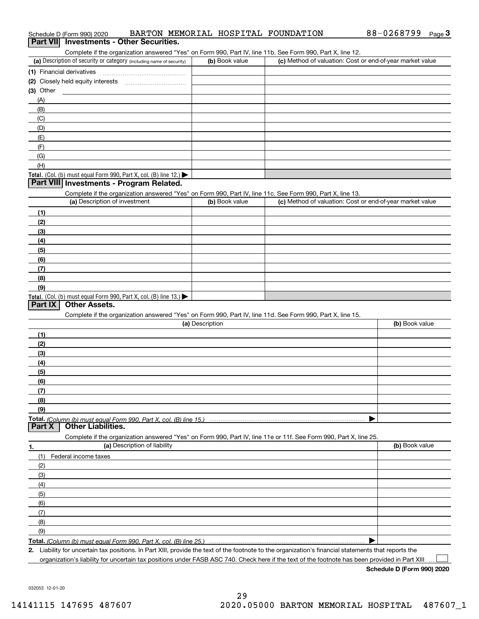|                                                                      |                              |                 | Complete if the organization answered "Yes" on Form 990, Part IV, line 11b. See Form 990, Part X, line 12.                                           |                |
|----------------------------------------------------------------------|------------------------------|-----------------|------------------------------------------------------------------------------------------------------------------------------------------------------|----------------|
| (a) Description of security or category (including name of security) |                              | (b) Book value  | (c) Method of valuation: Cost or end-of-year market value                                                                                            |                |
| (1) Financial derivatives                                            |                              |                 |                                                                                                                                                      |                |
|                                                                      |                              |                 |                                                                                                                                                      |                |
| $(3)$ Other                                                          |                              |                 |                                                                                                                                                      |                |
| (A)                                                                  |                              |                 |                                                                                                                                                      |                |
| (B)                                                                  |                              |                 |                                                                                                                                                      |                |
| (C)                                                                  |                              |                 |                                                                                                                                                      |                |
| (D)                                                                  |                              |                 |                                                                                                                                                      |                |
| (E)                                                                  |                              |                 |                                                                                                                                                      |                |
| (F)                                                                  |                              |                 |                                                                                                                                                      |                |
| (G)                                                                  |                              |                 |                                                                                                                                                      |                |
| (H)                                                                  |                              |                 |                                                                                                                                                      |                |
| Total. (Col. (b) must equal Form 990, Part X, col. (B) line 12.)     |                              |                 |                                                                                                                                                      |                |
| Part VIII Investments - Program Related.                             |                              |                 |                                                                                                                                                      |                |
|                                                                      |                              |                 | Complete if the organization answered "Yes" on Form 990, Part IV, line 11c. See Form 990, Part X, line 13.                                           |                |
| (a) Description of investment                                        |                              | (b) Book value  | (c) Method of valuation: Cost or end-of-year market value                                                                                            |                |
| (1)                                                                  |                              |                 |                                                                                                                                                      |                |
| (2)                                                                  |                              |                 |                                                                                                                                                      |                |
| (3)                                                                  |                              |                 |                                                                                                                                                      |                |
| (4)                                                                  |                              |                 |                                                                                                                                                      |                |
| (5)                                                                  |                              |                 |                                                                                                                                                      |                |
| (6)                                                                  |                              |                 |                                                                                                                                                      |                |
| (7)                                                                  |                              |                 |                                                                                                                                                      |                |
| (8)                                                                  |                              |                 |                                                                                                                                                      |                |
| (9)                                                                  |                              |                 |                                                                                                                                                      |                |
| Total. (Col. (b) must equal Form 990, Part X, col. (B) line 13.)     |                              |                 |                                                                                                                                                      |                |
| <b>Part IX</b><br><b>Other Assets.</b>                               |                              |                 |                                                                                                                                                      |                |
|                                                                      |                              |                 | Complete if the organization answered "Yes" on Form 990, Part IV, line 11d. See Form 990, Part X, line 15.                                           |                |
|                                                                      |                              | (a) Description |                                                                                                                                                      | (b) Book value |
| (1)                                                                  |                              |                 |                                                                                                                                                      |                |
| (2)                                                                  |                              |                 |                                                                                                                                                      |                |
| (3)                                                                  |                              |                 |                                                                                                                                                      |                |
| (4)                                                                  |                              |                 |                                                                                                                                                      |                |
| (5)                                                                  |                              |                 |                                                                                                                                                      |                |
| (6)                                                                  |                              |                 |                                                                                                                                                      |                |
| (7)                                                                  |                              |                 |                                                                                                                                                      |                |
| (8)                                                                  |                              |                 |                                                                                                                                                      |                |
| (9)                                                                  |                              |                 |                                                                                                                                                      |                |
|                                                                      |                              |                 |                                                                                                                                                      |                |
| <b>Part X</b><br><b>Other Liabilities.</b>                           |                              |                 |                                                                                                                                                      |                |
|                                                                      |                              |                 | Complete if the organization answered "Yes" on Form 990, Part IV, line 11e or 11f. See Form 990, Part X, line 25.                                    |                |
| 1.                                                                   | (a) Description of liability |                 |                                                                                                                                                      | (b) Book value |
| (1)<br>Federal income taxes                                          |                              |                 |                                                                                                                                                      |                |
| (2)                                                                  |                              |                 |                                                                                                                                                      |                |
| (3)                                                                  |                              |                 |                                                                                                                                                      |                |
| (4)                                                                  |                              |                 |                                                                                                                                                      |                |
| (5)                                                                  |                              |                 |                                                                                                                                                      |                |
| (6)                                                                  |                              |                 |                                                                                                                                                      |                |
| (7)                                                                  |                              |                 |                                                                                                                                                      |                |
| (8)                                                                  |                              |                 |                                                                                                                                                      |                |
| (9)                                                                  |                              |                 |                                                                                                                                                      |                |
|                                                                      |                              |                 |                                                                                                                                                      |                |
|                                                                      |                              |                 | 2. Liability for uncertain tax positions. In Part XIII, provide the text of the footnote to the organization's financial statements that reports the |                |

organization's liability for uncertain tax positions under FASB ASC 740. Check here if the text of the footnote has been provided in Part XIII

 $\mathcal{L}^{\text{max}}$ 

# Schedule D (Form 990) 2020 BARTON MEMORIAL HOSPITAL FOUNDATION 88-0268799 <sub>Page</sub> 3<br>| **Part VII** | Investments - Other Securities.

| (b) Book value | (c) Method of valuation: Cost or end-of-year market value |
|----------------|-----------------------------------------------------------|
|                |                                                           |
|                |                                                           |
|                |                                                           |
|                |                                                           |
|                |                                                           |
|                |                                                           |
|                |                                                           |
|                |                                                           |
|                |                                                           |
|                |                                                           |
|                |                                                           |
|                |                                                           |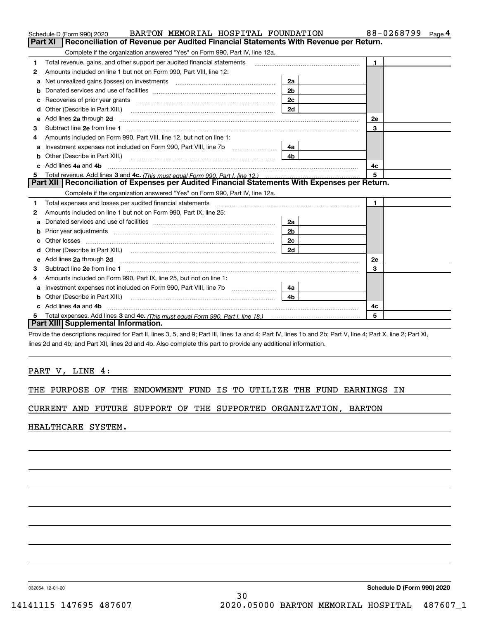|    | BARTON MEMORIAL HOSPITAL FOUNDATION<br>Schedule D (Form 990) 2020                                                                                                                                                                    |                | 88-0268799 Page 4 |
|----|--------------------------------------------------------------------------------------------------------------------------------------------------------------------------------------------------------------------------------------|----------------|-------------------|
|    | Reconciliation of Revenue per Audited Financial Statements With Revenue per Return.<br>Part XI                                                                                                                                       |                |                   |
|    | Complete if the organization answered "Yes" on Form 990, Part IV, line 12a.                                                                                                                                                          |                |                   |
| 1  | Total revenue, gains, and other support per audited financial statements                                                                                                                                                             |                | $\blacksquare$    |
| 2  | Amounts included on line 1 but not on Form 990, Part VIII, line 12:                                                                                                                                                                  |                |                   |
| a  | Net unrealized gains (losses) on investments [11] matter contracts and the unrealized gains (losses) on investments                                                                                                                  | 2a             |                   |
|    |                                                                                                                                                                                                                                      | 2 <sub>b</sub> |                   |
| с  |                                                                                                                                                                                                                                      | 2c             |                   |
| d  | Other (Describe in Part XIII.) <b>2006</b> 2007 2010 2010 2010 2010 2011 2012 2013 2014 2014 2015 2016 2017 2018 2019 2016 2017 2018 2019 2016 2017 2018 2019 2016 2017 2018 2019 2018 2019 2019 2016 2017 2018 2019 2018 2019 2019  | 2d             |                   |
| е  | Add lines 2a through 2d <b>must be a constructed as the constant of the constant of the constant of the construction</b>                                                                                                             |                | <b>2e</b>         |
| З  |                                                                                                                                                                                                                                      |                | 3                 |
| 4  | Amounts included on Form 990, Part VIII, line 12, but not on line 1:                                                                                                                                                                 |                |                   |
|    | Investment expenses not included on Form 990, Part VIII, line 7b [100] [100] [100] [100] [100] [100] [100] [10                                                                                                                       | 4a             |                   |
| b  | Other (Describe in Part XIII.) <b>Construction Contract Construction</b> Chern Construction Construction Construction                                                                                                                | 4 <sub>b</sub> |                   |
| c. | Add lines 4a and 4b                                                                                                                                                                                                                  |                | 4с                |
| 5  |                                                                                                                                                                                                                                      |                | 5                 |
|    | Part XII   Reconciliation of Expenses per Audited Financial Statements With Expenses per Return.                                                                                                                                     |                |                   |
|    | Complete if the organization answered "Yes" on Form 990, Part IV, line 12a.                                                                                                                                                          |                |                   |
| 1  |                                                                                                                                                                                                                                      |                | $\mathbf{1}$      |
| 2  | Amounts included on line 1 but not on Form 990, Part IX, line 25:                                                                                                                                                                    |                |                   |
| a  |                                                                                                                                                                                                                                      | 2a             |                   |
| b  |                                                                                                                                                                                                                                      | 2 <sub>b</sub> |                   |
| c  |                                                                                                                                                                                                                                      | 2c             |                   |
| d  |                                                                                                                                                                                                                                      | 2d             |                   |
| е  | Add lines 2a through 2d <b>contained a contained a contained a contained a contained a contained a contained a contained a contact a contact a contact a contact a contact a contact a contact a contact a contact a contact a c</b> |                | <b>2e</b>         |
| 3  |                                                                                                                                                                                                                                      |                | 3                 |
| 4  | Amounts included on Form 990, Part IX, line 25, but not on line 1:                                                                                                                                                                   |                |                   |
| а  |                                                                                                                                                                                                                                      | 4a             |                   |
| b  |                                                                                                                                                                                                                                      | 4b.            |                   |
|    | Add lines 4a and 4b                                                                                                                                                                                                                  |                | 4c                |
|    |                                                                                                                                                                                                                                      |                | 5                 |
|    | Part XIII Supplemental Information.                                                                                                                                                                                                  |                |                   |

Provide the descriptions required for Part II, lines 3, 5, and 9; Part III, lines 1a and 4; Part IV, lines 1b and 2b; Part V, line 4; Part X, line 2; Part XI, lines 2d and 4b; and Part XII, lines 2d and 4b. Also complete this part to provide any additional information.

## PART V, LINE 4:

THE PURPOSE OF THE ENDOWMENT FUND IS TO UTILIZE THE FUND EARNINGS IN

CURRENT AND FUTURE SUPPORT OF THE SUPPORTED ORGANIZATION, BARTON

HEALTHCARE SYSTEM.

032054 12-01-20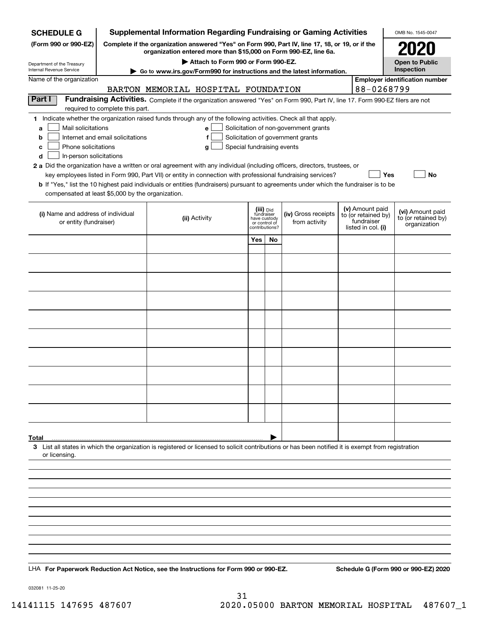| <b>SCHEDULE G</b>                                            |                                  | <b>Supplemental Information Regarding Fundraising or Gaming Activities</b>                                                                                                                                                                |                               |    |                                                                            |                                   | OMB No. 1545-0047                     |
|--------------------------------------------------------------|----------------------------------|-------------------------------------------------------------------------------------------------------------------------------------------------------------------------------------------------------------------------------------------|-------------------------------|----|----------------------------------------------------------------------------|-----------------------------------|---------------------------------------|
| (Form 990 or 990-EZ)                                         |                                  | Complete if the organization answered "Yes" on Form 990, Part IV, line 17, 18, or 19, or if the<br>organization entered more than \$15,000 on Form 990-EZ, line 6a.                                                                       |                               |    |                                                                            |                                   |                                       |
| Department of the Treasury                                   |                                  | Attach to Form 990 or Form 990-EZ.                                                                                                                                                                                                        |                               |    |                                                                            |                                   | <b>Open to Public</b>                 |
| Internal Revenue Service                                     |                                  | ► Go to www.irs.gov/Form990 for instructions and the latest information.                                                                                                                                                                  |                               |    |                                                                            |                                   | Inspection                            |
| Name of the organization                                     |                                  | BARTON MEMORIAL HOSPITAL FOUNDATION                                                                                                                                                                                                       |                               |    |                                                                            | 88-0268799                        | <b>Employer identification number</b> |
| Part I                                                       |                                  | Fundraising Activities. Complete if the organization answered "Yes" on Form 990, Part IV, line 17. Form 990-EZ filers are not                                                                                                             |                               |    |                                                                            |                                   |                                       |
|                                                              | required to complete this part.  |                                                                                                                                                                                                                                           |                               |    |                                                                            |                                   |                                       |
|                                                              |                                  | 1 Indicate whether the organization raised funds through any of the following activities. Check all that apply.                                                                                                                           |                               |    |                                                                            |                                   |                                       |
| Mail solicitations<br>a<br>b                                 | Internet and email solicitations | e l<br>f                                                                                                                                                                                                                                  |                               |    | Solicitation of non-government grants<br>Solicitation of government grants |                                   |                                       |
| Phone solicitations<br>с                                     |                                  | Special fundraising events<br>g                                                                                                                                                                                                           |                               |    |                                                                            |                                   |                                       |
| d<br>In-person solicitations                                 |                                  |                                                                                                                                                                                                                                           |                               |    |                                                                            |                                   |                                       |
|                                                              |                                  | 2 a Did the organization have a written or oral agreement with any individual (including officers, directors, trustees, or<br>key employees listed in Form 990, Part VII) or entity in connection with professional fundraising services? |                               |    |                                                                            | Yes                               | No                                    |
|                                                              |                                  | <b>b</b> If "Yes," list the 10 highest paid individuals or entities (fundraisers) pursuant to agreements under which the fundraiser is to be                                                                                              |                               |    |                                                                            |                                   |                                       |
| compensated at least \$5,000 by the organization.            |                                  |                                                                                                                                                                                                                                           |                               |    |                                                                            |                                   |                                       |
|                                                              |                                  |                                                                                                                                                                                                                                           | (iii) Did<br>fundraiser       |    |                                                                            | (v) Amount paid                   | (vi) Amount paid                      |
| (i) Name and address of individual<br>or entity (fundraiser) |                                  | (ii) Activity                                                                                                                                                                                                                             | have custody<br>or control of |    | (iv) Gross receipts<br>from activity                                       | to (or retained by)<br>fundraiser | to (or retained by)<br>organization   |
|                                                              |                                  |                                                                                                                                                                                                                                           | contributions?                |    |                                                                            | listed in col. (i)                |                                       |
|                                                              |                                  |                                                                                                                                                                                                                                           | Yes                           | No |                                                                            |                                   |                                       |
|                                                              |                                  |                                                                                                                                                                                                                                           |                               |    |                                                                            |                                   |                                       |
|                                                              |                                  |                                                                                                                                                                                                                                           |                               |    |                                                                            |                                   |                                       |
|                                                              |                                  |                                                                                                                                                                                                                                           |                               |    |                                                                            |                                   |                                       |
|                                                              |                                  |                                                                                                                                                                                                                                           |                               |    |                                                                            |                                   |                                       |
|                                                              |                                  |                                                                                                                                                                                                                                           |                               |    |                                                                            |                                   |                                       |
|                                                              |                                  |                                                                                                                                                                                                                                           |                               |    |                                                                            |                                   |                                       |
|                                                              |                                  |                                                                                                                                                                                                                                           |                               |    |                                                                            |                                   |                                       |
|                                                              |                                  |                                                                                                                                                                                                                                           |                               |    |                                                                            |                                   |                                       |
|                                                              |                                  |                                                                                                                                                                                                                                           |                               |    |                                                                            |                                   |                                       |
|                                                              |                                  |                                                                                                                                                                                                                                           |                               |    |                                                                            |                                   |                                       |
|                                                              |                                  |                                                                                                                                                                                                                                           |                               |    |                                                                            |                                   |                                       |
|                                                              |                                  |                                                                                                                                                                                                                                           |                               |    |                                                                            |                                   |                                       |
|                                                              |                                  |                                                                                                                                                                                                                                           |                               |    |                                                                            |                                   |                                       |
|                                                              |                                  |                                                                                                                                                                                                                                           |                               |    |                                                                            |                                   |                                       |
|                                                              |                                  |                                                                                                                                                                                                                                           |                               |    |                                                                            |                                   |                                       |
| Total                                                        |                                  |                                                                                                                                                                                                                                           |                               |    |                                                                            |                                   |                                       |
| or licensing.                                                |                                  | 3 List all states in which the organization is registered or licensed to solicit contributions or has been notified it is exempt from registration                                                                                        |                               |    |                                                                            |                                   |                                       |
|                                                              |                                  |                                                                                                                                                                                                                                           |                               |    |                                                                            |                                   |                                       |
|                                                              |                                  |                                                                                                                                                                                                                                           |                               |    |                                                                            |                                   |                                       |
|                                                              |                                  |                                                                                                                                                                                                                                           |                               |    |                                                                            |                                   |                                       |
|                                                              |                                  |                                                                                                                                                                                                                                           |                               |    |                                                                            |                                   |                                       |
|                                                              |                                  |                                                                                                                                                                                                                                           |                               |    |                                                                            |                                   |                                       |
|                                                              |                                  |                                                                                                                                                                                                                                           |                               |    |                                                                            |                                   |                                       |
|                                                              |                                  |                                                                                                                                                                                                                                           |                               |    |                                                                            |                                   |                                       |
|                                                              |                                  |                                                                                                                                                                                                                                           |                               |    |                                                                            |                                   |                                       |
|                                                              |                                  |                                                                                                                                                                                                                                           |                               |    |                                                                            |                                   |                                       |
|                                                              |                                  | LHA For Paperwork Reduction Act Notice, see the Instructions for Form 990 or 990-EZ.                                                                                                                                                      |                               |    |                                                                            |                                   | Schedule G (Form 990 or 990-EZ) 2020  |

032081 11-25-20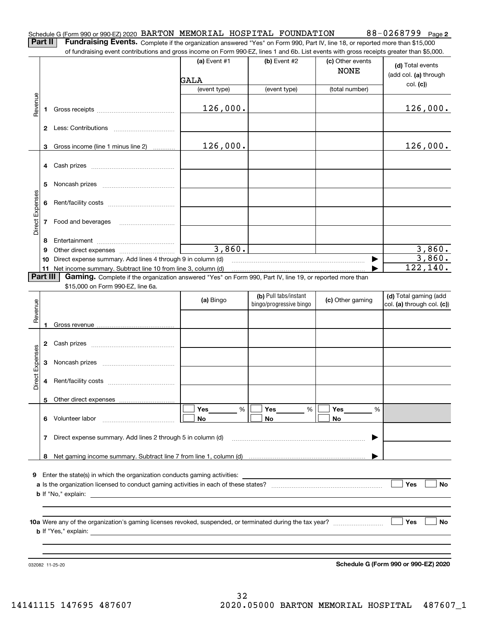|--|

|--|

**Part II** | Fundraising Events. Complete if the organization answered "Yes" on Form 990, Part IV, line 18, or reported more than \$15,000 of fundraising event contributions and gross income on Form 990-EZ, lines 1 and 6b. List events with gross receipts greater than \$5,000.

|                 |          | of fundraising event contributions and gross income on Form 990-EZ, lines T and 6D. List events with gross receipts greater than \$5,000. | (a) Event $#1$ | $(b)$ Event #2                                   | (c) Other events<br><b>NONE</b> | (d) Total events<br>(add col. (a) through           |
|-----------------|----------|-------------------------------------------------------------------------------------------------------------------------------------------|----------------|--------------------------------------------------|---------------------------------|-----------------------------------------------------|
|                 |          |                                                                                                                                           | GALA           |                                                  |                                 | col. (c)                                            |
|                 |          |                                                                                                                                           | (event type)   | (event type)                                     | (total number)                  |                                                     |
| Revenue         | 1        |                                                                                                                                           | 126,000.       |                                                  |                                 | 126,000.                                            |
|                 |          |                                                                                                                                           |                |                                                  |                                 |                                                     |
|                 | 3        | Gross income (line 1 minus line 2)                                                                                                        | 126,000.       |                                                  |                                 | 126,000.                                            |
|                 | 4        |                                                                                                                                           |                |                                                  |                                 |                                                     |
|                 | 5        |                                                                                                                                           |                |                                                  |                                 |                                                     |
|                 | 6        |                                                                                                                                           |                |                                                  |                                 |                                                     |
| Direct Expenses |          |                                                                                                                                           |                |                                                  |                                 |                                                     |
|                 | 8        |                                                                                                                                           |                |                                                  |                                 |                                                     |
|                 | 9        |                                                                                                                                           | 3,860.         |                                                  |                                 | 3,860.                                              |
|                 | 10       | Direct expense summary. Add lines 4 through 9 in column (d)                                                                               |                |                                                  | $\blacktriangleright$           | 3,860.                                              |
|                 |          | 11 Net income summary. Subtract line 10 from line 3, column (d)                                                                           |                |                                                  |                                 | 122,140.                                            |
|                 | Part III | Gaming. Complete if the organization answered "Yes" on Form 990, Part IV, line 19, or reported more than                                  |                |                                                  |                                 |                                                     |
|                 |          | \$15,000 on Form 990-EZ, line 6a.                                                                                                         |                |                                                  |                                 |                                                     |
| Revenue         |          |                                                                                                                                           | (a) Bingo      | (b) Pull tabs/instant<br>bingo/progressive bingo | (c) Other gaming                | (d) Total gaming (add<br>col. (a) through col. (c)) |
|                 | 1        |                                                                                                                                           |                |                                                  |                                 |                                                     |
|                 | 2        |                                                                                                                                           |                |                                                  |                                 |                                                     |
|                 | 3        |                                                                                                                                           |                |                                                  |                                 |                                                     |
| Direct Expenses | 4        |                                                                                                                                           |                |                                                  |                                 |                                                     |
|                 | 5.       | Other direct expenses                                                                                                                     |                |                                                  |                                 |                                                     |
|                 |          |                                                                                                                                           | %<br>Yes       | Yes<br>%                                         | Yes<br>%                        |                                                     |
|                 | 6.       | Volunteer labor                                                                                                                           | No             | No                                               | No                              |                                                     |
|                 | 7        | Direct expense summary. Add lines 2 through 5 in column (d)                                                                               |                |                                                  | ▶                               |                                                     |
|                 | 8        |                                                                                                                                           |                |                                                  |                                 |                                                     |
|                 |          |                                                                                                                                           |                |                                                  |                                 |                                                     |
|                 |          | 9 Enter the state(s) in which the organization conducts gaming activities:                                                                |                |                                                  |                                 |                                                     |
|                 |          |                                                                                                                                           |                |                                                  |                                 | Yes<br>No                                           |
|                 |          | <b>b</b> If "No," explain:                                                                                                                |                |                                                  |                                 |                                                     |
|                 |          |                                                                                                                                           |                |                                                  |                                 |                                                     |
|                 |          |                                                                                                                                           |                |                                                  |                                 | Yes<br>No                                           |
|                 |          | <b>b</b> If "Yes," explain:                                                                                                               |                |                                                  |                                 |                                                     |
|                 |          |                                                                                                                                           |                |                                                  |                                 |                                                     |
|                 |          |                                                                                                                                           |                |                                                  |                                 |                                                     |
|                 |          |                                                                                                                                           |                |                                                  |                                 | Schedule G (Form 990 or 990-EZ) 2020                |
|                 |          | 032082 11-25-20                                                                                                                           |                |                                                  |                                 |                                                     |

**Schedule G (Form 990 or 990-EZ) 2020**

**2**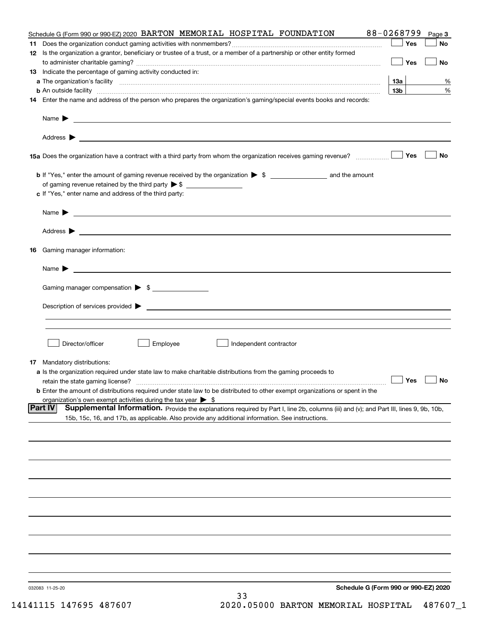|                | Schedule G (Form 990 or 990-EZ) 2020<br>032083 11-25-20<br>33                                                                                                                                                          |                 |              |
|----------------|------------------------------------------------------------------------------------------------------------------------------------------------------------------------------------------------------------------------|-----------------|--------------|
|                |                                                                                                                                                                                                                        |                 |              |
|                |                                                                                                                                                                                                                        |                 |              |
|                |                                                                                                                                                                                                                        |                 |              |
|                |                                                                                                                                                                                                                        |                 |              |
|                |                                                                                                                                                                                                                        |                 |              |
|                |                                                                                                                                                                                                                        |                 |              |
|                |                                                                                                                                                                                                                        |                 |              |
|                |                                                                                                                                                                                                                        |                 |              |
|                |                                                                                                                                                                                                                        |                 |              |
|                | 15b, 15c, 16, and 17b, as applicable. Also provide any additional information. See instructions.                                                                                                                       |                 |              |
| <b>Part IV</b> | organization's own exempt activities during the tax year $\triangleright$ \$<br>Supplemental Information. Provide the explanations required by Part I, line 2b, columns (iii) and (v); and Part III, lines 9, 9b, 10b, |                 |              |
|                | retain the state gaming license?<br><b>b</b> Enter the amount of distributions required under state law to be distributed to other exempt organizations or spent in the                                                | $\Box$ Yes      | $\Box$ No    |
|                | a Is the organization required under state law to make charitable distributions from the gaming proceeds to                                                                                                            |                 |              |
|                | <b>17</b> Mandatory distributions:                                                                                                                                                                                     |                 |              |
|                | Director/officer<br>Employee<br>Independent contractor                                                                                                                                                                 |                 |              |
|                |                                                                                                                                                                                                                        |                 |              |
|                |                                                                                                                                                                                                                        |                 |              |
|                | Gaming manager compensation > \$                                                                                                                                                                                       |                 |              |
|                | $Name \rightarrow$                                                                                                                                                                                                     |                 |              |
| 16             | Gaming manager information:                                                                                                                                                                                            |                 |              |
|                |                                                                                                                                                                                                                        |                 |              |
|                | Address >                                                                                                                                                                                                              |                 |              |
|                | Name $\blacktriangleright$<br><u> 1989 - Andrea Stadt Britain, amerikansk politiker (d. 1989)</u>                                                                                                                      |                 |              |
|                | c If "Yes," enter name and address of the third party:                                                                                                                                                                 |                 |              |
|                | of gaming revenue retained by the third party $\triangleright$ \$                                                                                                                                                      |                 |              |
|                |                                                                                                                                                                                                                        | Yes             | No           |
|                |                                                                                                                                                                                                                        |                 |              |
|                |                                                                                                                                                                                                                        |                 |              |
|                | 14 Enter the name and address of the person who prepares the organization's gaming/special events books and records:                                                                                                   |                 |              |
|                |                                                                                                                                                                                                                        | 13 <sub>b</sub> | %            |
|                |                                                                                                                                                                                                                        | 13а             | %            |
|                | 13 Indicate the percentage of gaming activity conducted in:                                                                                                                                                            | Yes             | No           |
|                | 12 Is the organization a grantor, beneficiary or trustee of a trust, or a member of a partnership or other entity formed                                                                                               |                 |              |
|                | Schedule G (Form 990 or 990-EZ) 2020 BARTON MEMORIAL HOSPITAL FOUNDATION                                                                                                                                               | Yes             | Page 3<br>No |
|                |                                                                                                                                                                                                                        | 88-0268799      |              |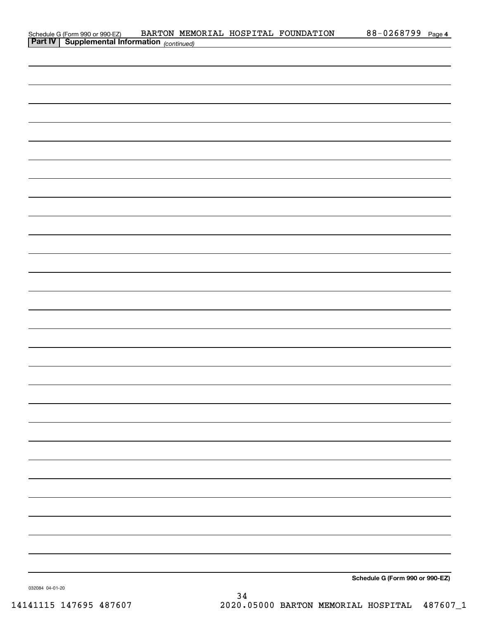| Schedule G (Form 990 or 990-EZ) BARTON MEM<br><b>Part IV</b> Supplemental Information (continued) |  | BARTON MEMORIAL HOSPITAL FOUNDATION | 88-0268799 Page 4               |  |
|---------------------------------------------------------------------------------------------------|--|-------------------------------------|---------------------------------|--|
|                                                                                                   |  |                                     |                                 |  |
|                                                                                                   |  |                                     |                                 |  |
|                                                                                                   |  |                                     |                                 |  |
|                                                                                                   |  |                                     |                                 |  |
|                                                                                                   |  |                                     |                                 |  |
|                                                                                                   |  |                                     |                                 |  |
|                                                                                                   |  |                                     |                                 |  |
|                                                                                                   |  |                                     |                                 |  |
|                                                                                                   |  |                                     |                                 |  |
|                                                                                                   |  |                                     |                                 |  |
|                                                                                                   |  |                                     |                                 |  |
|                                                                                                   |  |                                     |                                 |  |
|                                                                                                   |  |                                     |                                 |  |
|                                                                                                   |  |                                     |                                 |  |
|                                                                                                   |  |                                     |                                 |  |
|                                                                                                   |  |                                     |                                 |  |
|                                                                                                   |  |                                     |                                 |  |
|                                                                                                   |  |                                     |                                 |  |
|                                                                                                   |  |                                     |                                 |  |
|                                                                                                   |  |                                     |                                 |  |
|                                                                                                   |  |                                     |                                 |  |
|                                                                                                   |  |                                     |                                 |  |
|                                                                                                   |  |                                     |                                 |  |
|                                                                                                   |  |                                     |                                 |  |
|                                                                                                   |  |                                     |                                 |  |
|                                                                                                   |  |                                     |                                 |  |
|                                                                                                   |  |                                     |                                 |  |
|                                                                                                   |  |                                     |                                 |  |
|                                                                                                   |  |                                     |                                 |  |
|                                                                                                   |  |                                     |                                 |  |
|                                                                                                   |  |                                     |                                 |  |
|                                                                                                   |  |                                     |                                 |  |
|                                                                                                   |  |                                     |                                 |  |
|                                                                                                   |  |                                     |                                 |  |
|                                                                                                   |  |                                     |                                 |  |
|                                                                                                   |  |                                     |                                 |  |
|                                                                                                   |  |                                     |                                 |  |
|                                                                                                   |  |                                     |                                 |  |
|                                                                                                   |  |                                     |                                 |  |
|                                                                                                   |  |                                     |                                 |  |
|                                                                                                   |  |                                     |                                 |  |
|                                                                                                   |  |                                     | Schedule G (Form 990 or 990-EZ) |  |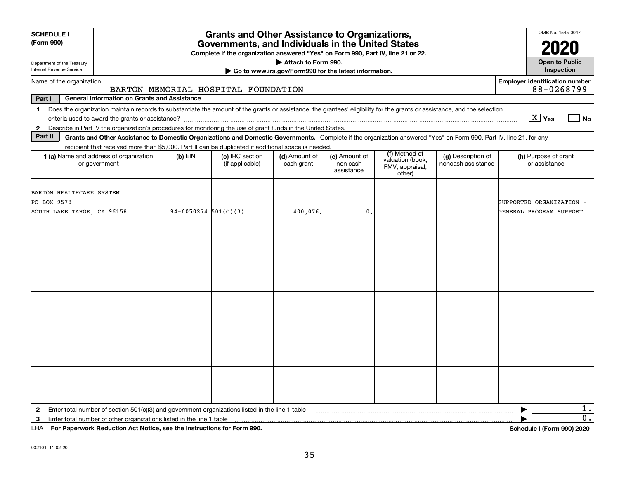| <b>SCHEDULE I</b><br>(Form 990)<br>Department of the Treasury         |                                                                                                                                                                          |                          | <b>Grants and Other Assistance to Organizations,</b><br>Governments, and Individuals in the United States<br>Complete if the organization answered "Yes" on Form 990, Part IV, line 21 or 22. | Attach to Form 990.                                   |                                         |                                                                |                                          | OMB No. 1545-0047<br>2020<br><b>Open to Public</b>  |
|-----------------------------------------------------------------------|--------------------------------------------------------------------------------------------------------------------------------------------------------------------------|--------------------------|-----------------------------------------------------------------------------------------------------------------------------------------------------------------------------------------------|-------------------------------------------------------|-----------------------------------------|----------------------------------------------------------------|------------------------------------------|-----------------------------------------------------|
| Internal Revenue Service                                              |                                                                                                                                                                          |                          |                                                                                                                                                                                               | Go to www.irs.gov/Form990 for the latest information. |                                         |                                                                |                                          | Inspection                                          |
| Name of the organization                                              |                                                                                                                                                                          |                          | BARTON MEMORIAL HOSPITAL FOUNDATION                                                                                                                                                           |                                                       |                                         |                                                                |                                          | <b>Employer identification number</b><br>88-0268799 |
| Part I                                                                | <b>General Information on Grants and Assistance</b>                                                                                                                      |                          |                                                                                                                                                                                               |                                                       |                                         |                                                                |                                          |                                                     |
| 1.                                                                    | Does the organization maintain records to substantiate the amount of the grants or assistance, the grantees' eligibility for the grants or assistance, and the selection |                          |                                                                                                                                                                                               |                                                       |                                         |                                                                |                                          | $\boxed{\text{X}}$ Yes<br>  No                      |
|                                                                       | 2 Describe in Part IV the organization's procedures for monitoring the use of grant funds in the United States.                                                          |                          |                                                                                                                                                                                               |                                                       |                                         |                                                                |                                          |                                                     |
| Part II                                                               | Grants and Other Assistance to Domestic Organizations and Domestic Governments. Complete if the organization answered "Yes" on Form 990, Part IV, line 21, for any       |                          |                                                                                                                                                                                               |                                                       |                                         |                                                                |                                          |                                                     |
|                                                                       | recipient that received more than \$5,000. Part II can be duplicated if additional space is needed.                                                                      |                          |                                                                                                                                                                                               |                                                       |                                         |                                                                |                                          |                                                     |
|                                                                       | 1 (a) Name and address of organization<br>or government                                                                                                                  | $(b)$ EIN                | (c) IRC section<br>(if applicable)                                                                                                                                                            | (d) Amount of<br>cash grant                           | (e) Amount of<br>non-cash<br>assistance | (f) Method of<br>valuation (book,<br>FMV, appraisal,<br>other) | (g) Description of<br>noncash assistance | (h) Purpose of grant<br>or assistance               |
| BARTON HEALTHCARE SYSTEM<br>PO BOX 9578<br>SOUTH LAKE TAHOE, CA 96158 |                                                                                                                                                                          | $94 - 6050274$ 501(C)(3) |                                                                                                                                                                                               | 400,076.                                              | 0.                                      |                                                                |                                          | SUPPORTED ORGANIZATION -<br>GENERAL PROGRAM SUPPORT |
|                                                                       |                                                                                                                                                                          |                          |                                                                                                                                                                                               |                                                       |                                         |                                                                |                                          |                                                     |
|                                                                       |                                                                                                                                                                          |                          |                                                                                                                                                                                               |                                                       |                                         |                                                                |                                          |                                                     |
|                                                                       |                                                                                                                                                                          |                          |                                                                                                                                                                                               |                                                       |                                         |                                                                |                                          |                                                     |
|                                                                       |                                                                                                                                                                          |                          |                                                                                                                                                                                               |                                                       |                                         |                                                                |                                          |                                                     |
|                                                                       |                                                                                                                                                                          |                          |                                                                                                                                                                                               |                                                       |                                         |                                                                |                                          |                                                     |
| $\mathbf{2}$                                                          | Enter total number of section 501(c)(3) and government organizations listed in the line 1 table                                                                          |                          |                                                                                                                                                                                               |                                                       |                                         |                                                                |                                          | 1.                                                  |
| 3                                                                     | Enter total number of other organizations listed in the line 1 table                                                                                                     |                          |                                                                                                                                                                                               |                                                       |                                         |                                                                |                                          | 0.                                                  |
|                                                                       | LHA For Paperwork Reduction Act Notice, see the Instructions for Form 990.                                                                                               |                          |                                                                                                                                                                                               |                                                       |                                         |                                                                |                                          | Schedule I (Form 990) 2020                          |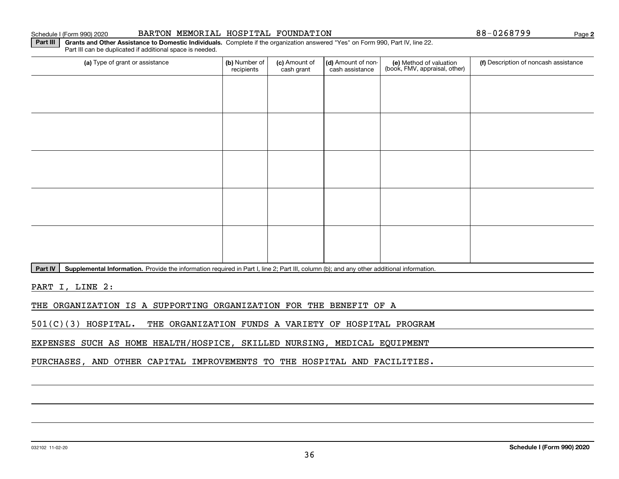## Schedule I (Form 990) 2020 Page BARTON MEMORIAL HOSPITAL FOUNDATION 88-0268799

**2**

**Part III | Grants and Other Assistance to Domestic Individuals. Complete if the organization answered "Yes" on Form 990, Part IV, line 22.** Part III can be duplicated if additional space is needed.

| (a) Type of grant or assistance | (b) Number of<br>recipients | (c) Amount of<br>cash grant | (d) Amount of non-<br>cash assistance | (e) Method of valuation<br>(book, FMV, appraisal, other) | (f) Description of noncash assistance |
|---------------------------------|-----------------------------|-----------------------------|---------------------------------------|----------------------------------------------------------|---------------------------------------|
|                                 |                             |                             |                                       |                                                          |                                       |
|                                 |                             |                             |                                       |                                                          |                                       |
|                                 |                             |                             |                                       |                                                          |                                       |
|                                 |                             |                             |                                       |                                                          |                                       |
|                                 |                             |                             |                                       |                                                          |                                       |
|                                 |                             |                             |                                       |                                                          |                                       |
|                                 |                             |                             |                                       |                                                          |                                       |
|                                 |                             |                             |                                       |                                                          |                                       |
|                                 |                             |                             |                                       |                                                          |                                       |
|                                 |                             |                             |                                       |                                                          |                                       |

Part IV | Supplemental Information. Provide the information required in Part I, line 2; Part III, column (b); and any other additional information.

PART I, LINE 2:

THE ORGANIZATION IS A SUPPORTING ORGANIZATION FOR THE BENEFIT OF A

501(C)(3) HOSPITAL. THE ORGANIZATION FUNDS A VARIETY OF HOSPITAL PROGRAM

EXPENSES SUCH AS HOME HEALTH/HOSPICE, SKILLED NURSING, MEDICAL EQUIPMENT

PURCHASES, AND OTHER CAPITAL IMPROVEMENTS TO THE HOSPITAL AND FACILITIES.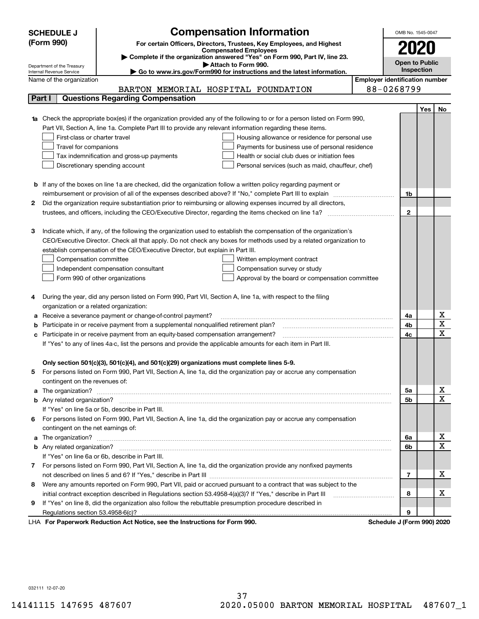|        | <b>Compensation Information</b><br><b>SCHEDULE J</b>                                                                                  | OMB No. 1545-0047     |            |                   |
|--------|---------------------------------------------------------------------------------------------------------------------------------------|-----------------------|------------|-------------------|
|        | (Form 990)<br>For certain Officers, Directors, Trustees, Key Employees, and Highest                                                   |                       |            |                   |
|        | <b>Compensated Employees</b>                                                                                                          | 2020                  |            |                   |
|        | Complete if the organization answered "Yes" on Form 990, Part IV, line 23.<br>Attach to Form 990.                                     | <b>Open to Public</b> |            |                   |
|        | Department of the Treasury<br>Go to www.irs.gov/Form990 for instructions and the latest information.<br>Internal Revenue Service      |                       | Inspection |                   |
|        | <b>Employer identification number</b><br>Name of the organization                                                                     |                       |            |                   |
|        | 88-0268799<br>BARTON MEMORIAL HOSPITAL FOUNDATION                                                                                     |                       |            |                   |
| Part I | <b>Questions Regarding Compensation</b>                                                                                               |                       |            |                   |
|        |                                                                                                                                       |                       | Yes        | No                |
|        | Check the appropriate box(es) if the organization provided any of the following to or for a person listed on Form 990,                |                       |            |                   |
|        | Part VII, Section A, line 1a. Complete Part III to provide any relevant information regarding these items.                            |                       |            |                   |
|        | First-class or charter travel<br>Housing allowance or residence for personal use                                                      |                       |            |                   |
|        | Travel for companions<br>Payments for business use of personal residence                                                              |                       |            |                   |
|        | Tax indemnification and gross-up payments<br>Health or social club dues or initiation fees                                            |                       |            |                   |
|        | Discretionary spending account<br>Personal services (such as maid, chauffeur, chef)                                                   |                       |            |                   |
|        |                                                                                                                                       |                       |            |                   |
|        | <b>b</b> If any of the boxes on line 1a are checked, did the organization follow a written policy regarding payment or                |                       |            |                   |
|        | reimbursement or provision of all of the expenses described above? If "No," complete Part III to explain                              | 1b                    |            |                   |
| 2      | Did the organization require substantiation prior to reimbursing or allowing expenses incurred by all directors,                      |                       |            |                   |
|        |                                                                                                                                       | $\mathbf{2}$          |            |                   |
|        |                                                                                                                                       |                       |            |                   |
| з      | Indicate which, if any, of the following the organization used to establish the compensation of the organization's                    |                       |            |                   |
|        | CEO/Executive Director. Check all that apply. Do not check any boxes for methods used by a related organization to                    |                       |            |                   |
|        | establish compensation of the CEO/Executive Director, but explain in Part III.                                                        |                       |            |                   |
|        | Compensation committee<br>Written employment contract                                                                                 |                       |            |                   |
|        | Compensation survey or study<br>Independent compensation consultant                                                                   |                       |            |                   |
|        | Form 990 of other organizations<br>Approval by the board or compensation committee                                                    |                       |            |                   |
|        |                                                                                                                                       |                       |            |                   |
| 4      | During the year, did any person listed on Form 990, Part VII, Section A, line 1a, with respect to the filing                          |                       |            |                   |
|        | organization or a related organization:                                                                                               |                       |            |                   |
| а      | Receive a severance payment or change-of-control payment?                                                                             | 4a                    |            | х                 |
| b      | Participate in or receive payment from a supplemental nonqualified retirement plan?                                                   | 4b                    |            | X                 |
| c      | Participate in or receive payment from an equity-based compensation arrangement?                                                      | 4c                    |            | $\mathbf x$       |
|        | If "Yes" to any of lines 4a-c, list the persons and provide the applicable amounts for each item in Part III.                         |                       |            |                   |
|        |                                                                                                                                       |                       |            |                   |
|        | Only section 501(c)(3), 501(c)(4), and 501(c)(29) organizations must complete lines 5-9.                                              |                       |            |                   |
|        | For persons listed on Form 990, Part VII, Section A, line 1a, did the organization pay or accrue any compensation                     |                       |            |                   |
|        | contingent on the revenues of:                                                                                                        |                       |            |                   |
| a      |                                                                                                                                       | 5а                    |            | x                 |
|        |                                                                                                                                       | <b>5b</b>             |            | X                 |
|        | If "Yes" on line 5a or 5b, describe in Part III.                                                                                      |                       |            |                   |
| 6.     | For persons listed on Form 990, Part VII, Section A, line 1a, did the organization pay or accrue any compensation                     |                       |            |                   |
|        | contingent on the net earnings of:                                                                                                    |                       |            |                   |
| a      |                                                                                                                                       | 6a                    |            | х<br>$\mathbf{x}$ |
|        |                                                                                                                                       | 6b                    |            |                   |
|        | If "Yes" on line 6a or 6b, describe in Part III.                                                                                      |                       |            |                   |
|        | 7 For persons listed on Form 990, Part VII, Section A, line 1a, did the organization provide any nonfixed payments                    |                       |            |                   |
|        |                                                                                                                                       | 7                     |            | x                 |
| 8      | Were any amounts reported on Form 990, Part VII, paid or accrued pursuant to a contract that was subject to the                       |                       |            |                   |
|        | initial contract exception described in Regulations section 53.4958-4(a)(3)? If "Yes," describe in Part III                           | 8                     |            | х                 |
| 9      | If "Yes" on line 8, did the organization also follow the rebuttable presumption procedure described in                                |                       |            |                   |
|        | Regulations section 53.4958-6(c)?<br>Reparator Reduction Act Notice, and the Instructions for Form 000<br>Schoolule I (Form 000) 2020 | 9                     |            |                   |

LHA For Paperwork Reduction Act Notice, see the Instructions for Form 990. Schedule J (Form 990) 2020

032111 12-07-20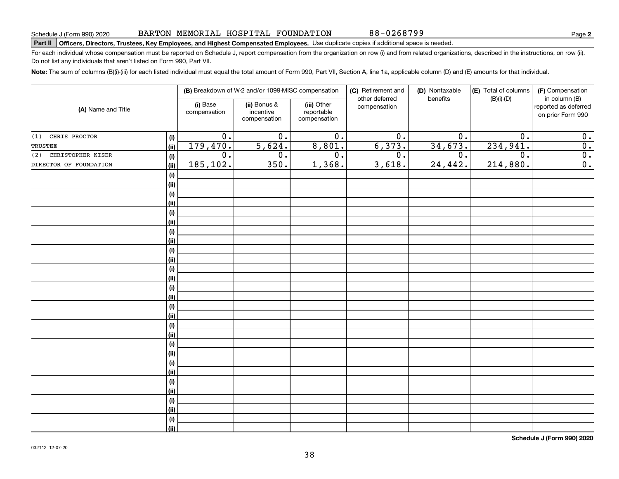# **Part II Officers, Directors, Trustees, Key Employees, and Highest Compensated Employees.**  Schedule J (Form 990) 2020 Page Use duplicate copies if additional space is needed.

For each individual whose compensation must be reported on Schedule J, report compensation from the organization on row (i) and from related organizations, described in the instructions, on row (ii). Do not list any individuals that aren't listed on Form 990, Part VII.

**Note:**  The sum of columns (B)(i)-(iii) for each listed individual must equal the total amount of Form 990, Part VII, Section A, line 1a, applicable column (D) and (E) amounts for that individual.

|                          |                              |                          | (B) Breakdown of W-2 and/or 1099-MISC compensation |                                           | (C) Retirement and<br>other deferred | (D) Nontaxable<br>benefits | (E) Total of columns | (F) Compensation<br>in column (B)         |  |
|--------------------------|------------------------------|--------------------------|----------------------------------------------------|-------------------------------------------|--------------------------------------|----------------------------|----------------------|-------------------------------------------|--|
| (A) Name and Title       |                              | (i) Base<br>compensation | (ii) Bonus &<br>incentive<br>compensation          | (iii) Other<br>reportable<br>compensation | compensation                         |                            | $(B)(i)-(D)$         | reported as deferred<br>on prior Form 990 |  |
| CHRIS PROCTOR<br>(1)     | (i)                          | $\overline{0}$ .         | $\overline{0}$ .                                   | $\overline{0}$ .                          | $\overline{0}$ .                     | $\overline{0}$ .           | $\overline{0}$ .     | $\mathbf 0$ .                             |  |
| TRUSTEE                  | (ii)                         | 179,470.                 | 5,624.                                             | 8,801.                                    | 6,373.                               | 34,673.                    | 234,941.             | $\overline{\mathbf{0}}$ .                 |  |
| CHRISTOPHER KISER<br>(2) | (i)                          | $\overline{0}$ .         | $0$ .                                              | $\overline{0}$ .                          | $\overline{0}$ .                     | $\overline{0}$ .           | $\overline{0}$ .     | $\overline{\mathbf{0}}$ .                 |  |
| DIRECTOR OF FOUNDATION   | (ii)                         | 185,102.                 | 350.                                               | 1,368.                                    | 3,618.                               | 24,442.                    | 214,880.             | $\overline{0}$ .                          |  |
|                          | $(\sf{i})$                   |                          |                                                    |                                           |                                      |                            |                      |                                           |  |
|                          | (ii)                         |                          |                                                    |                                           |                                      |                            |                      |                                           |  |
|                          | $\qquad \qquad \textbf{(i)}$ |                          |                                                    |                                           |                                      |                            |                      |                                           |  |
|                          | (ii)                         |                          |                                                    |                                           |                                      |                            |                      |                                           |  |
|                          | $(\sf{i})$                   |                          |                                                    |                                           |                                      |                            |                      |                                           |  |
|                          | (ii)                         |                          |                                                    |                                           |                                      |                            |                      |                                           |  |
|                          | $(\sf{i})$                   |                          |                                                    |                                           |                                      |                            |                      |                                           |  |
|                          | (ii)                         |                          |                                                    |                                           |                                      |                            |                      |                                           |  |
|                          | $\qquad \qquad \textbf{(i)}$ |                          |                                                    |                                           |                                      |                            |                      |                                           |  |
|                          | (ii)                         |                          |                                                    |                                           |                                      |                            |                      |                                           |  |
|                          | $\qquad \qquad \textbf{(i)}$ |                          |                                                    |                                           |                                      |                            |                      |                                           |  |
|                          | (ii)                         |                          |                                                    |                                           |                                      |                            |                      |                                           |  |
|                          | (i)                          |                          |                                                    |                                           |                                      |                            |                      |                                           |  |
|                          | (ii)                         |                          |                                                    |                                           |                                      |                            |                      |                                           |  |
|                          | (i)                          |                          |                                                    |                                           |                                      |                            |                      |                                           |  |
|                          | (ii)                         |                          |                                                    |                                           |                                      |                            |                      |                                           |  |
|                          | (i)                          |                          |                                                    |                                           |                                      |                            |                      |                                           |  |
|                          | (ii)                         |                          |                                                    |                                           |                                      |                            |                      |                                           |  |
|                          | (i)                          |                          |                                                    |                                           |                                      |                            |                      |                                           |  |
|                          | (ii)                         |                          |                                                    |                                           |                                      |                            |                      |                                           |  |
|                          | (i)                          |                          |                                                    |                                           |                                      |                            |                      |                                           |  |
|                          | (ii)                         |                          |                                                    |                                           |                                      |                            |                      |                                           |  |
|                          | (i)                          |                          |                                                    |                                           |                                      |                            |                      |                                           |  |
|                          | (ii)                         |                          |                                                    |                                           |                                      |                            |                      |                                           |  |
|                          | $(\sf{i})$                   |                          |                                                    |                                           |                                      |                            |                      |                                           |  |
|                          | (ii)                         |                          |                                                    |                                           |                                      |                            |                      |                                           |  |
|                          | (i)                          |                          |                                                    |                                           |                                      |                            |                      |                                           |  |
|                          | (ii)                         |                          |                                                    |                                           |                                      |                            |                      |                                           |  |

**Schedule J (Form 990) 2020**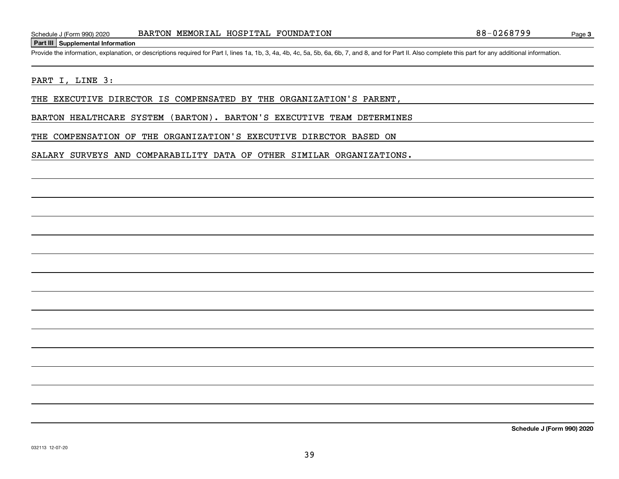## **Part III Supplemental Information**

Schedule J (Form 990) 2020 BARTON MEMORIAL HOSPITAL FOUNDATION 88-0268799<br>Part III Supplemental Information<br>Provide the information, explanation, or descriptions required for Part I, lines 1a, 1b, 3, 4a, 4b, 4c, 5a, 5b, 6a

## PART I, LINE 3:

THE EXECUTIVE DIRECTOR IS COMPENSATED BY THE ORGANIZATION'S PARENT,

BARTON HEALTHCARE SYSTEM (BARTON). BARTON'S EXECUTIVE TEAM DETERMINES

THE COMPENSATION OF THE ORGANIZATION'S EXECUTIVE DIRECTOR BASED ON

SALARY SURVEYS AND COMPARABILITY DATA OF OTHER SIMILAR ORGANIZATIONS.

**Schedule J (Form 990) 2020**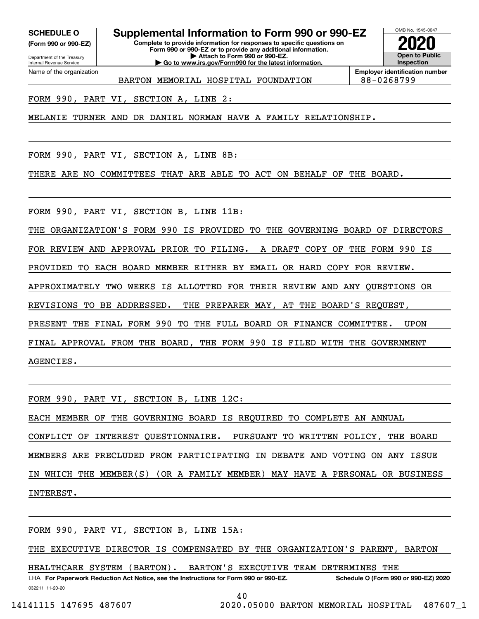**(Form 990 or 990-EZ)**

Department of the Treasury Internal Revenue Service Name of the organization

# **SCHEDULE O Supplemental Information to Form 990 or 990-EZ**

**Complete to provide information for responses to specific questions on Form 990 or 990-EZ or to provide any additional information. | Attach to Form 990 or 990-EZ. | Go to www.irs.gov/Form990 for the latest information.**



**Employer identification number** BARTON MEMORIAL HOSPITAL FOUNDATION 88-0268799

FORM 990, PART VI, SECTION A, LINE 2:

MELANIE TURNER AND DR DANIEL NORMAN HAVE A FAMILY RELATIONSHIP.

FORM 990, PART VI, SECTION A, LINE 8B:

THERE ARE NO COMMITTEES THAT ARE ABLE TO ACT ON BEHALF OF THE BOARD.

FORM 990, PART VI, SECTION B, LINE 11B:

THE ORGANIZATION'S FORM 990 IS PROVIDED TO THE GOVERNING BOARD OF DIRECTORS FOR REVIEW AND APPROVAL PRIOR TO FILING. A DRAFT COPY OF THE FORM 990 IS PROVIDED TO EACH BOARD MEMBER EITHER BY EMAIL OR HARD COPY FOR REVIEW. APPROXIMATELY TWO WEEKS IS ALLOTTED FOR THEIR REVIEW AND ANY QUESTIONS OR REVISIONS TO BE ADDRESSED. THE PREPARER MAY, AT THE BOARD'S REQUEST, PRESENT THE FINAL FORM 990 TO THE FULL BOARD OR FINANCE COMMITTEE. UPON FINAL APPROVAL FROM THE BOARD, THE FORM 990 IS FILED WITH THE GOVERNMENT AGENCIES.

FORM 990, PART VI, SECTION B, LINE 12C: EACH MEMBER OF THE GOVERNING BOARD IS REQUIRED TO COMPLETE AN ANNUAL CONFLICT OF INTEREST QUESTIONNAIRE. PURSUANT TO WRITTEN POLICY, THE BOARD MEMBERS ARE PRECLUDED FROM PARTICIPATING IN DEBATE AND VOTING ON ANY ISSUE IN WHICH THE MEMBER(S) (OR A FAMILY MEMBER) MAY HAVE A PERSONAL OR BUSINESS INTEREST.

FORM 990, PART VI, SECTION B, LINE 15A:

THE EXECUTIVE DIRECTOR IS COMPENSATED BY THE ORGANIZATION'S PARENT, BARTON

HEALTHCARE SYSTEM (BARTON). BARTON'S EXECUTIVE TEAM DETERMINES THE

032211 11-20-20 LHA For Paperwork Reduction Act Notice, see the Instructions for Form 990 or 990-EZ. Schedule O (Form 990 or 990-EZ) 2020

40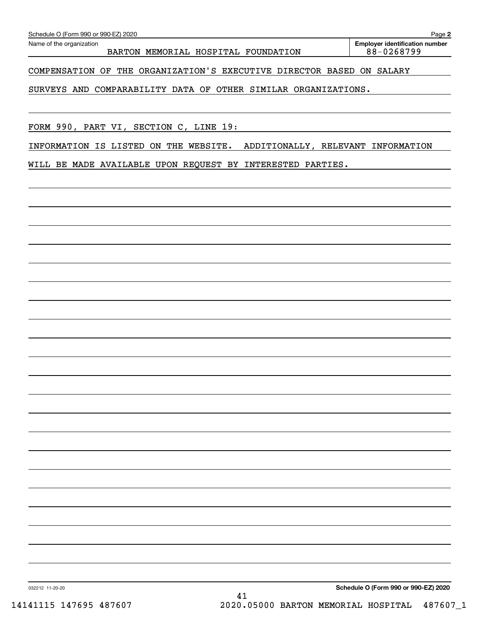## COMPENSATION OF THE ORGANIZATION'S EXECUTIVE DIRECTOR BASED ON SALARY

## SURVEYS AND COMPARABILITY DATA OF OTHER SIMILAR ORGANIZATIONS.

FORM 990, PART VI, SECTION C, LINE 19:

INFORMATION IS LISTED ON THE WEBSITE. ADDITIONALLY, RELEVANT INFORMATION

WILL BE MADE AVAILABLE UPON REQUEST BY INTERESTED PARTIES.

**Schedule O (Form 990 or 990-EZ) 2020**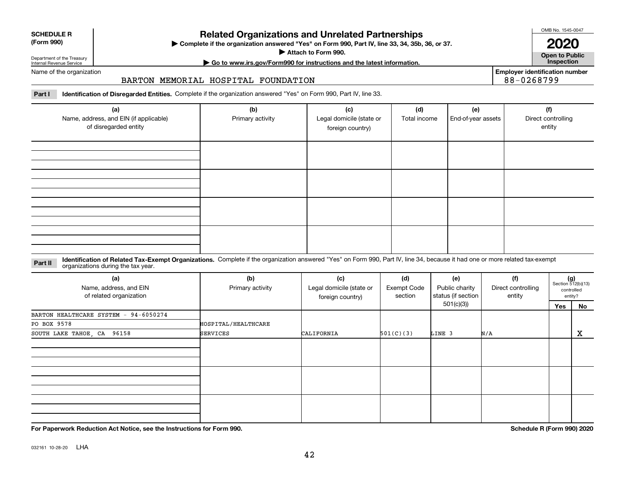| (Form 990) |  |
|------------|--|
|------------|--|

**SCHEDULE R**

## **Related Organizations and Unrelated Partnerships**

**Complete if the organization answered "Yes" on Form 990, Part IV, line 33, 34, 35b, 36, or 37.** |

**Attach to Form 990.**  |

OMB No. 1545-0047

**Open to Public | Go to www.irs.gov/Form990 for instructions and the latest information. Inspection 2020**

**Employer identification number**

88-0268799

Department of the Treasury Internal Revenue Service Name of the organization

## BARTON MEMORIAL HOSPITAL FOUNDATION

**Part I Identification of Disregarded Entities.**  Complete if the organization answered "Yes" on Form 990, Part IV, line 33.

| (a)<br>Name, address, and EIN (if applicable)<br>of disregarded entity | (b)<br>Primary activity | (c)<br>Legal domicile (state or<br>foreign country) | (d)<br>Total income | (e)<br>End-of-year assets | (f)<br>Direct controlling<br>entity |
|------------------------------------------------------------------------|-------------------------|-----------------------------------------------------|---------------------|---------------------------|-------------------------------------|
|                                                                        |                         |                                                     |                     |                           |                                     |
|                                                                        |                         |                                                     |                     |                           |                                     |
|                                                                        |                         |                                                     |                     |                           |                                     |
|                                                                        |                         |                                                     |                     |                           |                                     |

### **Identification of Related Tax-Exempt Organizations.** Complete if the organization answered "Yes" on Form 990, Part IV, line 34, because it had one or more related tax-exempt **Part II** organizations during the tax year.

| (a)<br>Name, address, and EIN<br>of related organization | (b)<br>Primary activity | (c)<br>Legal domicile (state or<br>foreign country) | (d)<br><b>Exempt Code</b><br>section | (e)<br>Public charity<br>status (if section | (f)<br>Direct controlling<br>entity |     | $(g)$<br>Section 512(b)(13)<br>controlled<br>entity? |
|----------------------------------------------------------|-------------------------|-----------------------------------------------------|--------------------------------------|---------------------------------------------|-------------------------------------|-----|------------------------------------------------------|
|                                                          |                         |                                                     |                                      | 501(c)(3))                                  |                                     | Yes | No                                                   |
| BARTON HEALTHCARE SYSTEM - 94-6050274                    |                         |                                                     |                                      |                                             |                                     |     |                                                      |
| PO BOX 9578                                              | HOSPITAL/HEALTHCARE     |                                                     |                                      |                                             |                                     |     |                                                      |
| SOUTH LAKE TAHOE, CA 96158                               | <b>SERVICES</b>         | CALIFORNIA                                          | 501(C)(3)                            | LINE 3                                      | N/A                                 |     | X                                                    |
|                                                          |                         |                                                     |                                      |                                             |                                     |     |                                                      |
|                                                          |                         |                                                     |                                      |                                             |                                     |     |                                                      |
|                                                          |                         |                                                     |                                      |                                             |                                     |     |                                                      |

**For Paperwork Reduction Act Notice, see the Instructions for Form 990. Schedule R (Form 990) 2020**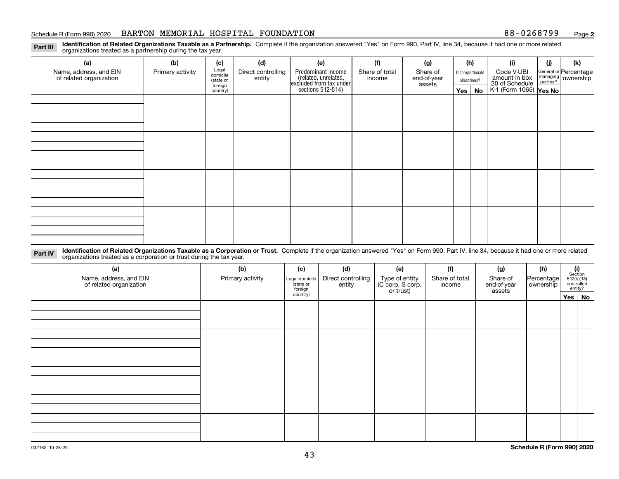### Schedule R (Form 990) 2020 **BARTON MEMORIAL HOSPITAL FOUNDATION** 88-0268799 <sub>Page</sub>

**2**

**Identification of Related Organizations Taxable as a Partnership.** Complete if the organization answered "Yes" on Form 990, Part IV, line 34, because it had one or more related **Part III** organizations treated as a partnership during the tax year.

| (a)                                               | (b)              | (c)                                       | (d)                          | (e)                                                                 | (f)                      | (g)                     |                                  | (h) | (i)                                      | (j) | (k)                                                       |
|---------------------------------------------------|------------------|-------------------------------------------|------------------------------|---------------------------------------------------------------------|--------------------------|-------------------------|----------------------------------|-----|------------------------------------------|-----|-----------------------------------------------------------|
| Name, address, and EIN<br>of related organization | Primary activity | Legal<br>domicile<br>(state or<br>foreign | Direct controlling<br>entity | Predominant income                                                  | Share of total<br>income | Share of<br>end-of-year | Disproportionate<br>allocations? |     | Code V-UBI<br>amount in box              |     | General or Percentage<br>managing<br>partner?<br>partner? |
|                                                   |                  |                                           |                              |                                                                     |                          | assets                  |                                  |     |                                          |     |                                                           |
|                                                   |                  | country)                                  |                              | related, unrelated,<br>excluded from tax under<br>sections 512-514) |                          |                         | Yes $ $                          | No  | 20 of Schedule<br>K-1 (Form 1065) Yes No |     |                                                           |
|                                                   |                  |                                           |                              |                                                                     |                          |                         |                                  |     |                                          |     |                                                           |
|                                                   |                  |                                           |                              |                                                                     |                          |                         |                                  |     |                                          |     |                                                           |
|                                                   |                  |                                           |                              |                                                                     |                          |                         |                                  |     |                                          |     |                                                           |
|                                                   |                  |                                           |                              |                                                                     |                          |                         |                                  |     |                                          |     |                                                           |
|                                                   |                  |                                           |                              |                                                                     |                          |                         |                                  |     |                                          |     |                                                           |
|                                                   |                  |                                           |                              |                                                                     |                          |                         |                                  |     |                                          |     |                                                           |
|                                                   |                  |                                           |                              |                                                                     |                          |                         |                                  |     |                                          |     |                                                           |
|                                                   |                  |                                           |                              |                                                                     |                          |                         |                                  |     |                                          |     |                                                           |
|                                                   |                  |                                           |                              |                                                                     |                          |                         |                                  |     |                                          |     |                                                           |
|                                                   |                  |                                           |                              |                                                                     |                          |                         |                                  |     |                                          |     |                                                           |
|                                                   |                  |                                           |                              |                                                                     |                          |                         |                                  |     |                                          |     |                                                           |
|                                                   |                  |                                           |                              |                                                                     |                          |                         |                                  |     |                                          |     |                                                           |
|                                                   |                  |                                           |                              |                                                                     |                          |                         |                                  |     |                                          |     |                                                           |
|                                                   |                  |                                           |                              |                                                                     |                          |                         |                                  |     |                                          |     |                                                           |
|                                                   |                  |                                           |                              |                                                                     |                          |                         |                                  |     |                                          |     |                                                           |
|                                                   |                  |                                           |                              |                                                                     |                          |                         |                                  |     |                                          |     |                                                           |
|                                                   |                  |                                           |                              |                                                                     |                          |                         |                                  |     |                                          |     |                                                           |

**Identification of Related Organizations Taxable as a Corporation or Trust.** Complete if the organization answered "Yes" on Form 990, Part IV, line 34, because it had one or more related **Part IV** organizations treated as a corporation or trust during the tax year.

| (a)<br>Name, address, and EIN<br>of related organization | (b)<br>Primary activity | (c)<br>Legal domicile<br>(state or<br>foreign | (d)<br>Direct controlling<br>entity | (e)<br>Type of entity<br>(C corp, S corp,<br>or trust) | (f)<br>Share of total<br>income | (g)<br>Share of<br>end-of-year<br>assets | (h)<br>Percentage<br>ownership | $\begin{array}{c} \textbf{(i)}\\ \text{Section}\\ 512 \textbf{(b)} \textbf{(13)}\\ \text{controlled}\end{array}$<br>entity? |
|----------------------------------------------------------|-------------------------|-----------------------------------------------|-------------------------------------|--------------------------------------------------------|---------------------------------|------------------------------------------|--------------------------------|-----------------------------------------------------------------------------------------------------------------------------|
|                                                          |                         | country)                                      |                                     |                                                        |                                 |                                          |                                | Yes   No                                                                                                                    |
|                                                          |                         |                                               |                                     |                                                        |                                 |                                          |                                |                                                                                                                             |
|                                                          |                         |                                               |                                     |                                                        |                                 |                                          |                                |                                                                                                                             |
|                                                          |                         |                                               |                                     |                                                        |                                 |                                          |                                |                                                                                                                             |
|                                                          |                         |                                               |                                     |                                                        |                                 |                                          |                                |                                                                                                                             |
|                                                          |                         |                                               |                                     |                                                        |                                 |                                          |                                |                                                                                                                             |
|                                                          |                         |                                               |                                     |                                                        |                                 |                                          |                                |                                                                                                                             |
|                                                          |                         |                                               |                                     |                                                        |                                 |                                          |                                |                                                                                                                             |
|                                                          |                         |                                               |                                     |                                                        |                                 |                                          |                                |                                                                                                                             |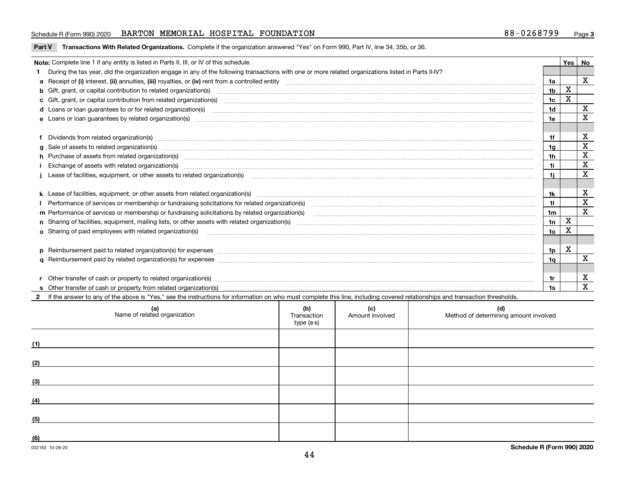## Schedule R (Form 990) 2020 **BARTON MEMORIAL HOSPITAL FOUNDATION** 88-0268799 <sub>Page</sub>

**Part V** T**ransactions With Related Organizations.** Complete if the organization answered "Yes" on Form 990, Part IV, line 34, 35b, or 36.

| Note: Complete line 1 if any entity is listed in Parts II, III, or IV of this schedule. |                                                                                                                                                                                                                                |                |             |              |  |  |  |
|-----------------------------------------------------------------------------------------|--------------------------------------------------------------------------------------------------------------------------------------------------------------------------------------------------------------------------------|----------------|-------------|--------------|--|--|--|
|                                                                                         | During the tax year, did the organization engage in any of the following transactions with one or more related organizations listed in Parts II-IV?                                                                            |                |             |              |  |  |  |
|                                                                                         |                                                                                                                                                                                                                                | 1a             |             | $\mathbf{x}$ |  |  |  |
|                                                                                         | <b>b</b> Gift, grant, or capital contribution to related organization(s)                                                                                                                                                       | 1 <sub>b</sub> | X           |              |  |  |  |
|                                                                                         | c Gift, grant, or capital contribution from related organization(s) mature material contract contribution from related organization(s) matured contents of mature material contribution from related organization(s) material  | 1 <sub>c</sub> | X           |              |  |  |  |
|                                                                                         |                                                                                                                                                                                                                                | 1 <sub>d</sub> |             | х            |  |  |  |
|                                                                                         |                                                                                                                                                                                                                                | 1e             |             | X            |  |  |  |
|                                                                                         |                                                                                                                                                                                                                                |                |             |              |  |  |  |
|                                                                                         | Dividends from related organization(s) manufactured and contract and contract or produced and contract and contract and contract and contract and contract and contract and contract and contract and contract and contract an | 1f             |             | х            |  |  |  |
|                                                                                         | g Sale of assets to related organization(s) www.assettion.com/www.assettion.com/www.assettion.com/www.assettion.com/www.assettion.com/www.assettion.com/www.assettion.com/www.assettion.com/www.assettion.com/www.assettion.co | 1g             |             | X            |  |  |  |
|                                                                                         | h Purchase of assets from related organization(s) manufactured content to content the content of the content of the content of the content of the content of the content of the content of the content of the content of the c | 1h             |             | X            |  |  |  |
|                                                                                         |                                                                                                                                                                                                                                | 1i.            |             | $\mathbf x$  |  |  |  |
|                                                                                         | Lease of facilities, equipment, or other assets to related organization(s) [11] manufactured content and content and content and content and content and content and content and content and content and content and content a | 1i.            |             | X            |  |  |  |
|                                                                                         |                                                                                                                                                                                                                                |                |             |              |  |  |  |
|                                                                                         | k Lease of facilities, equipment, or other assets from related organization(s) manufaction content and the manufacture of facilities, equipment, or other assets from related organization(s) manufaction manufacture manufact | 1k             |             | х            |  |  |  |
|                                                                                         |                                                                                                                                                                                                                                | 11             |             | X            |  |  |  |
|                                                                                         | m Performance of services or membership or fundraising solicitations by related organization(s)                                                                                                                                | 1 <sub>m</sub> |             | $\mathbf x$  |  |  |  |
|                                                                                         |                                                                                                                                                                                                                                | 1n             | $\mathbf X$ |              |  |  |  |
|                                                                                         | <b>o</b> Sharing of paid employees with related organization(s)                                                                                                                                                                | 1o             | x           |              |  |  |  |
|                                                                                         |                                                                                                                                                                                                                                |                |             |              |  |  |  |
|                                                                                         |                                                                                                                                                                                                                                | 1p             | X           |              |  |  |  |
|                                                                                         |                                                                                                                                                                                                                                | 1q             |             | $\mathbf X$  |  |  |  |
|                                                                                         |                                                                                                                                                                                                                                |                |             |              |  |  |  |
|                                                                                         | Other transfer of cash or property to related organization(s)                                                                                                                                                                  | 1r             |             | X            |  |  |  |
|                                                                                         |                                                                                                                                                                                                                                | 1s             |             | $\mathbf{x}$ |  |  |  |
|                                                                                         | 2 If the answer to any of the above is "Yes," see the instructions for information on who must complete this line, including covered relationships and transaction thresholds.                                                 |                |             |              |  |  |  |

| (a)<br>Name of related organization | (b)<br>Transaction<br>type (a-s) | (c)<br>Amount involved | (d)<br>Method of determining amount involved |
|-------------------------------------|----------------------------------|------------------------|----------------------------------------------|
| (1)                                 |                                  |                        |                                              |
| (2)                                 |                                  |                        |                                              |
| (3)                                 |                                  |                        |                                              |
| (4)                                 |                                  |                        |                                              |
| (5)                                 |                                  |                        |                                              |
| (6)                                 |                                  |                        |                                              |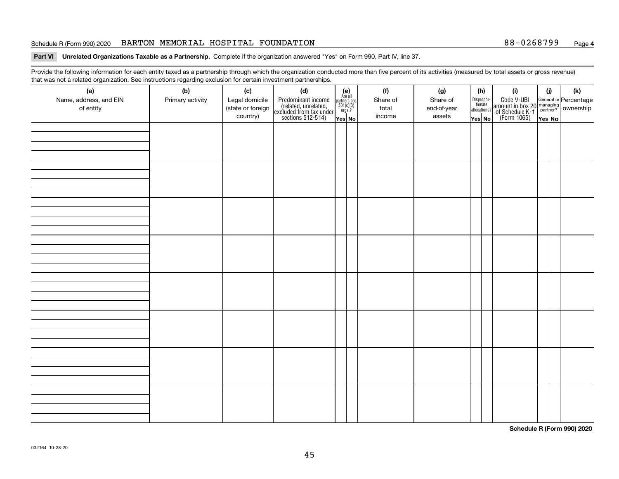### Schedule R (Form 990) 2020 **BARTON MEMORIAL HOSPITAL FOUNDATION** 88-0268799 Page

### **Part VI Unrelated Organizations Taxable as a Partnership. Complete if the organization answered "Yes" on Form 990, Part IV, line 37.**

Provide the following information for each entity taxed as a partnership through which the organization conducted more than five percent of its activities (measured by total assets or gross revenue) that was not a related organization. See instructions regarding exclusion for certain investment partnerships.

| (a)<br>Name, address, and EIN<br>of entity | $\tilde{}$<br>(b)<br>Primary activity | (c)<br>Legal domicile<br>(state or foreign<br>country) | (d)<br>Predominant income<br>(related, unrelated,<br>excluded from tax under<br>sections 512-514) | $(e)$<br>Are all<br>$\begin{array}{c}\n\text{partners} \sec.\n\\ \n501(c)(3)\n\\ \n0rgs.?\n\end{array}$<br>Yes No | (f)<br>Share of<br>total<br>income | (g)<br>Share of<br>end-of-year<br>assets | (h)<br>Dispropor-<br>tionate<br>allocations?<br>Yes No | (i)<br>Code V-UBI<br>amount in box 20 managing<br>of Schedule K-1<br>(Form 1065)<br>$\overline{Yes}$ No | (i)<br>Yes No | (k) |
|--------------------------------------------|---------------------------------------|--------------------------------------------------------|---------------------------------------------------------------------------------------------------|-------------------------------------------------------------------------------------------------------------------|------------------------------------|------------------------------------------|--------------------------------------------------------|---------------------------------------------------------------------------------------------------------|---------------|-----|
|                                            |                                       |                                                        |                                                                                                   |                                                                                                                   |                                    |                                          |                                                        |                                                                                                         |               |     |
|                                            |                                       |                                                        |                                                                                                   |                                                                                                                   |                                    |                                          |                                                        |                                                                                                         |               |     |
|                                            |                                       |                                                        |                                                                                                   |                                                                                                                   |                                    |                                          |                                                        |                                                                                                         |               |     |
|                                            |                                       |                                                        |                                                                                                   |                                                                                                                   |                                    |                                          |                                                        |                                                                                                         |               |     |
|                                            |                                       |                                                        |                                                                                                   |                                                                                                                   |                                    |                                          |                                                        |                                                                                                         |               |     |
|                                            |                                       |                                                        |                                                                                                   |                                                                                                                   |                                    |                                          |                                                        |                                                                                                         |               |     |
|                                            |                                       |                                                        |                                                                                                   |                                                                                                                   |                                    |                                          |                                                        |                                                                                                         |               |     |
|                                            |                                       |                                                        |                                                                                                   |                                                                                                                   |                                    |                                          |                                                        |                                                                                                         |               |     |

**Schedule R (Form 990) 2020**